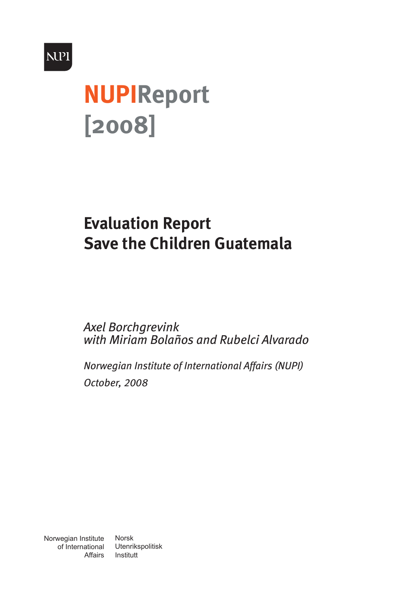

# **NUPIReport [2008]**

# **Evaluation Report Save the Children Guatemala**

*Axel Borchgrevink with Miriam Bolaños and Rubelci Alvarado*

*Norwegian Institute of International Affairs (NUPI) October, 2008*

Norwegian Institute of International Affairs

Norsk Utenrikspolitisk Institutt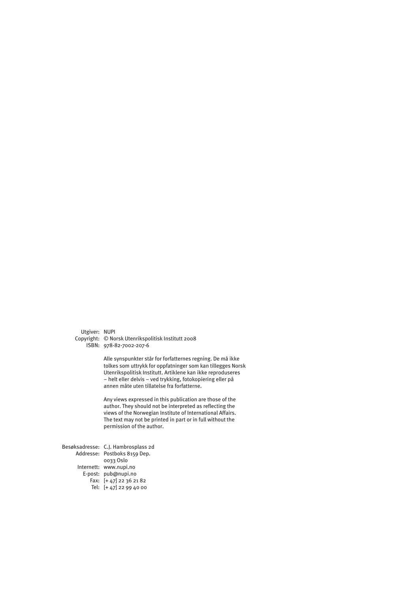Utgiver: NUPI

Copyright: © Norsk Utenrikspolitisk Institutt 2008 ISBN: 978-82-7002-207-6

> Alle synspunkter står for forfatternes regning. De må ikke tolkes som uttrykk for oppfatninger som kan tillegges Norsk Utenrikspolitisk Institutt. Artiklene kan ikke reproduseres – helt eller delvis – ved trykking, fotokopiering eller på annen måte uten tillatelse fra forfatterne.

Any views expressed in this publication are those of the author. They should not be interpreted as reflecting the views of the Norwegian Institute of International Affairs. The text may not be printed in part or in full without the permission of the author.

Besøksadresse: C.J. Hambrosplass 2d Addresse: Postboks 8159 Dep. Internett: www.nupi.no E-post: pub@nupi.no Fax: [+ 47] 22 36 21 82 Tel: [+ 47] 22 99 40 000033 Oslo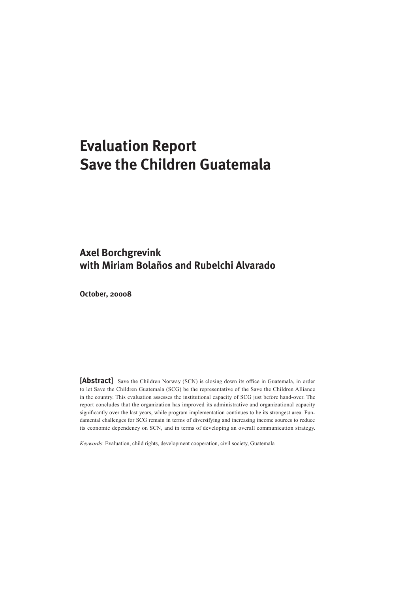# **Evaluation Report Save the Children Guatemala**

### **Axel Borchgrevink with Miriam Bolaños and Rubelchi Alvarado**

**October, 20008**

[Abstract] Save the Children Norway (SCN) is closing down its office in Guatemala, in order to let Save the Children Guatemala (SCG) be the representative of the Save the Children Alliance in the country. This evaluation assesses the institutional capacity of SCG just before hand-over. The report concludes that the organization has improved its administrative and organizational capacity significantly over the last years, while program implementation continues to be its strongest area. Fundamental challenges for SCG remain in terms of diversifying and increasing income sources to reduce its economic dependency on SCN, and in terms of developing an overall communication strategy.

*Keywords*: Evaluation, child rights, development cooperation, civil society, Guatemala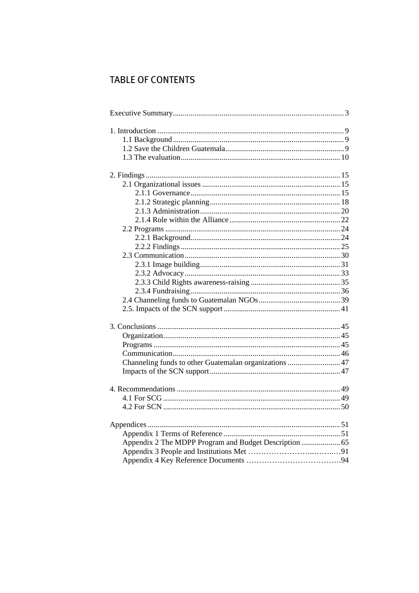## **TABLE OF CONTENTS**

| Channeling funds to other Guatemalan organizations  47 |  |
|--------------------------------------------------------|--|
|                                                        |  |
|                                                        |  |
|                                                        |  |
|                                                        |  |
|                                                        |  |
|                                                        |  |
|                                                        |  |
|                                                        |  |
| Appendix 2 The MDPP Program and Budget Description  65 |  |
|                                                        |  |
|                                                        |  |
|                                                        |  |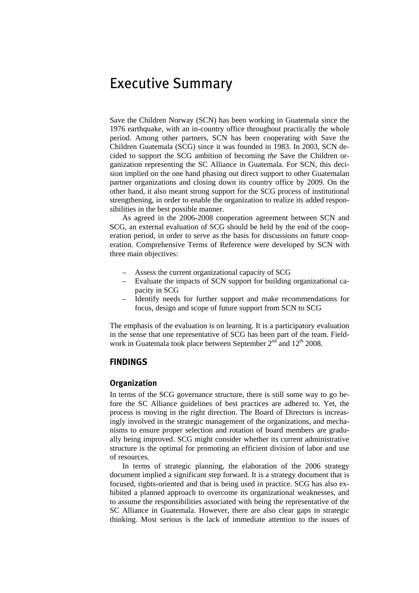# <span id="page-6-1"></span><span id="page-6-0"></span>Executive Summary

Save the Children Norway (SCN) has been working in Guatemala since the 1976 earthquake, with an in-country office throughout practically the whole period. Among other partners, SCN has been cooperating with Save the Children Guatemala (SCG) since it was founded in 1983. In 2003, SCN decided to support the SCG ambition of becoming *the* Save the Children organization representing the SC Alliance in Guatemala. For SCN, this decision implied on the one hand phasing out direct support to other Guatemalan partner organizations and closing down its country office by 2009. On the other hand, it also meant strong support for the SCG process of institutional strengthening, in order to enable the organization to realize its added responsibilities in the best possible manner.

As agreed in the 2006-2008 cooperation agreement between SCN and SCG, an external evaluation of SCG should be held by the end of the cooperation period, in order to serve as the basis for discussions on future cooperation. Comprehensive Terms of Reference were developed by SCN with three main objectives:

- Assess the current organizational capacity of SCG
- Evaluate the impacts of SCN support for building organizational capacity in SCG
- Identify needs for further support and make recommendations for focus, design and scope of future support from SCN to SCG

The emphasis of the evaluation is on learning. It is a participatory evaluation in the sense that one representative of SCG has been part of the team. Fieldwork in Guatemala took place between September  $2<sup>nd</sup>$  and  $12<sup>th</sup>$  2008.

#### **FINDINGS**

#### **Organization**

In terms of the SCG governance structure, there is still some way to go before the SC Alliance guidelines of best practices are adhered to. Yet, the process is moving in the right direction. The Board of Directors is increasingly involved in the strategic management of the organizations, and mechanisms to ensure proper selection and rotation of board members are gradually being improved. SCG might consider whether its current administrative structure is the optimal for promoting an efficient division of labor and use of resources.

In terms of strategic planning, the elaboration of the 2006 strategy document implied a significant step forward. It is a strategy document that is focused, rights-oriented and that is being used in practice. SCG has also exhibited a planned approach to overcome its organizational weaknesses, and to assume the responsibilities associated with being the representative of the SC Alliance in Guatemala. However, there are also clear gaps in strategic thinking. Most serious is the lack of immediate attention to the issues of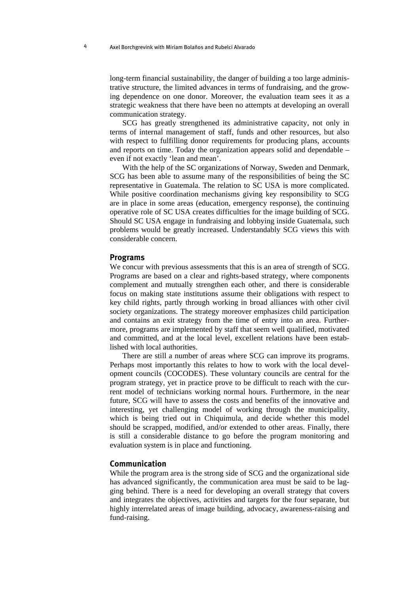long-term financial sustainability, the danger of building a too large administrative structure, the limited advances in terms of fundraising, and the growing dependence on one donor. Moreover, the evaluation team sees it as a strategic weakness that there have been no attempts at developing an overall communication strategy.

SCG has greatly strengthened its administrative capacity, not only in terms of internal management of staff, funds and other resources, but also with respect to fulfilling donor requirements for producing plans, accounts and reports on time. Today the organization appears solid and dependable – even if not exactly 'lean and mean'.

With the help of the SC organizations of Norway, Sweden and Denmark, SCG has been able to assume many of the responsibilities of being the SC representative in Guatemala. The relation to SC USA is more complicated. While positive coordination mechanisms giving key responsibility to SCG are in place in some areas (education, emergency response), the continuing operative role of SC USA creates difficulties for the image building of SCG. Should SC USA engage in fundraising and lobbying inside Guatemala, such problems would be greatly increased. Understandably SCG views this with considerable concern.

#### **Programs**

We concur with previous assessments that this is an area of strength of SCG. Programs are based on a clear and rights-based strategy, where components complement and mutually strengthen each other, and there is considerable focus on making state institutions assume their obligations with respect to key child rights, partly through working in broad alliances with other civil society organizations. The strategy moreover emphasizes child participation and contains an exit strategy from the time of entry into an area. Furthermore, programs are implemented by staff that seem well qualified, motivated and committed, and at the local level, excellent relations have been established with local authorities.

There are still a number of areas where SCG can improve its programs. Perhaps most importantly this relates to how to work with the local development councils (COCODES). These voluntary councils are central for the program strategy, yet in practice prove to be difficult to reach with the current model of technicians working normal hours. Furthermore, in the near future, SCG will have to assess the costs and benefits of the innovative and interesting, yet challenging model of working through the municipality, which is being tried out in Chiquimula, and decide whether this model should be scrapped, modified, and/or extended to other areas. Finally, there is still a considerable distance to go before the program monitoring and evaluation system is in place and functioning.

#### **Communication**

While the program area is the strong side of SCG and the organizational side has advanced significantly, the communication area must be said to be lagging behind. There is a need for developing an overall strategy that covers and integrates the objectives, activities and targets for the four separate, but highly interrelated areas of image building, advocacy, awareness-raising and fund-raising.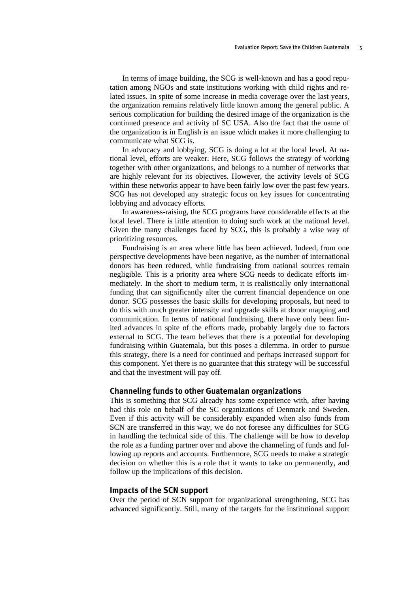In terms of image building, the SCG is well-known and has a good reputation among NGOs and state institutions working with child rights and related issues. In spite of some increase in media coverage over the last years, the organization remains relatively little known among the general public. A serious complication for building the desired image of the organization is the continued presence and activity of SC USA. Also the fact that the name of the organization is in English is an issue which makes it more challenging to communicate what SCG is.

In advocacy and lobbying, SCG is doing a lot at the local level. At national level, efforts are weaker. Here, SCG follows the strategy of working together with other organizations, and belongs to a number of networks that are highly relevant for its objectives. However, the activity levels of SCG within these networks appear to have been fairly low over the past few years. SCG has not developed any strategic focus on key issues for concentrating lobbying and advocacy efforts.

In awareness-raising, the SCG programs have considerable effects at the local level. There is little attention to doing such work at the national level. Given the many challenges faced by SCG, this is probably a wise way of prioritizing resources.

Fundraising is an area where little has been achieved. Indeed, from one perspective developments have been negative, as the number of international donors has been reduced, while fundraising from national sources remain negligible. This is a priority area where SCG needs to dedicate efforts immediately. In the short to medium term, it is realistically only international funding that can significantly alter the current financial dependence on one donor. SCG possesses the basic skills for developing proposals, but need to do this with much greater intensity and upgrade skills at donor mapping and communication. In terms of national fundraising, there have only been limited advances in spite of the efforts made, probably largely due to factors external to SCG. The team believes that there is a potential for developing fundraising within Guatemala, but this poses a dilemma. In order to pursue this strategy, there is a need for continued and perhaps increased support for this component. Yet there is no guarantee that this strategy will be successful and that the investment will pay off.

#### **Channeling funds to other Guatemalan organizations**

This is something that SCG already has some experience with, after having had this role on behalf of the SC organizations of Denmark and Sweden. Even if this activity will be considerably expanded when also funds from SCN are transferred in this way, we do not foresee any difficulties for SCG in handling the technical side of this. The challenge will be how to develop the role as a funding partner over and above the channeling of funds and following up reports and accounts. Furthermore, SCG needs to make a strategic decision on whether this is a role that it wants to take on permanently, and follow up the implications of this decision.

#### **Impacts of the SCN support**

Over the period of SCN support for organizational strengthening, SCG has advanced significantly. Still, many of the targets for the institutional support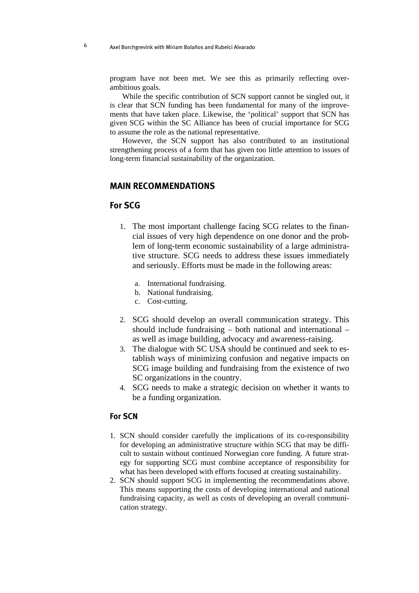program have not been met. We see this as primarily reflecting overambitious goals.

While the specific contribution of SCN support cannot be singled out, it is clear that SCN funding has been fundamental for many of the improvements that have taken place. Likewise, the 'political' support that SCN has given SCG within the SC Alliance has been of crucial importance for SCG to assume the role as the national representative.

However, the SCN support has also contributed to an institutional strengthening process of a form that has given too little attention to issues of long-term financial sustainability of the organization.

#### **MAIN RECOMMENDATIONS**

#### **For SCG**

- 1. The most important challenge facing SCG relates to the financial issues of very high dependence on one donor and the problem of long-term economic sustainability of a large administrative structure. SCG needs to address these issues immediately and seriously. Efforts must be made in the following areas:
	- a. International fundraising.
	- b. National fundraising.
	- c. Cost-cutting.
- 2. SCG should develop an overall communication strategy. This should include fundraising – both national and international – as well as image building, advocacy and awareness-raising.
- 3. The dialogue with SC USA should be continued and seek to establish ways of minimizing confusion and negative impacts on SCG image building and fundraising from the existence of two SC organizations in the country.
- 4. SCG needs to make a strategic decision on whether it wants to be a funding organization.

#### **For SCN**

- 1. SCN should consider carefully the implications of its co-responsibility for developing an administrative structure within SCG that may be difficult to sustain without continued Norwegian core funding. A future strategy for supporting SCG must combine acceptance of responsibility for what has been developed with efforts focused at creating sustainability.
- 2. SCN should support SCG in implementing the recommendations above. This means supporting the costs of developing international and national fundraising capacity, as well as costs of developing an overall communication strategy.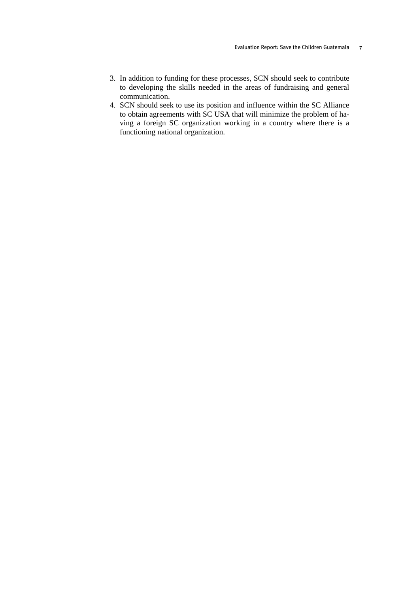- 3. In addition to funding for these processes, SCN should seek to contribute to developing the skills needed in the areas of fundraising and general communication.
- 4. SCN should seek to use its position and influence within the SC Alliance to obtain agreements with SC USA that will minimize the problem of having a foreign SC organization working in a country where there is a functioning national organization.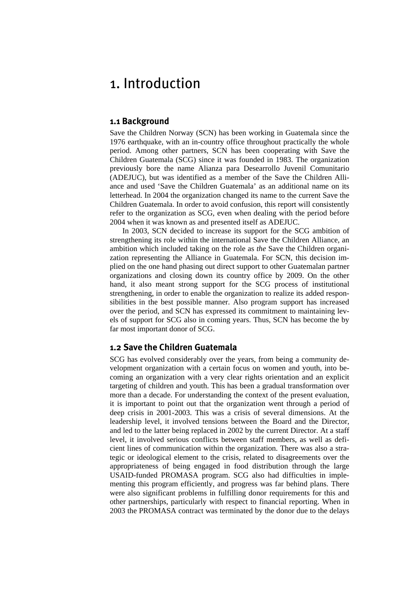# <span id="page-12-1"></span><span id="page-12-0"></span>1. Introduction

#### **1.1 Background**

<span id="page-12-2"></span>Save the Children Norway (SCN) has been working in Guatemala since the 1976 earthquake, with an in-country office throughout practically the whole period. Among other partners, SCN has been cooperating with Save the Children Guatemala (SCG) since it was founded in 1983. The organization previously bore the name Alianza para Desearrollo Juvenil Comunitario (ADEJUC), but was identified as a member of the Save the Children Alliance and used 'Save the Children Guatemala' as an additional name on its letterhead. In 2004 the organization changed its name to the current Save the Children Guatemala. In order to avoid confusion, this report will consistently refer to the organization as SCG, even when dealing with the period before 2004 when it was known as and presented itself as ADEJUC.

In 2003, SCN decided to increase its support for the SCG ambition of strengthening its role within the international Save the Children Alliance, an ambition which included taking on the role as *the* Save the Children organization representing the Alliance in Guatemala. For SCN, this decision implied on the one hand phasing out direct support to other Guatemalan partner organizations and closing down its country office by 2009. On the other hand, it also meant strong support for the SCG process of institutional strengthening, in order to enable the organization to realize its added responsibilities in the best possible manner. Also program support has increased over the period, and SCN has expressed its commitment to maintaining levels of support for SCG also in coming years. Thus, SCN has become the by far most important donor of SCG.

#### <span id="page-12-3"></span>**1.2 Save the Children Guatemala**

SCG has evolved considerably over the years, from being a community development organization with a certain focus on women and youth, into becoming an organization with a very clear rights orientation and an explicit targeting of children and youth. This has been a gradual transformation over more than a decade. For understanding the context of the present evaluation, it is important to point out that the organization went through a period of deep crisis in 2001-2003. This was a crisis of several dimensions. At the leadership level, it involved tensions between the Board and the Director, and led to the latter being replaced in 2002 by the current Director. At a staff level, it involved serious conflicts between staff members, as well as deficient lines of communication within the organization. There was also a strategic or ideological element to the crisis, related to disagreements over the appropriateness of being engaged in food distribution through the large USAID-funded PROMASA program. SCG also had difficulties in implementing this program efficiently, and progress was far behind plans. There were also significant problems in fulfilling donor requirements for this and other partnerships, particularly with respect to financial reporting. When in 2003 the PROMASA contract was terminated by the donor due to the delays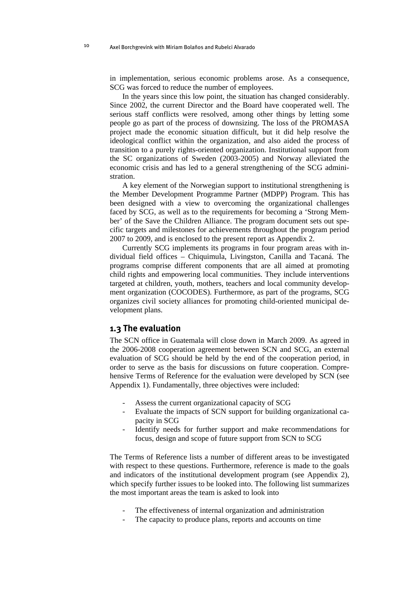<span id="page-13-0"></span>in implementation, serious economic problems arose. As a consequence, SCG was forced to reduce the number of employees.

In the years since this low point, the situation has changed considerably. Since 2002, the current Director and the Board have cooperated well. The serious staff conflicts were resolved, among other things by letting some people go as part of the process of downsizing. The loss of the PROMASA project made the economic situation difficult, but it did help resolve the ideological conflict within the organization, and also aided the process of transition to a purely rights-oriented organization. Institutional support from the SC organizations of Sweden (2003-2005) and Norway alleviated the economic crisis and has led to a general strengthening of the SCG administration.

A key element of the Norwegian support to institutional strengthening is the Member Development Programme Partner (MDPP) Program. This has been designed with a view to overcoming the organizational challenges faced by SCG, as well as to the requirements for becoming a 'Strong Member' of the Save the Children Alliance. The program document sets out specific targets and milestones for achievements throughout the program period 2007 to 2009, and is enclosed to the present report as Appendix 2.

Currently SCG implements its programs in four program areas with individual field offices – Chiquimula, Livingston, Canilla and Tacaná. The programs comprise different components that are all aimed at promoting child rights and empowering local communities. They include interventions targeted at children, youth, mothers, teachers and local community development organization (COCODES). Furthermore, as part of the programs, SCG organizes civil society alliances for promoting child-oriented municipal development plans.

#### <span id="page-13-1"></span>**1.3 The evaluation**

The SCN office in Guatemala will close down in March 2009. As agreed in the 2006-2008 cooperation agreement between SCN and SCG, an external evaluation of SCG should be held by the end of the cooperation period, in order to serve as the basis for discussions on future cooperation. Comprehensive Terms of Reference for the evaluation were developed by SCN (see Appendix 1). Fundamentally, three objectives were included:

- Assess the current organizational capacity of SCG
- Evaluate the impacts of SCN support for building organizational capacity in SCG
- Identify needs for further support and make recommendations for focus, design and scope of future support from SCN to SCG

The Terms of Reference lists a number of different areas to be investigated with respect to these questions. Furthermore, reference is made to the goals and indicators of the institutional development program (see Appendix 2), which specify further issues to be looked into. The following list summarizes the most important areas the team is asked to look into

- The effectiveness of internal organization and administration
- The capacity to produce plans, reports and accounts on time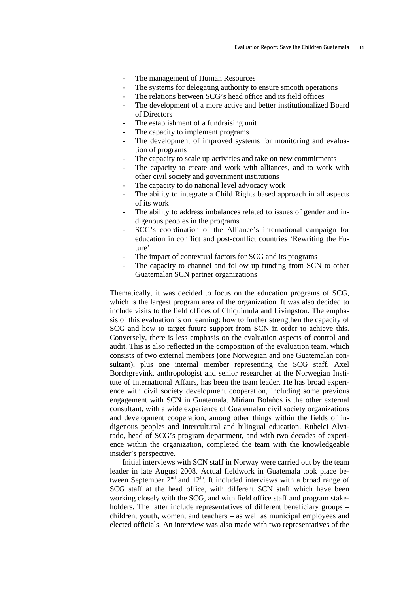- The management of Human Resources
- The systems for delegating authority to ensure smooth operations
- The relations between SCG's head office and its field offices
- The development of a more active and better institutionalized Board of Directors
- The establishment of a fundraising unit
- The capacity to implement programs
- The development of improved systems for monitoring and evaluation of programs
- The capacity to scale up activities and take on new commitments
- The capacity to create and work with alliances, and to work with other civil society and government institutions
- The capacity to do national level advocacy work
- The ability to integrate a Child Rights based approach in all aspects of its work
- The ability to address imbalances related to issues of gender and indigenous peoples in the programs
- SCG's coordination of the Alliance's international campaign for education in conflict and post-conflict countries 'Rewriting the Future'
- The impact of contextual factors for SCG and its programs
- The capacity to channel and follow up funding from SCN to other Guatemalan SCN partner organizations

Thematically, it was decided to focus on the education programs of SCG, which is the largest program area of the organization. It was also decided to include visits to the field offices of Chiquimula and Livingston. The emphasis of this evaluation is on learning: how to further strengthen the capacity of SCG and how to target future support from SCN in order to achieve this. Conversely, there is less emphasis on the evaluation aspects of control and audit. This is also reflected in the composition of the evaluation team, which consists of two external members (one Norwegian and one Guatemalan consultant), plus one internal member representing the SCG staff. Axel Borchgrevink, anthropologist and senior researcher at the Norwegian Institute of International Affairs, has been the team leader. He has broad experience with civil society development cooperation, including some previous engagement with SCN in Guatemala. Miriam Bolaños is the other external consultant, with a wide experience of Guatemalan civil society organizations and development cooperation, among other things within the fields of indigenous peoples and intercultural and bilingual education. Rubelci Alvarado, head of SCG's program department, and with two decades of experience within the organization, completed the team with the knowledgeable insider's perspective.

Initial interviews with SCN staff in Norway were carried out by the team leader in late August 2008. Actual fieldwork in Guatemala took place between September  $2<sup>nd</sup>$  and  $12<sup>th</sup>$ . It included interviews with a broad range of SCG staff at the head office, with different SCN staff which have been working closely with the SCG, and with field office staff and program stakeholders. The latter include representatives of different beneficiary groups – children, youth, women, and teachers – as well as municipal employees and elected officials. An interview was also made with two representatives of the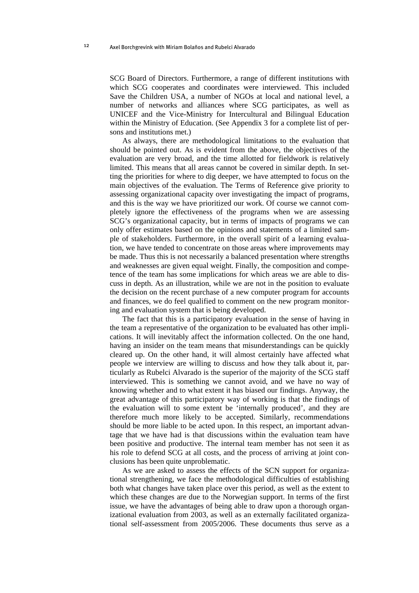SCG Board of Directors. Furthermore, a range of different institutions with which SCG cooperates and coordinates were interviewed. This included Save the Children USA, a number of NGOs at local and national level, a number of networks and alliances where SCG participates, as well as UNICEF and the Vice-Ministry for Intercultural and Bilingual Education within the Ministry of Education. (See Appendix 3 for a complete list of persons and institutions met.)

As always, there are methodological limitations to the evaluation that should be pointed out. As is evident from the above, the objectives of the evaluation are very broad, and the time allotted for fieldwork is relatively limited. This means that all areas cannot be covered in similar depth. In setting the priorities for where to dig deeper, we have attempted to focus on the main objectives of the evaluation. The Terms of Reference give priority to assessing organizational capacity over investigating the impact of programs, and this is the way we have prioritized our work. Of course we cannot completely ignore the effectiveness of the programs when we are assessing SCG's organizational capacity, but in terms of impacts of programs we can only offer estimates based on the opinions and statements of a limited sample of stakeholders. Furthermore, in the overall spirit of a learning evaluation, we have tended to concentrate on those areas where improvements may be made. Thus this is not necessarily a balanced presentation where strengths and weaknesses are given equal weight. Finally, the composition and competence of the team has some implications for which areas we are able to discuss in depth. As an illustration, while we are not in the position to evaluate the decision on the recent purchase of a new computer program for accounts and finances, we do feel qualified to comment on the new program monitoring and evaluation system that is being developed.

The fact that this is a participatory evaluation in the sense of having in the team a representative of the organization to be evaluated has other implications. It will inevitably affect the information collected. On the one hand, having an insider on the team means that misunderstandings can be quickly cleared up. On the other hand, it will almost certainly have affected what people we interview are willing to discuss and how they talk about it, particularly as Rubelci Alvarado is the superior of the majority of the SCG staff interviewed. This is something we cannot avoid, and we have no way of knowing whether and to what extent it has biased our findings. Anyway, the great advantage of this participatory way of working is that the findings of the evaluation will to some extent be 'internally produced', and they are therefore much more likely to be accepted. Similarly, recommendations should be more liable to be acted upon. In this respect, an important advantage that we have had is that discussions within the evaluation team have been positive and productive. The internal team member has not seen it as his role to defend SCG at all costs, and the process of arriving at joint conclusions has been quite unproblematic.

As we are asked to assess the effects of the SCN support for organizational strengthening, we face the methodological difficulties of establishing both what changes have taken place over this period, as well as the extent to which these changes are due to the Norwegian support. In terms of the first issue, we have the advantages of being able to draw upon a thorough organizational evaluation from 2003, as well as an externally facilitated organizational self-assessment from 2005/2006. These documents thus serve as a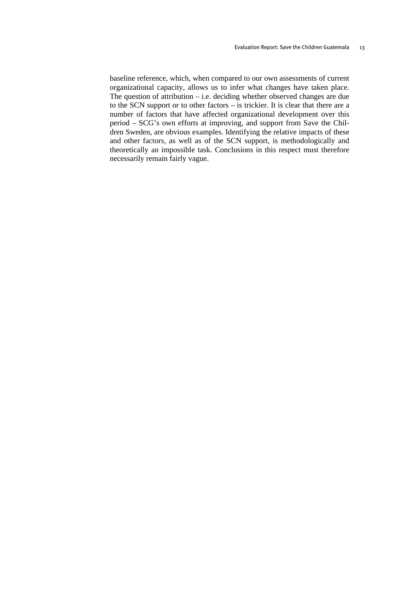baseline reference, which, when compared to our own assessments of current organizational capacity, allows us to infer what changes have taken place. The question of attribution – i.e. deciding whether observed changes are due to the SCN support or to other factors – is trickier. It is clear that there are a number of factors that have affected organizational development over this period – SCG's own efforts at improving, and support from Save the Children Sweden, are obvious examples. Identifying the relative impacts of these and other factors, as well as of the SCN support, is methodologically and theoretically an impossible task. Conclusions in this respect must therefore necessarily remain fairly vague.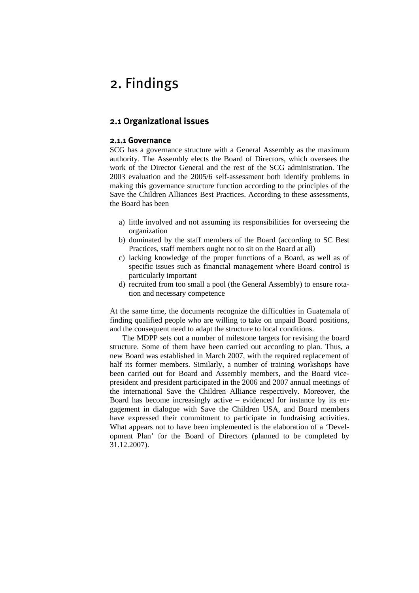# <span id="page-18-1"></span><span id="page-18-0"></span>2. Findings

#### <span id="page-18-2"></span>**2.1 Organizational issues**

#### **2.1.1 Governance**

<span id="page-18-3"></span>SCG has a governance structure with a General Assembly as the maximum authority. The Assembly elects the Board of Directors, which oversees the work of the Director General and the rest of the SCG administration. The 2003 evaluation and the 2005/6 self-assessment both identify problems in making this governance structure function according to the principles of the Save the Children Alliances Best Practices. According to these assessments, the Board has been

- a) little involved and not assuming its responsibilities for overseeing the organization
- b) dominated by the staff members of the Board (according to SC Best Practices, staff members ought not to sit on the Board at all)
- c) lacking knowledge of the proper functions of a Board, as well as of specific issues such as financial management where Board control is particularly important
- d) recruited from too small a pool (the General Assembly) to ensure rotation and necessary competence

At the same time, the documents recognize the difficulties in Guatemala of finding qualified people who are willing to take on unpaid Board positions, and the consequent need to adapt the structure to local conditions.

The MDPP sets out a number of milestone targets for revising the board structure. Some of them have been carried out according to plan. Thus, a new Board was established in March 2007, with the required replacement of half its former members. Similarly, a number of training workshops have been carried out for Board and Assembly members, and the Board vicepresident and president participated in the 2006 and 2007 annual meetings of the international Save the Children Alliance respectively. Moreover, the Board has become increasingly active – evidenced for instance by its engagement in dialogue with Save the Children USA, and Board members have expressed their commitment to participate in fundraising activities. What appears not to have been implemented is the elaboration of a 'Development Plan' for the Board of Directors (planned to be completed by 31.12.2007).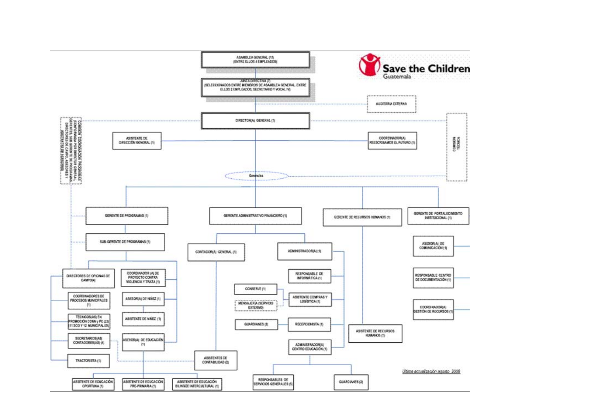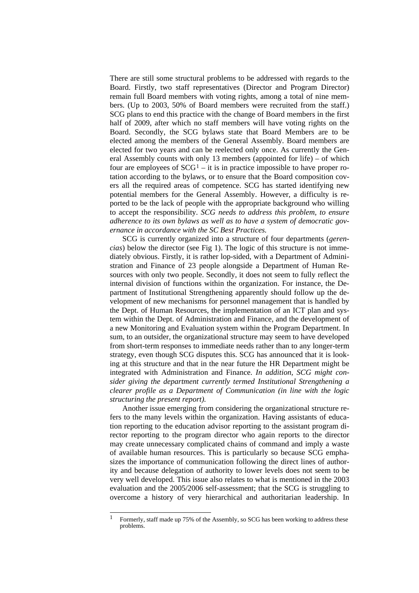<span id="page-20-0"></span>There are still some structural problems to be addressed with regards to the Board. Firstly, two staff representatives (Director and Program Director) remain full Board members with voting rights, among a total of nine members. (Up to 2003, 50% of Board members were recruited from the staff.) SCG plans to end this practice with the change of Board members in the first half of 2009, after which no staff members will have voting rights on the Board. Secondly, the SCG bylaws state that Board Members are to be elected among the members of the General Assembly. Board members are elected for two years and can be reelected only once. As currently the General Assembly counts with only 13 members (appointed for life) – of which four are employees of  $SCG<sup>1</sup> - it$  is in practice impossible to have proper rotation according to the bylaws, or to ensure that the Board composition covers all the required areas of competence. SCG has started identifying new potential members for the General Assembly. However, a difficulty is reported to be the lack of people with the appropriate background who willing to accept the responsibility. *SCG needs to address this problem, to ensure adherence to its own bylaws as well as to have a system of democratic governance in accordance with the SC Best Practices.*

SCG is currently organized into a structure of four departments (*gerencias*) below the director (see Fig 1). The logic of this structure is not immediately obvious. Firstly, it is rather lop-sided, with a Department of Administration and Finance of 23 people alongside a Department of Human Resources with only two people. Secondly, it does not seem to fully reflect the internal division of functions within the organization. For instance, the Department of Institutional Strengthening apparently should follow up the development of new mechanisms for personnel management that is handled by the Dept. of Human Resources, the implementation of an ICT plan and system within the Dept. of Administration and Finance, and the development of a new Monitoring and Evaluation system within the Program Department. In sum, to an outsider, the organizational structure may seem to have developed from short-term responses to immediate needs rather than to any longer-term strategy, even though SCG disputes this. SCG has announced that it is looking at this structure and that in the near future the HR Department might be integrated with Administration and Finance. *In addition, SCG might consider giving the department currently termed Institutional Strengthening a clearer profile as a Department of Communication (in line with the logic structuring the present report).*

Another issue emerging from considering the organizational structure refers to the many levels within the organization. Having assistants of education reporting to the education advisor reporting to the assistant program director reporting to the program director who again reports to the director may create unnecessary complicated chains of command and imply a waste of available human resources. This is particularly so because SCG emphasizes the importance of communication following the direct lines of authority and because delegation of authority to lower levels does not seem to be very well developed. This issue also relates to what is mentioned in the 2003 evaluation and the 2005/2006 self-assessment; that the SCG is struggling to overcome a history of very hierarchical and authoritarian leadership. In

 $\mathbf{1}$ 1 Formerly, staff made up 75% of the Assembly, so SCG has been working to address these problems.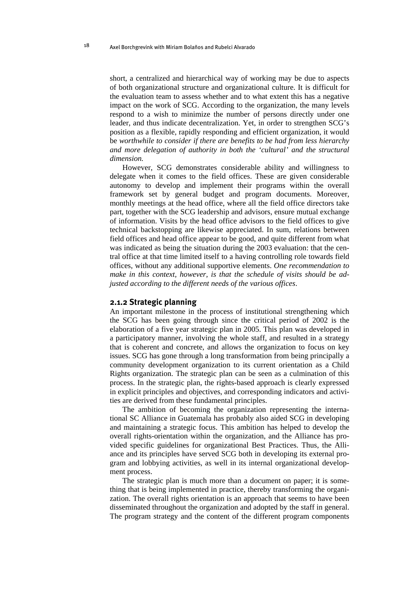<span id="page-21-0"></span>short, a centralized and hierarchical way of working may be due to aspects of both organizational structure and organizational culture. It is difficult for the evaluation team to assess whether and to what extent this has a negative impact on the work of SCG. According to the organization, the many levels respond to a wish to minimize the number of persons directly under one leader, and thus indicate decentralization. Yet, in order to strengthen SCG's position as a flexible, rapidly responding and efficient organization, it would be *worthwhile to consider if there are benefits to be had from less hierarchy and more delegation of authority in both the 'cultural' and the structural dimension.*

However, SCG demonstrates considerable ability and willingness to delegate when it comes to the field offices. These are given considerable autonomy to develop and implement their programs within the overall framework set by general budget and program documents. Moreover, monthly meetings at the head office, where all the field office directors take part, together with the SCG leadership and advisors, ensure mutual exchange of information. Visits by the head office advisors to the field offices to give technical backstopping are likewise appreciated. In sum, relations between field offices and head office appear to be good, and quite different from what was indicated as being the situation during the 2003 evaluation: that the central office at that time limited itself to a having controlling role towards field offices, without any additional supportive elements. *One recommendation to make in this context, however, is that the schedule of visits should be adjusted according to the different needs of the various offices*.

#### **2.1.2 Strategic planning**

<span id="page-21-1"></span>An important milestone in the process of institutional strengthening which the SCG has been going through since the critical period of 2002 is the elaboration of a five year strategic plan in 2005. This plan was developed in a participatory manner, involving the whole staff, and resulted in a strategy that is coherent and concrete, and allows the organization to focus on key issues. SCG has gone through a long transformation from being principally a community development organization to its current orientation as a Child Rights organization. The strategic plan can be seen as a culmination of this process. In the strategic plan, the rights-based approach is clearly expressed in explicit principles and objectives, and corresponding indicators and activities are derived from these fundamental principles.

The ambition of becoming the organization representing the international SC Alliance in Guatemala has probably also aided SCG in developing and maintaining a strategic focus. This ambition has helped to develop the overall rights-orientation within the organization, and the Alliance has provided specific guidelines for organizational Best Practices. Thus, the Alliance and its principles have served SCG both in developing its external program and lobbying activities, as well in its internal organizational development process.

The strategic plan is much more than a document on paper; it is something that is being implemented in practice, thereby transforming the organization. The overall rights orientation is an approach that seems to have been disseminated throughout the organization and adopted by the staff in general. The program strategy and the content of the different program components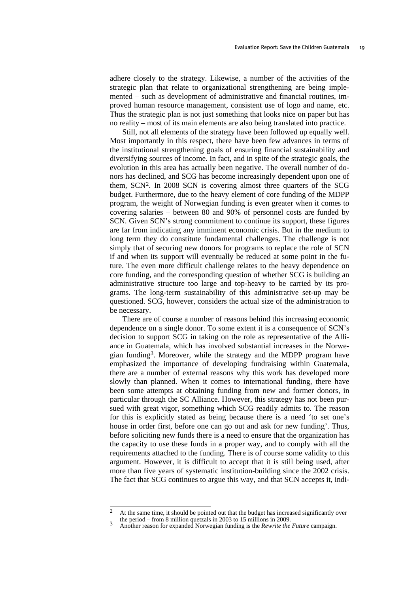<span id="page-22-0"></span>adhere closely to the strategy. Likewise, a number of the activities of the strategic plan that relate to organizational strengthening are being implemented – such as development of administrative and financial routines, improved human resource management, consistent use of logo and name, etc. Thus the strategic plan is not just something that looks nice on paper but has no reality – most of its main elements are also being translated into practice.

Still, not all elements of the strategy have been followed up equally well. Most importantly in this respect, there have been few advances in terms of the institutional strengthening goals of ensuring financial sustainability and diversifying sources of income. In fact, and in spite of the strategic goals, the evolution in this area has actually been negative. The overall number of donors has declined, and SCG has become increasingly dependent upon one of them, SCN[2](#page-22-0). In 2008 SCN is covering almost three quarters of the SCG budget. Furthermore, due to the heavy element of core funding of the MDPP program, the weight of Norwegian funding is even greater when it comes to covering salaries – between 80 and 90% of personnel costs are funded by SCN. Given SCN's strong commitment to continue its support, these figures are far from indicating any imminent economic crisis. But in the medium to long term they do constitute fundamental challenges. The challenge is not simply that of securing new donors for programs to replace the role of SCN if and when its support will eventually be reduced at some point in the future. The even more difficult challenge relates to the heavy dependence on core funding, and the corresponding question of whether SCG is building an administrative structure too large and top-heavy to be carried by its programs. The long-term sustainability of this administrative set-up may be questioned. SCG, however, considers the actual size of the administration to be necessary.

There are of course a number of reasons behind this increasing economic dependence on a single donor. To some extent it is a consequence of SCN's decision to support SCG in taking on the role as representative of the Alliance in Guatemala, which has involved substantial increases in the Norwegian funding[3.](#page-22-0) Moreover, while the strategy and the MDPP program have emphasized the importance of developing fundraising within Guatemala, there are a number of external reasons why this work has developed more slowly than planned. When it comes to international funding, there have been some attempts at obtaining funding from new and former donors, in particular through the SC Alliance. However, this strategy has not been pursued with great vigor, something which SCG readily admits to. The reason for this is explicitly stated as being because there is a need 'to set one's house in order first, before one can go out and ask for new funding'. Thus, before soliciting new funds there is a need to ensure that the organization has the capacity to use these funds in a proper way, and to comply with all the requirements attached to the funding. There is of course some validity to this argument. However, it is difficult to accept that it is still being used, after more than five years of systematic institution-building since the 2002 crisis. The fact that SCG continues to argue this way, and that SCN accepts it, indi-

 $\mathcal{L}$ At the same time, it should be pointed out that the budget has increased significantly over the period – from 8 million quetzals in 2003 to 15 millions in 2009.

Another reason for expanded Norwegian funding is the *Rewrite the Future* campaign.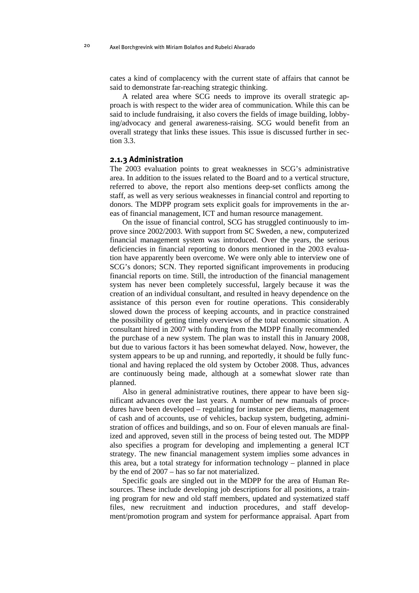<span id="page-23-0"></span>cates a kind of complacency with the current state of affairs that cannot be said to demonstrate far-reaching strategic thinking.

A related area where SCG needs to improve its overall strategic approach is with respect to the wider area of communication. While this can be said to include fundraising, it also covers the fields of image building, lobbying/advocacy and general awareness-raising. SCG would benefit from an overall strategy that links these issues. This issue is discussed further in section 3.3.

#### <span id="page-23-1"></span>**2.1.3 Administration**

The 2003 evaluation points to great weaknesses in SCG's administrative area. In addition to the issues related to the Board and to a vertical structure, referred to above, the report also mentions deep-set conflicts among the staff, as well as very serious weaknesses in financial control and reporting to donors. The MDPP program sets explicit goals for improvements in the areas of financial management, ICT and human resource management.

On the issue of financial control, SCG has struggled continuously to improve since 2002/2003. With support from SC Sweden, a new, computerized financial management system was introduced. Over the years, the serious deficiencies in financial reporting to donors mentioned in the 2003 evaluation have apparently been overcome. We were only able to interview one of SCG's donors; SCN. They reported significant improvements in producing financial reports on time. Still, the introduction of the financial management system has never been completely successful, largely because it was the creation of an individual consultant, and resulted in heavy dependence on the assistance of this person even for routine operations. This considerably slowed down the process of keeping accounts, and in practice constrained the possibility of getting timely overviews of the total economic situation. A consultant hired in 2007 with funding from the MDPP finally recommended the purchase of a new system. The plan was to install this in January 2008, but due to various factors it has been somewhat delayed. Now, however, the system appears to be up and running, and reportedly, it should be fully functional and having replaced the old system by October 2008. Thus, advances are continuously being made, although at a somewhat slower rate than planned.

Also in general administrative routines, there appear to have been significant advances over the last years. A number of new manuals of procedures have been developed – regulating for instance per diems, management of cash and of accounts, use of vehicles, backup system, budgeting, administration of offices and buildings, and so on. Four of eleven manuals are finalized and approved, seven still in the process of being tested out. The MDPP also specifies a program for developing and implementing a general ICT strategy. The new financial management system implies some advances in this area, but a total strategy for information technology – planned in place by the end of 2007 – has so far not materialized.

Specific goals are singled out in the MDPP for the area of Human Resources. These include developing job descriptions for all positions, a training program for new and old staff members, updated and systematized staff files, new recruitment and induction procedures, and staff development/promotion program and system for performance appraisal. Apart from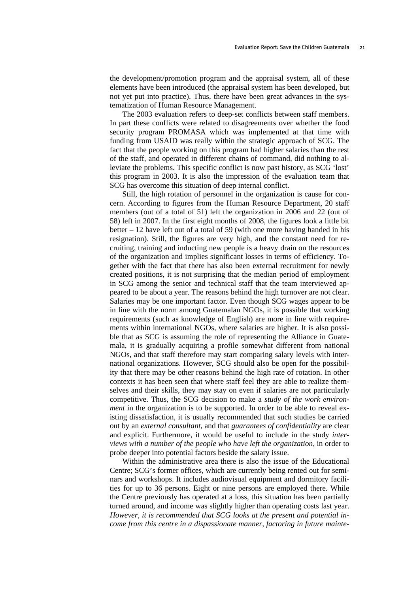the development/promotion program and the appraisal system, all of these elements have been introduced (the appraisal system has been developed, but not yet put into practice). Thus, there have been great advances in the systematization of Human Resource Management.

The 2003 evaluation refers to deep-set conflicts between staff members. In part these conflicts were related to disagreements over whether the food security program PROMASA which was implemented at that time with funding from USAID was really within the strategic approach of SCG. The fact that the people working on this program had higher salaries than the rest of the staff, and operated in different chains of command, did nothing to alleviate the problems. This specific conflict is now past history, as SCG 'lost' this program in 2003. It is also the impression of the evaluation team that SCG has overcome this situation of deep internal conflict.

Still, the high rotation of personnel in the organization is cause for concern. According to figures from the Human Resource Department, 20 staff members (out of a total of 51) left the organization in 2006 and 22 (out of 58) left in 2007. In the first eight months of 2008, the figures look a little bit better – 12 have left out of a total of 59 (with one more having handed in his resignation). Still, the figures are very high, and the constant need for recruiting, training and inducting new people is a heavy drain on the resources of the organization and implies significant losses in terms of efficiency. Together with the fact that there has also been external recruitment for newly created positions, it is not surprising that the median period of employment in SCG among the senior and technical staff that the team interviewed appeared to be about a year. The reasons behind the high turnover are not clear. Salaries may be one important factor. Even though SCG wages appear to be in line with the norm among Guatemalan NGOs, it is possible that working requirements (such as knowledge of English) are more in line with requirements within international NGOs, where salaries are higher. It is also possible that as SCG is assuming the role of representing the Alliance in Guatemala, it is gradually acquiring a profile somewhat different from national NGOs, and that staff therefore may start comparing salary levels with international organizations. However, SCG should also be open for the possibility that there may be other reasons behind the high rate of rotation. In other contexts it has been seen that where staff feel they are able to realize themselves and their skills, they may stay on even if salaries are not particularly competitive. Thus, the SCG decision to make a *study of the work environment* in the organization is to be supported. In order to be able to reveal existing dissatisfaction, it is usually recommended that such studies be carried out by an *external consultant*, and that *guarantees of confidentiality* are clear and explicit. Furthermore, it would be useful to include in the study *interviews with a number of the people who have left the organization*, in order to probe deeper into potential factors beside the salary issue.

Within the administrative area there is also the issue of the Educational Centre; SCG's former offices, which are currently being rented out for seminars and workshops. It includes audiovisual equipment and dormitory facilities for up to 36 persons. Eight or nine persons are employed there. While the Centre previously has operated at a loss, this situation has been partially turned around, and income was slightly higher than operating costs last year. *However, it is recommended that SCG looks at the present and potential income from this centre in a dispassionate manner, factoring in future mainte-*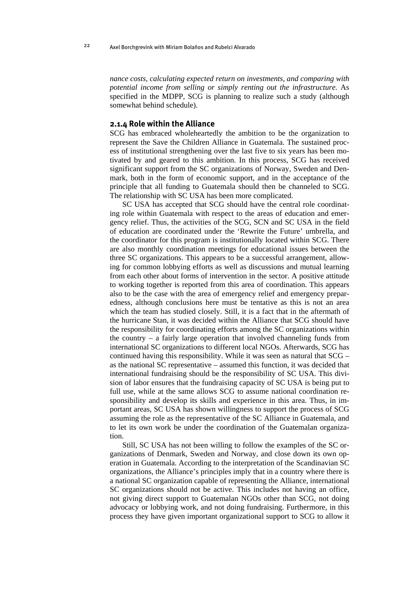*nance costs, calculating expected return on investments, and comparing with potential income from selling or simply renting out the infrastructure.* As specified in the MDPP, SCG is planning to realize such a study (although somewhat behind schedule).

#### <span id="page-25-1"></span>**2.1.4 Role within the Alliance**

SCG has embraced wholeheartedly the ambition to be the organization to represent the Save the Children Alliance in Guatemala. The sustained process of institutional strengthening over the last five to six years has been motivated by and geared to this ambition. In this process, SCG has received significant support from the SC organizations of Norway, Sweden and Denmark, both in the form of economic support, and in the acceptance of the principle that all funding to Guatemala should then be channeled to SCG. The relationship with SC USA has been more complicated.

SC USA has accepted that SCG should have the central role coordinating role within Guatemala with respect to the areas of education and emergency relief. Thus, the activities of the SCG, SCN and SC USA in the field of education are coordinated under the 'Rewrite the Future' umbrella, and the coordinator for this program is institutionally located within SCG. There are also monthly coordination meetings for educational issues between the three SC organizations. This appears to be a successful arrangement, allowing for common lobbying efforts as well as discussions and mutual learning from each other about forms of intervention in the sector. A positive attitude to working together is reported from this area of coordination. This appears also to be the case with the area of emergency relief and emergency preparedness, although conclusions here must be tentative as this is not an area which the team has studied closely. Still, it is a fact that in the aftermath of the hurricane Stan, it was decided within the Alliance that SCG should have the responsibility for coordinating efforts among the SC organizations within the country – a fairly large operation that involved channeling funds from international SC organizations to different local NGOs. Afterwards, SCG has continued having this responsibility. While it was seen as natural that SCG – as the national SC representative – assumed this function, it was decided that international fundraising should be the responsibility of SC USA. This division of labor ensures that the fundraising capacity of SC USA is being put to full use, while at the same allows SCG to assume national coordination responsibility and develop its skills and experience in this area. Thus, in important areas, SC USA has shown willingness to support the process of SCG assuming the role as the representative of the SC Alliance in Guatemala, and to let its own work be under the coordination of the Guatemalan organization.

Still, SC USA has not been willing to follow the examples of the SC organizations of Denmark, Sweden and Norway, and close down its own operation in Guatemala. According to the interpretation of the Scandinavian SC organizations, the Alliance's principles imply that in a country where there is a national SC organization capable of representing the Alliance, international SC organizations should not be active. This includes not having an office, not giving direct support to Guatemalan NGOs other than SCG, not doing advocacy or lobbying work, and not doing fundraising. Furthermore, in this process they have given important organizational support to SCG to allow it

<span id="page-25-0"></span>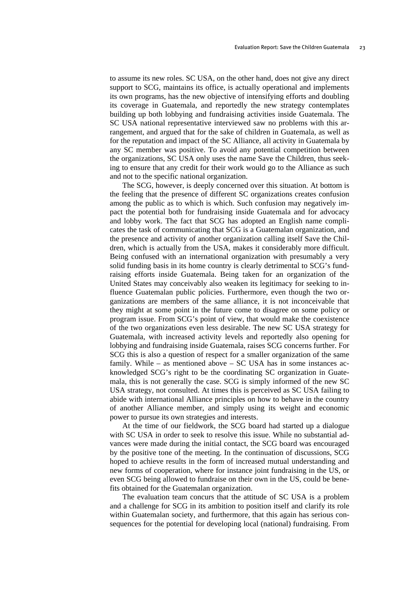to assume its new roles. SC USA, on the other hand, does not give any direct support to SCG, maintains its office, is actually operational and implements its own programs, has the new objective of intensifying efforts and doubling its coverage in Guatemala, and reportedly the new strategy contemplates building up both lobbying and fundraising activities inside Guatemala. The SC USA national representative interviewed saw no problems with this arrangement, and argued that for the sake of children in Guatemala, as well as for the reputation and impact of the SC Alliance, all activity in Guatemala by any SC member was positive. To avoid any potential competition between the organizations, SC USA only uses the name Save the Children, thus seeking to ensure that any credit for their work would go to the Alliance as such and not to the specific national organization.

The SCG, however, is deeply concerned over this situation. At bottom is the feeling that the presence of different SC organizations creates confusion among the public as to which is which. Such confusion may negatively impact the potential both for fundraising inside Guatemala and for advocacy and lobby work. The fact that SCG has adopted an English name complicates the task of communicating that SCG is a Guatemalan organization, and the presence and activity of another organization calling itself Save the Children, which is actually from the USA, makes it considerably more difficult. Being confused with an international organization with presumably a very solid funding basis in its home country is clearly detrimental to SCG's fundraising efforts inside Guatemala. Being taken for an organization of the United States may conceivably also weaken its legitimacy for seeking to influence Guatemalan public policies. Furthermore, even though the two organizations are members of the same alliance, it is not inconceivable that they might at some point in the future come to disagree on some policy or program issue. From SCG's point of view, that would make the coexistence of the two organizations even less desirable. The new SC USA strategy for Guatemala, with increased activity levels and reportedly also opening for lobbying and fundraising inside Guatemala, raises SCG concerns further. For SCG this is also a question of respect for a smaller organization of the same family. While – as mentioned above – SC USA has in some instances acknowledged SCG's right to be the coordinating SC organization in Guatemala, this is not generally the case. SCG is simply informed of the new SC USA strategy, not consulted. At times this is perceived as SC USA failing to abide with international Alliance principles on how to behave in the country of another Alliance member, and simply using its weight and economic power to pursue its own strategies and interests.

At the time of our fieldwork, the SCG board had started up a dialogue with SC USA in order to seek to resolve this issue. While no substantial advances were made during the initial contact, the SCG board was encouraged by the positive tone of the meeting. In the continuation of discussions, SCG hoped to achieve results in the form of increased mutual understanding and new forms of cooperation, where for instance joint fundraising in the US, or even SCG being allowed to fundraise on their own in the US, could be benefits obtained for the Guatemalan organization.

The evaluation team concurs that the attitude of SC USA is a problem and a challenge for SCG in its ambition to position itself and clarify its role within Guatemalan society, and furthermore, that this again has serious consequences for the potential for developing local (national) fundraising. From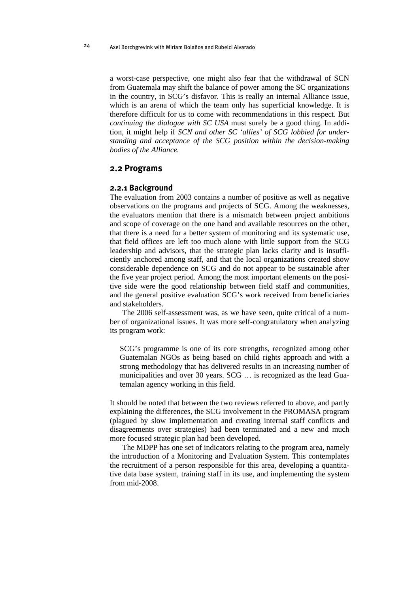<span id="page-27-0"></span>a worst-case perspective, one might also fear that the withdrawal of SCN from Guatemala may shift the balance of power among the SC organizations in the country, in SCG's disfavor. This is really an internal Alliance issue, which is an arena of which the team only has superficial knowledge. It is therefore difficult for us to come with recommendations in this respect. But *continuing the dialogue with SC USA* must surely be a good thing. In addition, it might help if *SCN and other SC 'allies' of SCG lobbied for understanding and acceptance of the SCG position within the decision-making bodies of the Alliance.* 

#### <span id="page-27-1"></span>**2.2 Programs**

#### **2.2.1 Background**

<span id="page-27-2"></span>The evaluation from 2003 contains a number of positive as well as negative observations on the programs and projects of SCG. Among the weaknesses, the evaluators mention that there is a mismatch between project ambitions and scope of coverage on the one hand and available resources on the other, that there is a need for a better system of monitoring and its systematic use, that field offices are left too much alone with little support from the SCG leadership and advisors, that the strategic plan lacks clarity and is insufficiently anchored among staff, and that the local organizations created show considerable dependence on SCG and do not appear to be sustainable after the five year project period. Among the most important elements on the positive side were the good relationship between field staff and communities, and the general positive evaluation SCG's work received from beneficiaries and stakeholders.

The 2006 self-assessment was, as we have seen, quite critical of a number of organizational issues. It was more self-congratulatory when analyzing its program work:

SCG's programme is one of its core strengths, recognized among other Guatemalan NGOs as being based on child rights approach and with a strong methodology that has delivered results in an increasing number of municipalities and over 30 years. SCG … is recognized as the lead Guatemalan agency working in this field.

It should be noted that between the two reviews referred to above, and partly explaining the differences, the SCG involvement in the PROMASA program (plagued by slow implementation and creating internal staff conflicts and disagreements over strategies) had been terminated and a new and much more focused strategic plan had been developed.

The MDPP has one set of indicators relating to the program area, namely the introduction of a Monitoring and Evaluation System. This contemplates the recruitment of a person responsible for this area, developing a quantitative data base system, training staff in its use, and implementing the system from mid-2008.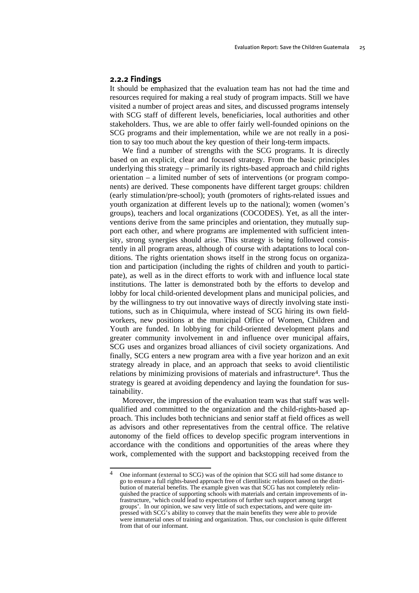#### <span id="page-28-0"></span>**2.2.2 Findings**

<span id="page-28-1"></span>It should be emphasized that the evaluation team has not had the time and resources required for making a real study of program impacts. Still we have visited a number of project areas and sites, and discussed programs intensely with SCG staff of different levels, beneficiaries, local authorities and other stakeholders. Thus, we are able to offer fairly well-founded opinions on the SCG programs and their implementation, while we are not really in a position to say too much about the key question of their long-term impacts.

We find a number of strengths with the SCG programs. It is directly based on an explicit, clear and focused strategy. From the basic principles underlying this strategy – primarily its rights-based approach and child rights orientation – a limited number of sets of interventions (or program components) are derived. These components have different target groups: children (early stimulation/pre-school); youth (promoters of rights-related issues and youth organization at different levels up to the national); women (women's groups), teachers and local organizations (COCODES). Yet, as all the interventions derive from the same principles and orientation, they mutually support each other, and where programs are implemented with sufficient intensity, strong synergies should arise. This strategy is being followed consistently in all program areas, although of course with adaptations to local conditions. The rights orientation shows itself in the strong focus on organization and participation (including the rights of children and youth to participate), as well as in the direct efforts to work with and influence local state institutions. The latter is demonstrated both by the efforts to develop and lobby for local child-oriented development plans and municipal policies, and by the willingness to try out innovative ways of directly involving state institutions, such as in Chiquimula, where instead of SCG hiring its own fieldworkers, new positions at the municipal Office of Women, Children and Youth are funded. In lobbying for child-oriented development plans and greater community involvement in and influence over municipal affairs, SCG uses and organizes broad alliances of civil society organizations. And finally, SCG enters a new program area with a five year horizon and an exit strategy already in place, and an approach that seeks to avoid clientilistic relations by minimizing provisions of materials and infrastructure<sup>4</sup>. Thus the strategy is geared at avoiding dependency and laying the foundation for sustainability.

Moreover, the impression of the evaluation team was that staff was wellqualified and committed to the organization and the child-rights-based approach. This includes both technicians and senior staff at field offices as well as advisors and other representatives from the central office. The relative autonomy of the field offices to develop specific program interventions in accordance with the conditions and opportunities of the areas where they work, complemented with the support and backstopping received from the

 $\overline{4}$ 4 One informant (external to SCG) was of the opinion that SCG still had some distance to go to ensure a full rights-based approach free of clientilistic relations based on the distribution of material benefits. The example given was that SCG has not completely relinquished the practice of supporting schools with materials and certain improvements of infrastructure, 'which could lead to expectations of further such support among target groups'. In our opinion, we saw very little of such expectations, and were quite impressed with SCG's ability to convey that the main benefits they were able to provide were immaterial ones of training and organization. Thus, our conclusion is quite different from that of our informant.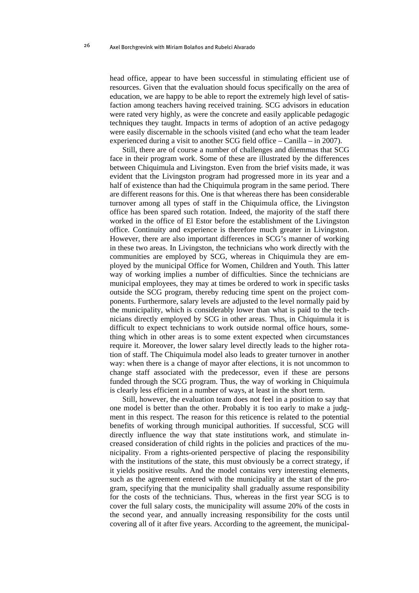head office, appear to have been successful in stimulating efficient use of resources. Given that the evaluation should focus specifically on the area of education, we are happy to be able to report the extremely high level of satisfaction among teachers having received training. SCG advisors in education were rated very highly, as were the concrete and easily applicable pedagogic techniques they taught. Impacts in terms of adoption of an active pedagogy were easily discernable in the schools visited (and echo what the team leader experienced during a visit to another SCG field office – Canilla – in 2007).

Still, there are of course a number of challenges and dilemmas that SCG face in their program work. Some of these are illustrated by the differences between Chiquimula and Livingston. Even from the brief visits made, it was evident that the Livingston program had progressed more in its year and a half of existence than had the Chiquimula program in the same period. There are different reasons for this. One is that whereas there has been considerable turnover among all types of staff in the Chiquimula office, the Livingston office has been spared such rotation. Indeed, the majority of the staff there worked in the office of El Estor before the establishment of the Livingston office. Continuity and experience is therefore much greater in Livingston. However, there are also important differences in SCG's manner of working in these two areas. In Livingston, the technicians who work directly with the communities are employed by SCG, whereas in Chiquimula they are employed by the municipal Office for Women, Children and Youth. This latter way of working implies a number of difficulties. Since the technicians are municipal employees, they may at times be ordered to work in specific tasks outside the SCG program, thereby reducing time spent on the project components. Furthermore, salary levels are adjusted to the level normally paid by the municipality, which is considerably lower than what is paid to the technicians directly employed by SCG in other areas. Thus, in Chiquimula it is difficult to expect technicians to work outside normal office hours, something which in other areas is to some extent expected when circumstances require it. Moreover, the lower salary level directly leads to the higher rotation of staff. The Chiquimula model also leads to greater turnover in another way: when there is a change of mayor after elections, it is not uncommon to change staff associated with the predecessor, even if these are persons funded through the SCG program. Thus, the way of working in Chiquimula is clearly less efficient in a number of ways, at least in the short term.

Still, however, the evaluation team does not feel in a position to say that one model is better than the other. Probably it is too early to make a judgment in this respect. The reason for this reticence is related to the potential benefits of working through municipal authorities. If successful, SCG will directly influence the way that state institutions work, and stimulate increased consideration of child rights in the policies and practices of the municipality. From a rights-oriented perspective of placing the responsibility with the institutions of the state, this must obviously be a correct strategy, if it yields positive results. And the model contains very interesting elements, such as the agreement entered with the municipality at the start of the program, specifying that the municipality shall gradually assume responsibility for the costs of the technicians. Thus, whereas in the first year SCG is to cover the full salary costs, the municipality will assume 20% of the costs in the second year, and annually increasing responsibility for the costs until covering all of it after five years. According to the agreement, the municipal-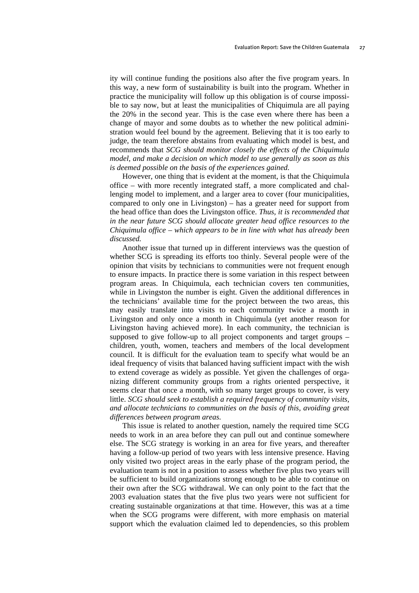ity will continue funding the positions also after the five program years. In this way, a new form of sustainability is built into the program. Whether in practice the municipality will follow up this obligation is of course impossible to say now, but at least the municipalities of Chiquimula are all paying the 20% in the second year. This is the case even where there has been a change of mayor and some doubts as to whether the new political administration would feel bound by the agreement. Believing that it is too early to judge, the team therefore abstains from evaluating which model is best, and recommends that *SCG should monitor closely the effects of the Chiquimula model, and make a decision on which model to use generally as soon as this is deemed possible on the basis of the experiences gained.* 

However, one thing that is evident at the moment, is that the Chiquimula office – with more recently integrated staff, a more complicated and challenging model to implement, and a larger area to cover (four municipalities, compared to only one in Livingston) – has a greater need for support from the head office than does the Livingston office. *Thus, it is recommended that in the near future SCG should allocate greater head office resources to the Chiquimula office – which appears to be in line with what has already been discussed.*

Another issue that turned up in different interviews was the question of whether SCG is spreading its efforts too thinly. Several people were of the opinion that visits by technicians to communities were not frequent enough to ensure impacts. In practice there is some variation in this respect between program areas. In Chiquimula, each technician covers ten communities, while in Livingston the number is eight. Given the additional differences in the technicians' available time for the project between the two areas, this may easily translate into visits to each community twice a month in Livingston and only once a month in Chiquimula (yet another reason for Livingston having achieved more). In each community, the technician is supposed to give follow-up to all project components and target groups – children, youth, women, teachers and members of the local development council. It is difficult for the evaluation team to specify what would be an ideal frequency of visits that balanced having sufficient impact with the wish to extend coverage as widely as possible. Yet given the challenges of organizing different community groups from a rights oriented perspective, it seems clear that once a month, with so many target groups to cover, is very little. *SCG should seek to establish a required frequency of community visits, and allocate technicians to communities on the basis of this, avoiding great differences between program areas.*

This issue is related to another question, namely the required time SCG needs to work in an area before they can pull out and continue somewhere else. The SCG strategy is working in an area for five years, and thereafter having a follow-up period of two years with less intensive presence. Having only visited two project areas in the early phase of the program period, the evaluation team is not in a position to assess whether five plus two years will be sufficient to build organizations strong enough to be able to continue on their own after the SCG withdrawal. We can only point to the fact that the 2003 evaluation states that the five plus two years were not sufficient for creating sustainable organizations at that time. However, this was at a time when the SCG programs were different, with more emphasis on material support which the evaluation claimed led to dependencies, so this problem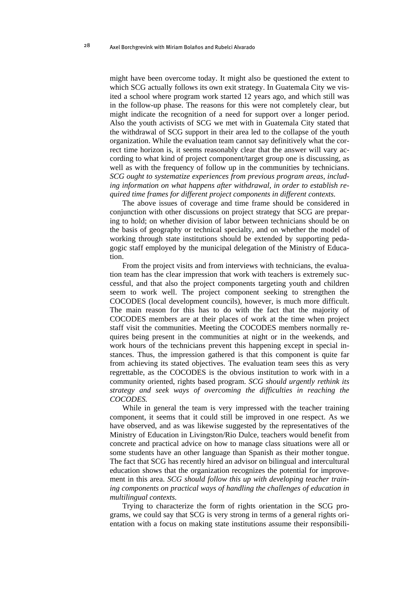might have been overcome today. It might also be questioned the extent to which SCG actually follows its own exit strategy. In Guatemala City we visited a school where program work started 12 years ago, and which still was in the follow-up phase. The reasons for this were not completely clear, but might indicate the recognition of a need for support over a longer period. Also the youth activists of SCG we met with in Guatemala City stated that the withdrawal of SCG support in their area led to the collapse of the youth organization. While the evaluation team cannot say definitively what the correct time horizon is, it seems reasonably clear that the answer will vary according to what kind of project component/target group one is discussing, as well as with the frequency of follow up in the communities by technicians. *SCG ought to systematize experiences from previous program areas, including information on what happens after withdrawal, in order to establish required time frames for different project components in different contexts.*

The above issues of coverage and time frame should be considered in conjunction with other discussions on project strategy that SCG are preparing to hold; on whether division of labor between technicians should be on the basis of geography or technical specialty, and on whether the model of working through state institutions should be extended by supporting pedagogic staff employed by the municipal delegation of the Ministry of Education.

From the project visits and from interviews with technicians, the evaluation team has the clear impression that work with teachers is extremely successful, and that also the project components targeting youth and children seem to work well. The project component seeking to strengthen the COCODES (local development councils), however, is much more difficult. The main reason for this has to do with the fact that the majority of COCODES members are at their places of work at the time when project staff visit the communities. Meeting the COCODES members normally requires being present in the communities at night or in the weekends, and work hours of the technicians prevent this happening except in special instances. Thus, the impression gathered is that this component is quite far from achieving its stated objectives. The evaluation team sees this as very regrettable, as the COCODES is the obvious institution to work with in a community oriented, rights based program. *SCG should urgently rethink its strategy and seek ways of overcoming the difficulties in reaching the COCODES.*

While in general the team is very impressed with the teacher training component, it seems that it could still be improved in one respect. As we have observed, and as was likewise suggested by the representatives of the Ministry of Education in Livingston/Rio Dulce, teachers would benefit from concrete and practical advice on how to manage class situations were all or some students have an other language than Spanish as their mother tongue. The fact that SCG has recently hired an advisor on bilingual and intercultural education shows that the organization recognizes the potential for improvement in this area. *SCG should follow this up with developing teacher training components on practical ways of handling the challenges of education in multilingual contexts.*

Trying to characterize the form of rights orientation in the SCG programs, we could say that SCG is very strong in terms of a general rights orientation with a focus on making state institutions assume their responsibili-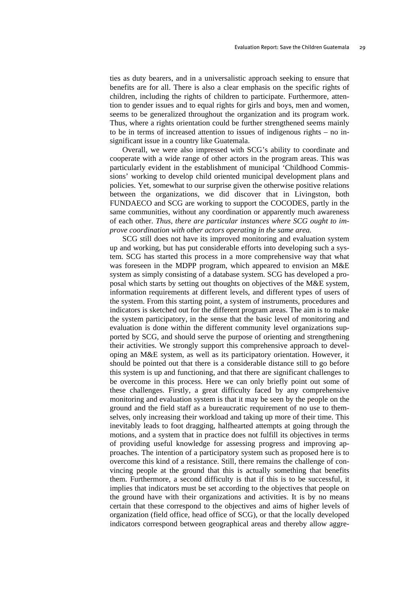ties as duty bearers, and in a universalistic approach seeking to ensure that benefits are for all. There is also a clear emphasis on the specific rights of children, including the rights of children to participate. Furthermore, attention to gender issues and to equal rights for girls and boys, men and women, seems to be generalized throughout the organization and its program work. Thus, where a rights orientation could be further strengthened seems mainly to be in terms of increased attention to issues of indigenous rights – no insignificant issue in a country like Guatemala.

Overall, we were also impressed with SCG's ability to coordinate and cooperate with a wide range of other actors in the program areas. This was particularly evident in the establishment of municipal 'Childhood Commissions' working to develop child oriented municipal development plans and policies. Yet, somewhat to our surprise given the otherwise positive relations between the organizations, we did discover that in Livingston, both FUNDAECO and SCG are working to support the COCODES, partly in the same communities, without any coordination or apparently much awareness of each other. *Thus, there are particular instances where SCG ought to improve coordination with other actors operating in the same area.*

SCG still does not have its improved monitoring and evaluation system up and working, but has put considerable efforts into developing such a system. SCG has started this process in a more comprehensive way that what was foreseen in the MDPP program, which appeared to envision an M&E system as simply consisting of a database system. SCG has developed a proposal which starts by setting out thoughts on objectives of the M&E system, information requirements at different levels, and different types of users of the system. From this starting point, a system of instruments, procedures and indicators is sketched out for the different program areas. The aim is to make the system participatory, in the sense that the basic level of monitoring and evaluation is done within the different community level organizations supported by SCG, and should serve the purpose of orienting and strengthening their activities. We strongly support this comprehensive approach to developing an M&E system, as well as its participatory orientation. However, it should be pointed out that there is a considerable distance still to go before this system is up and functioning, and that there are significant challenges to be overcome in this process. Here we can only briefly point out some of these challenges. Firstly, a great difficulty faced by any comprehensive monitoring and evaluation system is that it may be seen by the people on the ground and the field staff as a bureaucratic requirement of no use to themselves, only increasing their workload and taking up more of their time. This inevitably leads to foot dragging, halfhearted attempts at going through the motions, and a system that in practice does not fulfill its objectives in terms of providing useful knowledge for assessing progress and improving approaches. The intention of a participatory system such as proposed here is to overcome this kind of a resistance. Still, there remains the challenge of convincing people at the ground that this is actually something that benefits them. Furthermore, a second difficulty is that if this is to be successful, it implies that indicators must be set according to the objectives that people on the ground have with their organizations and activities. It is by no means certain that these correspond to the objectives and aims of higher levels of organization (field office, head office of SCG), or that the locally developed indicators correspond between geographical areas and thereby allow aggre-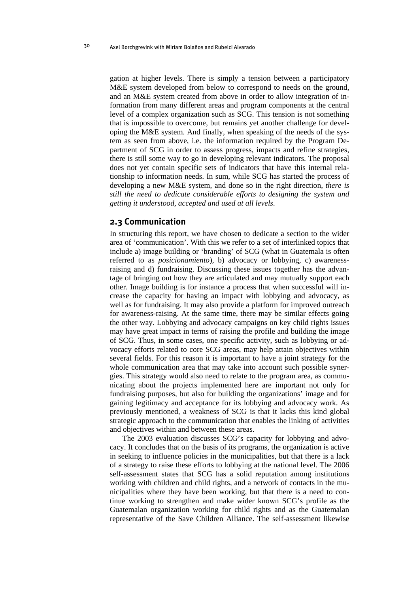<span id="page-33-0"></span>gation at higher levels. There is simply a tension between a participatory M&E system developed from below to correspond to needs on the ground, and an M&E system created from above in order to allow integration of information from many different areas and program components at the central level of a complex organization such as SCG. This tension is not something that is impossible to overcome, but remains yet another challenge for developing the M&E system. And finally, when speaking of the needs of the system as seen from above, i.e. the information required by the Program Department of SCG in order to assess progress, impacts and refine strategies, there is still some way to go in developing relevant indicators. The proposal does not yet contain specific sets of indicators that have this internal relationship to information needs. In sum, while SCG has started the process of developing a new M&E system, and done so in the right direction, *there is still the need to dedicate considerable efforts to designing the system and getting it understood, accepted and used at all levels*.

#### **2.3 Communication**

<span id="page-33-1"></span>In structuring this report, we have chosen to dedicate a section to the wider area of 'communication'. With this we refer to a set of interlinked topics that include a) image building or 'branding' of SCG (what in Guatemala is often referred to as *posicionamiento*), b) advocacy or lobbying, c) awarenessraising and d) fundraising. Discussing these issues together has the advantage of bringing out how they are articulated and may mutually support each other. Image building is for instance a process that when successful will increase the capacity for having an impact with lobbying and advocacy, as well as for fundraising. It may also provide a platform for improved outreach for awareness-raising. At the same time, there may be similar effects going the other way. Lobbying and advocacy campaigns on key child rights issues may have great impact in terms of raising the profile and building the image of SCG. Thus, in some cases, one specific activity, such as lobbying or advocacy efforts related to core SCG areas, may help attain objectives within several fields. For this reason it is important to have a joint strategy for the whole communication area that may take into account such possible synergies. This strategy would also need to relate to the program area, as communicating about the projects implemented here are important not only for fundraising purposes, but also for building the organizations' image and for gaining legitimacy and acceptance for its lobbying and advocacy work. As previously mentioned, a weakness of SCG is that it lacks this kind global strategic approach to the communication that enables the linking of activities and objectives within and between these areas.

The 2003 evaluation discusses SCG's capacity for lobbying and advocacy. It concludes that on the basis of its programs, the organization is active in seeking to influence policies in the municipalities, but that there is a lack of a strategy to raise these efforts to lobbying at the national level. The 2006 self-assessment states that SCG has a solid reputation among institutions working with children and child rights, and a network of contacts in the municipalities where they have been working, but that there is a need to continue working to strengthen and make wider known SCG's profile as the Guatemalan organization working for child rights and as the Guatemalan representative of the Save Children Alliance. The self-assessment likewise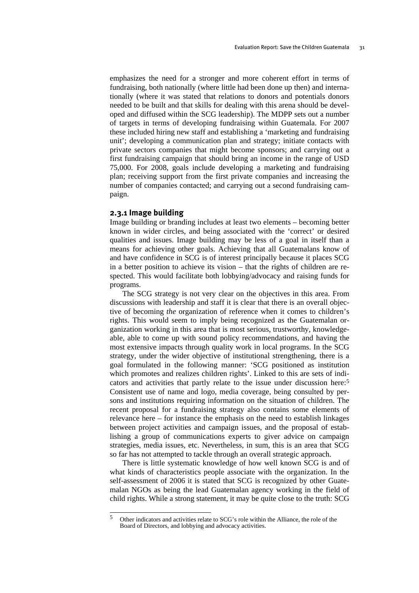<span id="page-34-0"></span>emphasizes the need for a stronger and more coherent effort in terms of fundraising, both nationally (where little had been done up then) and internationally (where it was stated that relations to donors and potentials donors needed to be built and that skills for dealing with this arena should be developed and diffused within the SCG leadership). The MDPP sets out a number of targets in terms of developing fundraising within Guatemala. For 2007 these included hiring new staff and establishing a 'marketing and fundraising unit'; developing a communication plan and strategy; initiate contacts with private sectors companies that might become sponsors; and carrying out a first fundraising campaign that should bring an income in the range of USD 75,000. For 2008, goals include developing a marketing and fundraising plan; receiving support from the first private companies and increasing the number of companies contacted; and carrying out a second fundraising campaign.

#### **2.3.1 Image building**

<span id="page-34-1"></span>Image building or branding includes at least two elements – becoming better known in wider circles, and being associated with the 'correct' or desired qualities and issues. Image building may be less of a goal in itself than a means for achieving other goals. Achieving that all Guatemalans know of and have confidence in SCG is of interest principally because it places SCG in a better position to achieve its vision – that the rights of children are respected. This would facilitate both lobbying/advocacy and raising funds for programs.

The SCG strategy is not very clear on the objectives in this area. From discussions with leadership and staff it is clear that there is an overall objective of becoming *the* organization of reference when it comes to children's rights. This would seem to imply being recognized as the Guatemalan organization working in this area that is most serious, trustworthy, knowledgeable, able to come up with sound policy recommendations, and having the most extensive impacts through quality work in local programs. In the SCG strategy, under the wider objective of institutional strengthening, there is a goal formulated in the following manner: 'SCG positioned as institution which promotes and realizes children rights'. Linked to this are sets of indicators and activities that partly relate to the issue under discussion here:[5](#page-34-0) Consistent use of name and logo, media coverage, being consulted by persons and institutions requiring information on the situation of children. The recent proposal for a fundraising strategy also contains some elements of relevance here – for instance the emphasis on the need to establish linkages between project activities and campaign issues, and the proposal of establishing a group of communications experts to giver advice on campaign strategies, media issues, etc. Nevertheless, in sum, this is an area that SCG so far has not attempted to tackle through an overall strategic approach.

There is little systematic knowledge of how well known SCG is and of what kinds of characteristics people associate with the organization. In the self-assessment of 2006 it is stated that SCG is recognized by other Guatemalan NGOs as being the lead Guatemalan agency working in the field of child rights. While a strong statement, it may be quite close to the truth: SCG

 $\overline{5}$ 5 Other indicators and activities relate to SCG's role within the Alliance, the role of the Board of Directors, and lobbying and advocacy activities.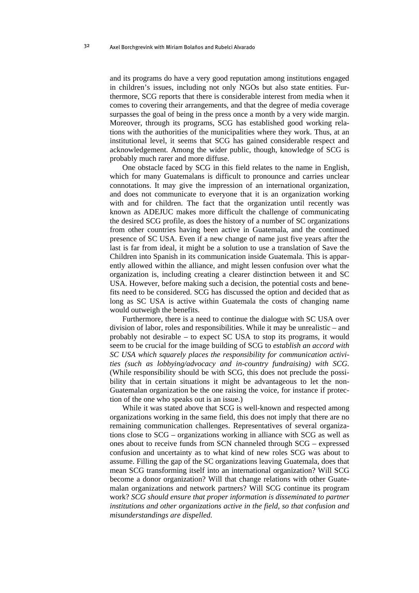and its programs do have a very good reputation among institutions engaged in children's issues, including not only NGOs but also state entities. Furthermore, SCG reports that there is considerable interest from media when it comes to covering their arrangements, and that the degree of media coverage surpasses the goal of being in the press once a month by a very wide margin. Moreover, through its programs, SCG has established good working relations with the authorities of the municipalities where they work. Thus, at an institutional level, it seems that SCG has gained considerable respect and acknowledgement. Among the wider public, though, knowledge of SCG is probably much rarer and more diffuse.

One obstacle faced by SCG in this field relates to the name in English, which for many Guatemalans is difficult to pronounce and carries unclear connotations. It may give the impression of an international organization, and does not communicate to everyone that it is an organization working with and for children. The fact that the organization until recently was known as ADEJUC makes more difficult the challenge of communicating the desired SCG profile, as does the history of a number of SC organizations from other countries having been active in Guatemala, and the continued presence of SC USA. Even if a new change of name just five years after the last is far from ideal, it might be a solution to use a translation of Save the Children into Spanish in its communication inside Guatemala. This is apparently allowed within the alliance, and might lessen confusion over what the organization is, including creating a clearer distinction between it and SC USA. However, before making such a decision, the potential costs and benefits need to be considered. SCG has discussed the option and decided that as long as SC USA is active within Guatemala the costs of changing name would outweigh the benefits.

Furthermore, there is a need to continue the dialogue with SC USA over division of labor, roles and responsibilities. While it may be unrealistic – and probably not desirable – to expect SC USA to stop its programs, it would seem to be crucial for the image building of SCG to *establish an accord with SC USA which squarely places the responsibility for communication activities (such as lobbying/advocacy and in-country fundraising) with SCG.* (While responsibility should be with SCG, this does not preclude the possibility that in certain situations it might be advantageous to let the non-Guatemalan organization be the one raising the voice, for instance if protection of the one who speaks out is an issue.)

While it was stated above that SCG is well-known and respected among organizations working in the same field, this does not imply that there are no remaining communication challenges. Representatives of several organizations close to SCG – organizations working in alliance with SCG as well as ones about to receive funds from SCN channeled through SCG – expressed confusion and uncertainty as to what kind of new roles SCG was about to assume. Filling the gap of the SC organizations leaving Guatemala, does that mean SCG transforming itself into an international organization? Will SCG become a donor organization? Will that change relations with other Guatemalan organizations and network partners? Will SCG continue its program work? *SCG should ensure that proper information is disseminated to partner institutions and other organizations active in the field, so that confusion and misunderstandings are dispelled.*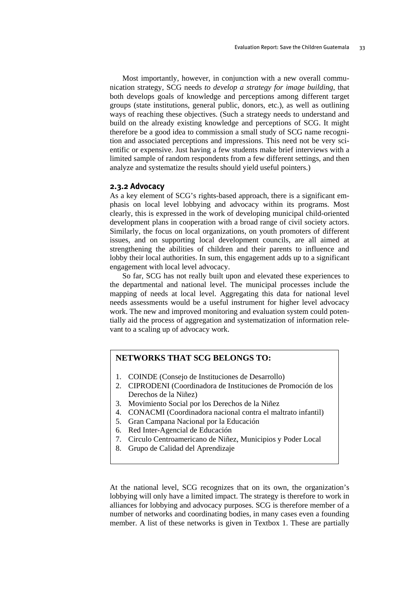Most importantly, however, in conjunction with a new overall communication strategy, SCG needs *to develop a strategy for image building*, that both develops goals of knowledge and perceptions among different target groups (state institutions, general public, donors, etc.), as well as outlining ways of reaching these objectives. (Such a strategy needs to understand and build on the already existing knowledge and perceptions of SCG. It might therefore be a good idea to commission a small study of SCG name recognition and associated perceptions and impressions. This need not be very scientific or expensive. Just having a few students make brief interviews with a limited sample of random respondents from a few different settings, and then analyze and systematize the results should yield useful pointers.)

#### **2.3.2 Advocacy**

As a key element of SCG's rights-based approach, there is a significant emphasis on local level lobbying and advocacy within its programs. Most clearly, this is expressed in the work of developing municipal child-oriented development plans in cooperation with a broad range of civil society actors. Similarly, the focus on local organizations, on youth promoters of different issues, and on supporting local development councils, are all aimed at strengthening the abilities of children and their parents to influence and lobby their local authorities. In sum, this engagement adds up to a significant engagement with local level advocacy.

So far, SCG has not really built upon and elevated these experiences to the departmental and national level. The municipal processes include the mapping of needs at local level. Aggregating this data for national level needs assessments would be a useful instrument for higher level advocacy work. The new and improved monitoring and evaluation system could potentially aid the process of aggregation and systematization of information relevant to a scaling up of advocacy work.

# **NETWORKS THAT SCG BELONGS TO:**

- 1. COINDE (Consejo de Instituciones de Desarrollo)
- 2. CIPRODENI (Coordinadora de Instituciones de Promoción de los Derechos de la Niñez)
- 3. Movimiento Social por los Derechos de la Niñez
- 4. CONACMI (Coordinadora nacional contra el maltrato infantil)
- 5. Gran Campana Nacional por la Educación
- 6. Red Inter-Agencial de Educación
- 7. Circulo Centroamericano de Niñez, Municipios y Poder Local
- 8. Grupo de Calidad del Aprendizaje

At the national level, SCG recognizes that on its own, the organization's lobbying will only have a limited impact. The strategy is therefore to work in alliances for lobbying and advocacy purposes. SCG is therefore member of a number of networks and coordinating bodies, in many cases even a founding member. A list of these networks is given in Textbox 1. These are partially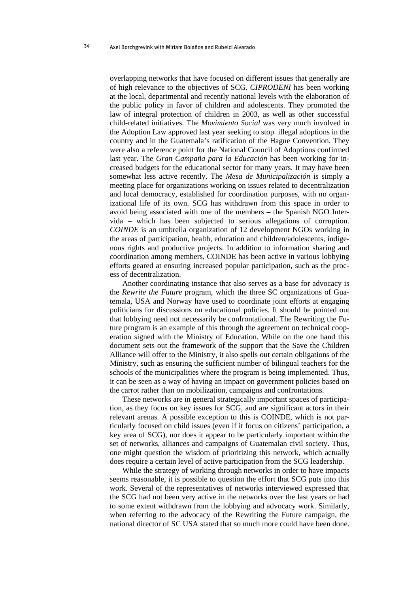overlapping networks that have focused on different issues that generally are of high relevance to the objectives of SCG. *CIPRODENI* has been working at the local, departmental and recently national levels with the elaboration of the public policy in favor of children and adolescents. They promoted the law of integral protection of children in 2003, as well as other successful child-related initiatives. The *Movimiento Social* was very much involved in the Adoption Law approved last year seeking to stop illegal adoptions in the country and in the Guatemala's ratification of the Hague Convention. They were also a reference point for the National Council of Adoptions confirmed last year. The *Gran Campaña para la Educación* has been working for increased budgets for the educational sector for many years. It may have been somewhat less active recently. The *Mesa de Municipalización* is simply a meeting place for organizations working on issues related to decentralization and local democracy, established for coordination purposes, with no organizational life of its own. SCG has withdrawn from this space in order to avoid being associated with one of the members – the Spanish NGO Intervida – which has been subjected to serious allegations of corruption. *COINDE* is an umbrella organization of 12 development NGOs working in the areas of participation, health, education and children/adolescents, indigenous rights and productive projects. In addition to information sharing and coordination among members, COINDE has been active in various lobbying efforts geared at ensuring increased popular participation, such as the process of decentralization.

Another coordinating instance that also serves as a base for advocacy is the *Rewrite the Future* program, which the three SC organizations of Guatemala, USA and Norway have used to coordinate joint efforts at engaging politicians for discussions on educational policies. It should be pointed out that lobbying need not necessarily be confrontational. The Rewriting the Future program is an example of this through the agreement on technical cooperation signed with the Ministry of Education. While on the one hand this document sets out the framework of the support that the Save the Children Alliance will offer to the Ministry, it also spells out certain obligations of the Ministry, such as ensuring the sufficient number of bilingual teachers for the schools of the municipalities where the program is being implemented. Thus, it can be seen as a way of having an impact on government policies based on the carrot rather than on mobilization, campaigns and confrontations.

These networks are in general strategically important spaces of participation, as they focus on key issues for SCG, and are significant actors in their relevant arenas. A possible exception to this is COINDE, which is not particularly focused on child issues (even if it focus on citizens' participation, a key area of SCG), nor does it appear to be particularly important within the set of networks, alliances and campaigns of Guatemalan civil society. Thus, one might question the wisdom of prioritizing this network, which actually does require a certain level of active participation from the SCG leadership.

While the strategy of working through networks in order to have impacts seems reasonable, it is possible to question the effort that SCG puts into this work. Several of the representatives of networks interviewed expressed that the SCG had not been very active in the networks over the last years or had to some extent withdrawn from the lobbying and advocacy work. Similarly, when referring to the advocacy of the Rewriting the Future campaign, the national director of SC USA stated that so much more could have been done.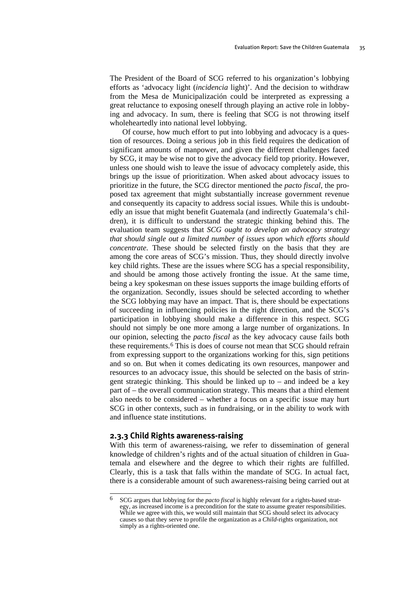<span id="page-38-0"></span>The President of the Board of SCG referred to his organization's lobbying efforts as 'advocacy light (*incidencia* light)'. And the decision to withdraw from the Mesa de Municipalización could be interpreted as expressing a great reluctance to exposing oneself through playing an active role in lobbying and advocacy. In sum, there is feeling that SCG is not throwing itself wholeheartedly into national level lobbying.

Of course, how much effort to put into lobbying and advocacy is a question of resources. Doing a serious job in this field requires the dedication of significant amounts of manpower, and given the different challenges faced by SCG, it may be wise not to give the advocacy field top priority. However, unless one should wish to leave the issue of advocacy completely aside, this brings up the issue of prioritization. When asked about advocacy issues to prioritize in the future, the SCG director mentioned the *pacto fiscal*, the proposed tax agreement that might substantially increase government revenue and consequently its capacity to address social issues. While this is undoubtedly an issue that might benefit Guatemala (and indirectly Guatemala's children), it is difficult to understand the strategic thinking behind this. The evaluation team suggests that *SCG ought to develop an advocacy strategy that should single out a limited number of issues upon which efforts should concentrate*. These should be selected firstly on the basis that they are among the core areas of SCG's mission. Thus, they should directly involve key child rights. These are the issues where SCG has a special responsibility, and should be among those actively fronting the issue. At the same time, being a key spokesman on these issues supports the image building efforts of the organization. Secondly, issues should be selected according to whether the SCG lobbying may have an impact. That is, there should be expectations of succeeding in influencing policies in the right direction, and the SCG's participation in lobbying should make a difference in this respect. SCG should not simply be one more among a large number of organizations. In our opinion, selecting the *pacto fiscal* as the key advocacy cause fails both these requirements.[6](#page-38-0) This is does of course not mean that SCG should refrain from expressing support to the organizations working for this, sign petitions and so on. But when it comes dedicating its own resources, manpower and resources to an advocacy issue, this should be selected on the basis of stringent strategic thinking. This should be linked up to – and indeed be a key part of – the overall communication strategy. This means that a third element also needs to be considered – whether a focus on a specific issue may hurt SCG in other contexts, such as in fundraising, or in the ability to work with and influence state institutions.

#### **2.3.3 Child Rights awareness-raising**

With this term of awareness-raising, we refer to dissemination of general knowledge of children's rights and of the actual situation of children in Guatemala and elsewhere and the degree to which their rights are fulfilled. Clearly, this is a task that falls within the mandate of SCG. In actual fact, there is a considerable amount of such awareness-raising being carried out at

<sup>6</sup> 6 SCG argues that lobbying for the *pacto fiscal* is highly relevant for a rights-based strategy, as increased income is a precondition for the state to assume greater responsibilities. While we agree with this, we would still maintain that SCG should select its advocacy causes so that they serve to profile the organization as a *Child*-rights organization, not simply as a rights-oriented one.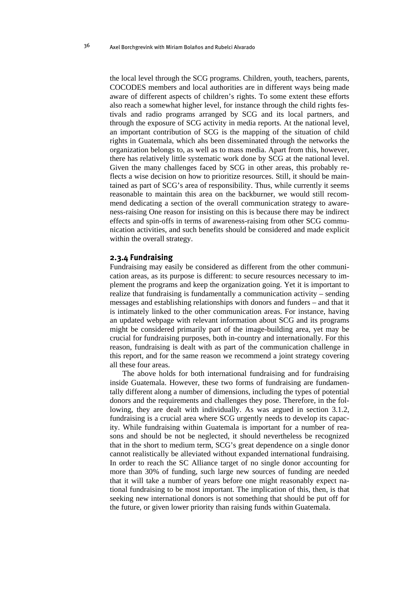the local level through the SCG programs. Children, youth, teachers, parents, COCODES members and local authorities are in different ways being made aware of different aspects of children's rights. To some extent these efforts also reach a somewhat higher level, for instance through the child rights festivals and radio programs arranged by SCG and its local partners, and through the exposure of SCG activity in media reports. At the national level, an important contribution of SCG is the mapping of the situation of child rights in Guatemala, which ahs been disseminated through the networks the organization belongs to, as well as to mass media. Apart from this, however, there has relatively little systematic work done by SCG at the national level. Given the many challenges faced by SCG in other areas, this probably reflects a wise decision on how to prioritize resources. Still, it should be maintained as part of SCG's area of responsibility. Thus, while currently it seems reasonable to maintain this area on the backburner, we would still recommend dedicating a section of the overall communication strategy to awareness-raising One reason for insisting on this is because there may be indirect effects and spin-offs in terms of awareness-raising from other SCG communication activities, and such benefits should be considered and made explicit within the overall strategy.

#### **2.3.4 Fundraising**

Fundraising may easily be considered as different from the other communication areas, as its purpose is different: to secure resources necessary to implement the programs and keep the organization going. Yet it is important to realize that fundraising is fundamentally a communication activity – sending messages and establishing relationships with donors and funders – and that it is intimately linked to the other communication areas. For instance, having an updated webpage with relevant information about SCG and its programs might be considered primarily part of the image-building area, yet may be crucial for fundraising purposes, both in-country and internationally. For this reason, fundraising is dealt with as part of the communication challenge in this report, and for the same reason we recommend a joint strategy covering all these four areas.

The above holds for both international fundraising and for fundraising inside Guatemala. However, these two forms of fundraising are fundamentally different along a number of dimensions, including the types of potential donors and the requirements and challenges they pose. Therefore, in the following, they are dealt with individually. As was argued in section 3.1.2, fundraising is a crucial area where SCG urgently needs to develop its capacity. While fundraising within Guatemala is important for a number of reasons and should be not be neglected, it should nevertheless be recognized that in the short to medium term, SCG's great dependence on a single donor cannot realistically be alleviated without expanded international fundraising. In order to reach the SC Alliance target of no single donor accounting for more than 30% of funding, such large new sources of funding are needed that it will take a number of years before one might reasonably expect national fundraising to be most important. The implication of this, then, is that seeking new international donors is not something that should be put off for the future, or given lower priority than raising funds within Guatemala.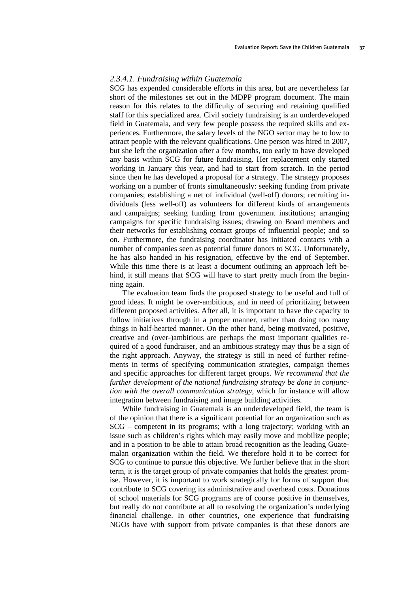#### *2.3.4.1. Fundraising within Guatemala*

SCG has expended considerable efforts in this area, but are nevertheless far short of the milestones set out in the MDPP program document. The main reason for this relates to the difficulty of securing and retaining qualified staff for this specialized area. Civil society fundraising is an underdeveloped field in Guatemala, and very few people possess the required skills and experiences. Furthermore, the salary levels of the NGO sector may be to low to attract people with the relevant qualifications. One person was hired in 2007, but she left the organization after a few months, too early to have developed any basis within SCG for future fundraising. Her replacement only started working in January this year, and had to start from scratch. In the period since then he has developed a proposal for a strategy. The strategy proposes working on a number of fronts simultaneously: seeking funding from private companies; establishing a net of individual (well-off) donors; recruiting individuals (less well-off) as volunteers for different kinds of arrangements and campaigns; seeking funding from government institutions; arranging campaigns for specific fundraising issues; drawing on Board members and their networks for establishing contact groups of influential people; and so on. Furthermore, the fundraising coordinator has initiated contacts with a number of companies seen as potential future donors to SCG. Unfortunately, he has also handed in his resignation, effective by the end of September. While this time there is at least a document outlining an approach left behind, it still means that SCG will have to start pretty much from the beginning again.

The evaluation team finds the proposed strategy to be useful and full of good ideas. It might be over-ambitious, and in need of prioritizing between different proposed activities. After all, it is important to have the capacity to follow initiatives through in a proper manner, rather than doing too many things in half-hearted manner. On the other hand, being motivated, positive, creative and (over-)ambitious are perhaps the most important qualities required of a good fundraiser, and an ambitious strategy may thus be a sign of the right approach. Anyway, the strategy is still in need of further refinements in terms of specifying communication strategies, campaign themes and specific approaches for different target groups. *We recommend that the further development of the national fundraising strategy be done in conjunction with the overall communication strategy*, which for instance will allow integration between fundraising and image building activities.

While fundraising in Guatemala is an underdeveloped field, the team is of the opinion that there is a significant potential for an organization such as SCG – competent in its programs; with a long trajectory; working with an issue such as children's rights which may easily move and mobilize people; and in a position to be able to attain broad recognition as the leading Guatemalan organization within the field. We therefore hold it to be correct for SCG to continue to pursue this objective. We further believe that in the short term, it is the target group of private companies that holds the greatest promise. However, it is important to work strategically for forms of support that contribute to SCG covering its administrative and overhead costs. Donations of school materials for SCG programs are of course positive in themselves, but really do not contribute at all to resolving the organization's underlying financial challenge. In other countries, one experience that fundraising NGOs have with support from private companies is that these donors are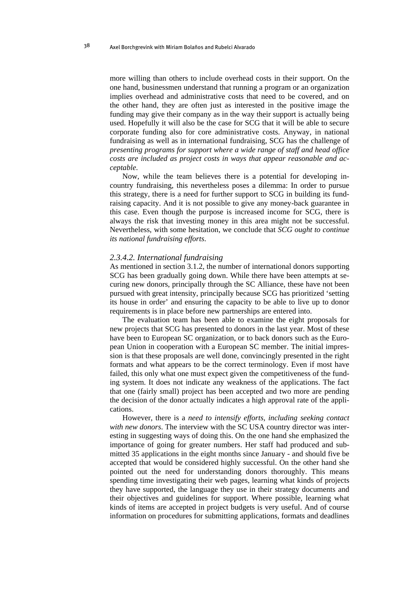more willing than others to include overhead costs in their support. On the one hand, businessmen understand that running a program or an organization implies overhead and administrative costs that need to be covered, and on the other hand, they are often just as interested in the positive image the funding may give their company as in the way their support is actually being used. Hopefully it will also be the case for SCG that it will be able to secure corporate funding also for core administrative costs. Anyway, in national fundraising as well as in international fundraising, SCG has the challenge of *presenting programs for support where a wide range of staff and head office costs are included as project costs in ways that appear reasonable and acceptable*.

Now, while the team believes there is a potential for developing incountry fundraising, this nevertheless poses a dilemma: In order to pursue this strategy, there is a need for further support to SCG in building its fundraising capacity. And it is not possible to give any money-back guarantee in this case. Even though the purpose is increased income for SCG, there is always the risk that investing money in this area might not be successful. Nevertheless, with some hesitation, we conclude that *SCG ought to continue its national fundraising efforts*.

#### *2.3.4.2. International fundraising*

As mentioned in section 3.1.2, the number of international donors supporting SCG has been gradually going down. While there have been attempts at securing new donors, principally through the SC Alliance, these have not been pursued with great intensity, principally because SCG has prioritized 'setting its house in order' and ensuring the capacity to be able to live up to donor requirements is in place before new partnerships are entered into.

The evaluation team has been able to examine the eight proposals for new projects that SCG has presented to donors in the last year. Most of these have been to European SC organization, or to back donors such as the European Union in cooperation with a European SC member. The initial impression is that these proposals are well done, convincingly presented in the right formats and what appears to be the correct terminology. Even if most have failed, this only what one must expect given the competitiveness of the funding system. It does not indicate any weakness of the applications. The fact that one (fairly small) project has been accepted and two more are pending the decision of the donor actually indicates a high approval rate of the applications.

However, there is a *need to intensify efforts, including seeking contact with new donors*. The interview with the SC USA country director was interesting in suggesting ways of doing this. On the one hand she emphasized the importance of going for greater numbers. Her staff had produced and submitted 35 applications in the eight months since January - and should five be accepted that would be considered highly successful. On the other hand she pointed out the need for understanding donors thoroughly. This means spending time investigating their web pages, learning what kinds of projects they have supported, the language they use in their strategy documents and their objectives and guidelines for support. Where possible, learning what kinds of items are accepted in project budgets is very useful. And of course information on procedures for submitting applications, formats and deadlines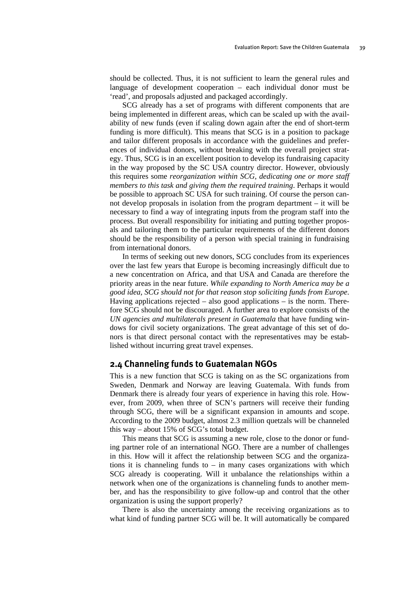should be collected. Thus, it is not sufficient to learn the general rules and language of development cooperation – each individual donor must be 'read', and proposals adjusted and packaged accordingly.

SCG already has a set of programs with different components that are being implemented in different areas, which can be scaled up with the availability of new funds (even if scaling down again after the end of short-term funding is more difficult). This means that SCG is in a position to package and tailor different proposals in accordance with the guidelines and preferences of individual donors, without breaking with the overall project strategy. Thus, SCG is in an excellent position to develop its fundraising capacity in the way proposed by the SC USA country director. However, obviously this requires some *reorganization within SCG, dedicating one or more staff members to this task and giving them the required training*. Perhaps it would be possible to approach SC USA for such training. Of course the person cannot develop proposals in isolation from the program department – it will be necessary to find a way of integrating inputs from the program staff into the process. But overall responsibility for initiating and putting together proposals and tailoring them to the particular requirements of the different donors should be the responsibility of a person with special training in fundraising from international donors.

In terms of seeking out new donors, SCG concludes from its experiences over the last few years that Europe is becoming increasingly difficult due to a new concentration on Africa, and that USA and Canada are therefore the priority areas in the near future. *While expanding to North America may be a good idea, SCG should not for that reason stop soliciting funds from Europe*. Having applications rejected – also good applications – is the norm. Therefore SCG should not be discouraged. A further area to explore consists of the *UN agencies and multilaterals present in Guatemala* that have funding windows for civil society organizations. The great advantage of this set of donors is that direct personal contact with the representatives may be established without incurring great travel expenses.

# **2.4 Channeling funds to Guatemalan NGOs**

This is a new function that SCG is taking on as the SC organizations from Sweden, Denmark and Norway are leaving Guatemala. With funds from Denmark there is already four years of experience in having this role. However, from 2009, when three of SCN's partners will receive their funding through SCG, there will be a significant expansion in amounts and scope. According to the 2009 budget, almost 2.3 million quetzals will be channeled this way – about 15% of SCG's total budget.

This means that SCG is assuming a new role, close to the donor or funding partner role of an international NGO. There are a number of challenges in this. How will it affect the relationship between SCG and the organizations it is channeling funds to  $-$  in many cases organizations with which SCG already is cooperating. Will it unbalance the relationships within a network when one of the organizations is channeling funds to another member, and has the responsibility to give follow-up and control that the other organization is using the support properly?

There is also the uncertainty among the receiving organizations as to what kind of funding partner SCG will be. It will automatically be compared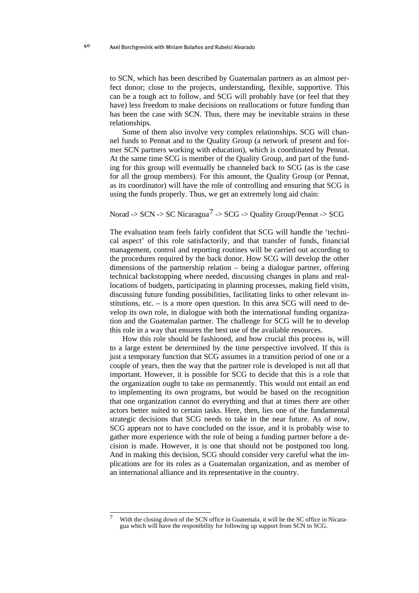<span id="page-43-0"></span>to SCN, which has been described by Guatemalan partners as an almost perfect donor; close to the projects, understanding, flexible, supportive. This can be a tough act to follow, and SCG will probably have (or feel that they have) less freedom to make decisions on reallocations or future funding than has been the case with SCN. Thus, there may be inevitable strains in these relationships.

Some of them also involve very complex relationships. SCG will channel funds to Pennat and to the Quality Group (a network of present and former SCN partners working with education), which is coordinated by Pennat. At the same time SCG is member of the Quality Group, and part of the funding for this group will eventually be channeled back to SCG (as is the case for all the group members). For this amount, the Quality Group (or Pennat, as its coordinator) will have the role of controlling and ensuring that SCG is using the funds properly. Thus, we get an extremely long aid chain:

# Norad -> SCN -> SC Nicaragua<sup>[7](#page-43-0)</sup> -> SCG -> Quality Group/Pennat -> SCG

The evaluation team feels fairly confident that SCG will handle the 'technical aspect' of this role satisfactorily, and that transfer of funds, financial management, control and reporting routines will be carried out according to the procedures required by the back donor. How SCG will develop the other dimensions of the partnership relation – being a dialogue partner, offering technical backstopping where needed, discussing changes in plans and reallocations of budgets, participating in planning processes, making field visits, discussing future funding possibilities, facilitating links to other relevant institutions, etc. – is a more open question. In this area SCG will need to develop its own role, in dialogue with both the international funding organization and the Guatemalan partner. The challenge for SCG will be to develop this role in a way that ensures the best use of the available resources.

How this role should be fashioned, and how crucial this process is, will to a large extent be determined by the time perspective involved. If this is just a temporary function that SCG assumes in a transition period of one or a couple of years, then the way that the partner role is developed is not all that important. However, it is possible for SCG to decide that this is a role that the organization ought to take on permanently. This would not entail an end to implementing its own programs, but would be based on the recognition that one organization cannot do everything and that at times there are other actors better suited to certain tasks. Here, then, lies one of the fundamental strategic decisions that SCG needs to take in the near future. As of now, SCG appears not to have concluded on the issue, and it is probably wise to gather more experience with the role of being a funding partner before a decision is made. However, it is one that should not be postponed too long. And in making this decision, SCG should consider very careful what the implications are for its roles as a Guatemalan organization, and as member of an international alliance and its representative in the country.

 $\overline{a}$ With the closing down of the SCN office in Guatemala, it will be the SC office in Nicaragua which will have the responibility for following up support from SCN to SCG.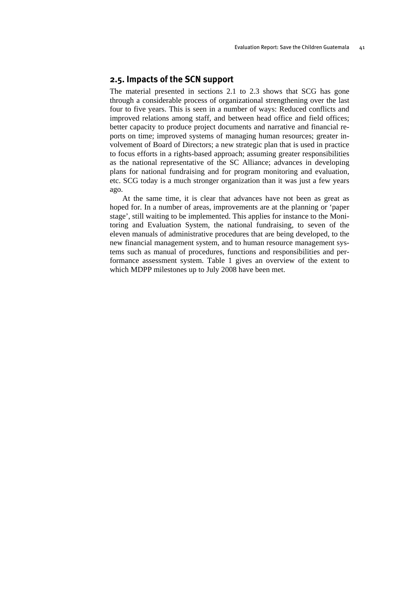# **2.5. Impacts of the SCN support**

The material presented in sections 2.1 to 2.3 shows that SCG has gone through a considerable process of organizational strengthening over the last four to five years. This is seen in a number of ways: Reduced conflicts and improved relations among staff, and between head office and field offices; better capacity to produce project documents and narrative and financial reports on time; improved systems of managing human resources; greater involvement of Board of Directors; a new strategic plan that is used in practice to focus efforts in a rights-based approach; assuming greater responsibilities as the national representative of the SC Alliance; advances in developing plans for national fundraising and for program monitoring and evaluation, etc. SCG today is a much stronger organization than it was just a few years ago.

At the same time, it is clear that advances have not been as great as hoped for. In a number of areas, improvements are at the planning or 'paper stage', still waiting to be implemented. This applies for instance to the Monitoring and Evaluation System, the national fundraising, to seven of the eleven manuals of administrative procedures that are being developed, to the new financial management system, and to human resource management systems such as manual of procedures, functions and responsibilities and performance assessment system. Table 1 gives an overview of the extent to which MDPP milestones up to July 2008 have been met.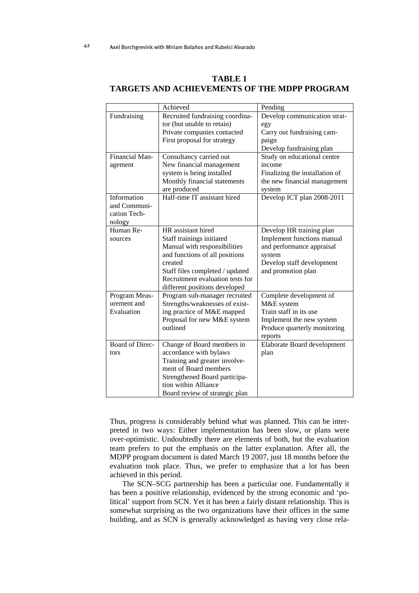|                 | Achieved                         | Pending                        |
|-----------------|----------------------------------|--------------------------------|
| Fundraising     | Recruited fundraising coordina-  | Develop communication strat-   |
|                 | tor (but unable to retain)       | egy                            |
|                 | Private companies contacted      | Carry out fundraising cam-     |
|                 | First proposal for strategy      | paign                          |
|                 |                                  | Develop fundraising plan       |
| Financial Man-  | Consultancy carried out          | Study on educational centre    |
| agement         | New financial management         | income                         |
|                 | system is being installed        | Finalizing the installation of |
|                 | Monthly financial statements     | the new financial management   |
|                 | are produced                     | system                         |
| Information     | Half-time IT assistant hired     | Develop ICT plan 2008-2011     |
| and Communi-    |                                  |                                |
| cation Tech-    |                                  |                                |
| nology          |                                  |                                |
| Human Re-       | HR assistant hired               | Develop HR training plan       |
| sources         | Staff trainings initiated        | Implement functions manual     |
|                 | Manual with responsibilities     | and performance appraisal      |
|                 | and functions of all positions   | system                         |
|                 | created                          | Develop staff development      |
|                 | Staff files completed / updated  | and promotion plan             |
|                 | Recruitment evaluation tests for |                                |
|                 | different positions developed    |                                |
| Program Meas-   | Program sub-manager recruited    | Complete development of        |
| urement and     | Strengths/weaknesses of exist-   | M&E system                     |
| Evaluation      | ing practice of M&E mapped       | Train staff in its use         |
|                 | Proposal for new M&E system      | Implement the new system       |
|                 | outlined                         | Produce quarterly monitoring   |
|                 |                                  | reports                        |
| Board of Direc- | Change of Board members in       | Elaborate Board development    |
| tors            | accordance with bylaws           | plan                           |
|                 | Training and greater involve-    |                                |
|                 | ment of Board members            |                                |
|                 | Strengthened Board participa-    |                                |
|                 | tion within Alliance             |                                |
|                 | Board review of strategic plan   |                                |

## **TABLE 1 TARGETS AND ACHIEVEMENTS OF THE MDPP PROGRAM**

Thus, progress is considerably behind what was planned. This can be interpreted in two ways: Either implementation has been slow, or plans were over-optimistic. Undoubtedly there are elements of both, but the evaluation team prefers to put the emphasis on the latter explanation. After all, the MDPP program document is dated March 19 2007, just 18 months before the evaluation took place. Thus, we prefer to emphasize that a lot has been achieved in this period.

The SCN–SCG partnership has been a particular one. Fundamentally it has been a positive relationship, evidenced by the strong economic and 'political' support from SCN. Yet it has been a fairly distant relationship. This is somewhat surprising as the two organizations have their offices in the same building, and as SCN is generally acknowledged as having very close rela-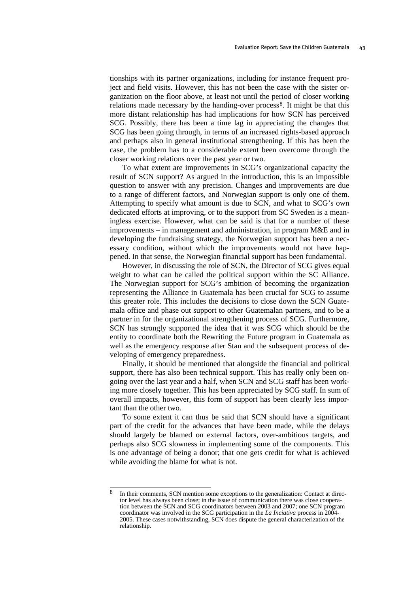<span id="page-46-0"></span>tionships with its partner organizations, including for instance frequent project and field visits. However, this has not been the case with the sister organization on the floor above, at least not until the period of closer working relations made necessary by the handing-over process<sup>[8](#page-46-0)</sup>. It might be that this more distant relationship has had implications for how SCN has perceived SCG. Possibly, there has been a time lag in appreciating the changes that SCG has been going through, in terms of an increased rights-based approach and perhaps also in general institutional strengthening. If this has been the case, the problem has to a considerable extent been overcome through the closer working relations over the past year or two.

To what extent are improvements in SCG's organizational capacity the result of SCN support? As argued in the introduction, this is an impossible question to answer with any precision. Changes and improvements are due to a range of different factors, and Norwegian support is only one of them. Attempting to specify what amount is due to SCN, and what to SCG's own dedicated efforts at improving, or to the support from SC Sweden is a meaningless exercise. However, what can be said is that for a number of these improvements – in management and administration, in program M&E and in developing the fundraising strategy, the Norwegian support has been a necessary condition, without which the improvements would not have happened. In that sense, the Norwegian financial support has been fundamental.

However, in discussing the role of SCN, the Director of SCG gives equal weight to what can be called the political support within the SC Alliance. The Norwegian support for SCG's ambition of becoming the organization representing the Alliance in Guatemala has been crucial for SCG to assume this greater role. This includes the decisions to close down the SCN Guatemala office and phase out support to other Guatemalan partners, and to be a partner in for the organizational strengthening process of SCG. Furthermore, SCN has strongly supported the idea that it was SCG which should be the entity to coordinate both the Rewriting the Future program in Guatemala as well as the emergency response after Stan and the subsequent process of developing of emergency preparedness.

Finally, it should be mentioned that alongside the financial and political support, there has also been technical support. This has really only been ongoing over the last year and a half, when SCN and SCG staff has been working more closely together. This has been appreciated by SCG staff. In sum of overall impacts, however, this form of support has been clearly less important than the other two.

To some extent it can thus be said that SCN should have a significant part of the credit for the advances that have been made, while the delays should largely be blamed on external factors, over-ambitious targets, and perhaps also SCG slowness in implementing some of the components. This is one advantage of being a donor; that one gets credit for what is achieved while avoiding the blame for what is not.

 $\mathbf{8}$ 8 In their comments, SCN mention some exceptions to the generalization: Contact at director level has always been close; in the issue of communication there was close cooperation between the SCN and SCG coordinators between 2003 and 2007; one SCN program coordinator was involved in the SCG participation in the *La Inciativa* process in 2004- 2005. These cases notwithstanding, SCN does dispute the general characterization of the relationship.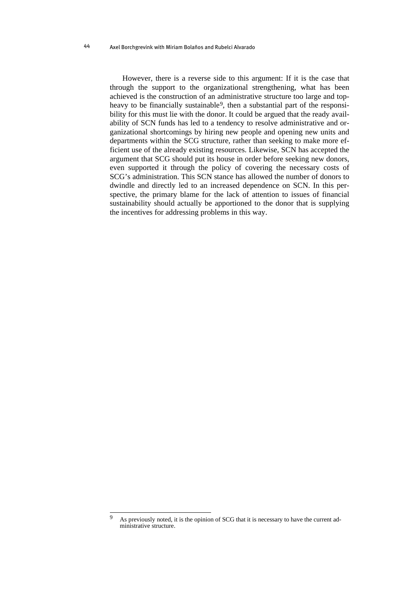#### <span id="page-47-0"></span>Axel Borchgrevink with Miriam Bolaños and Rubelci Alvarado 44

However, there is a reverse side to this argument: If it is the case that through the support to the organizational strengthening, what has been achieved is the construction of an administrative structure too large and top-heavy to be financially sustainable<sup>[9](#page-47-0)</sup>, then a substantial part of the responsibility for this must lie with the donor. It could be argued that the ready availability of SCN funds has led to a tendency to resolve administrative and organizational shortcomings by hiring new people and opening new units and departments within the SCG structure, rather than seeking to make more efficient use of the already existing resources. Likewise, SCN has accepted the argument that SCG should put its house in order before seeking new donors, even supported it through the policy of covering the necessary costs of SCG's administration. This SCN stance has allowed the number of donors to dwindle and directly led to an increased dependence on SCN. In this perspective, the primary blame for the lack of attention to issues of financial sustainability should actually be apportioned to the donor that is supplying the incentives for addressing problems in this way.

 $\mathbf{Q}$ As previously noted, it is the opinion of SCG that it is necessary to have the current administrative structure.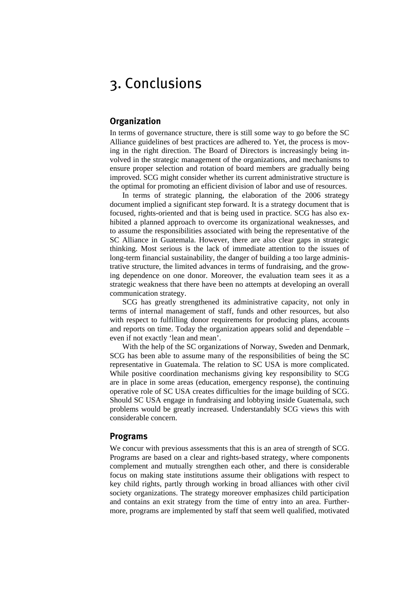# 3. Conclusions

# **Organization**

In terms of governance structure, there is still some way to go before the SC Alliance guidelines of best practices are adhered to. Yet, the process is moving in the right direction. The Board of Directors is increasingly being involved in the strategic management of the organizations, and mechanisms to ensure proper selection and rotation of board members are gradually being improved. SCG might consider whether its current administrative structure is the optimal for promoting an efficient division of labor and use of resources.

In terms of strategic planning, the elaboration of the 2006 strategy document implied a significant step forward. It is a strategy document that is focused, rights-oriented and that is being used in practice. SCG has also exhibited a planned approach to overcome its organizational weaknesses, and to assume the responsibilities associated with being the representative of the SC Alliance in Guatemala. However, there are also clear gaps in strategic thinking. Most serious is the lack of immediate attention to the issues of long-term financial sustainability, the danger of building a too large administrative structure, the limited advances in terms of fundraising, and the growing dependence on one donor. Moreover, the evaluation team sees it as a strategic weakness that there have been no attempts at developing an overall communication strategy.

SCG has greatly strengthened its administrative capacity, not only in terms of internal management of staff, funds and other resources, but also with respect to fulfilling donor requirements for producing plans, accounts and reports on time. Today the organization appears solid and dependable – even if not exactly 'lean and mean'.

With the help of the SC organizations of Norway, Sweden and Denmark, SCG has been able to assume many of the responsibilities of being the SC representative in Guatemala. The relation to SC USA is more complicated. While positive coordination mechanisms giving key responsibility to SCG are in place in some areas (education, emergency response), the continuing operative role of SC USA creates difficulties for the image building of SCG. Should SC USA engage in fundraising and lobbying inside Guatemala, such problems would be greatly increased. Understandably SCG views this with considerable concern.

#### **Programs**

We concur with previous assessments that this is an area of strength of SCG. Programs are based on a clear and rights-based strategy, where components complement and mutually strengthen each other, and there is considerable focus on making state institutions assume their obligations with respect to key child rights, partly through working in broad alliances with other civil society organizations. The strategy moreover emphasizes child participation and contains an exit strategy from the time of entry into an area. Furthermore, programs are implemented by staff that seem well qualified, motivated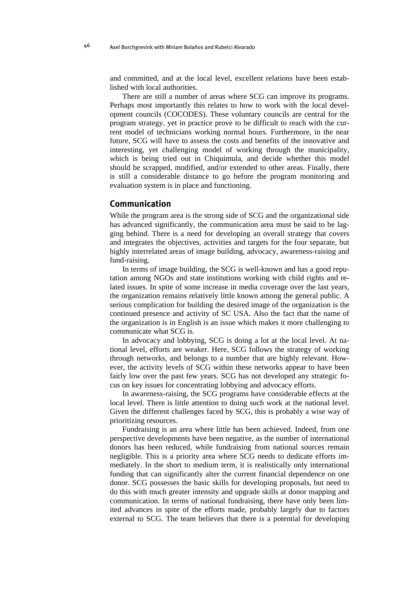and committed, and at the local level, excellent relations have been established with local authorities.

There are still a number of areas where SCG can improve its programs. Perhaps most importantly this relates to how to work with the local development councils (COCODES). These voluntary councils are central for the program strategy, yet in practice prove to be difficult to reach with the current model of technicians working normal hours. Furthermore, in the near future, SCG will have to assess the costs and benefits of the innovative and interesting, yet challenging model of working through the municipality, which is being tried out in Chiquimula, and decide whether this model should be scrapped, modified, and/or extended to other areas. Finally, there is still a considerable distance to go before the program monitoring and evaluation system is in place and functioning.

# **Communication**

While the program area is the strong side of SCG and the organizational side has advanced significantly, the communication area must be said to be lagging behind. There is a need for developing an overall strategy that covers and integrates the objectives, activities and targets for the four separate, but highly interrelated areas of image building, advocacy, awareness-raising and fund-raising.

In terms of image building, the SCG is well-known and has a good reputation among NGOs and state institutions working with child rights and related issues. In spite of some increase in media coverage over the last years, the organization remains relatively little known among the general public. A serious complication for building the desired image of the organization is the continued presence and activity of SC USA. Also the fact that the name of the organization is in English is an issue which makes it more challenging to communicate what SCG is.

In advocacy and lobbying, SCG is doing a lot at the local level. At national level, efforts are weaker. Here, SCG follows the strategy of working through networks, and belongs to a number that are highly relevant. However, the activity levels of SCG within these networks appear to have been fairly low over the past few years. SCG has not developed any strategic focus on key issues for concentrating lobbying and advocacy efforts.

In awareness-raising, the SCG programs have considerable effects at the local level. There is little attention to doing such work at the national level. Given the different challenges faced by SCG, this is probably a wise way of prioritizing resources.

Fundraising is an area where little has been achieved. Indeed, from one perspective developments have been negative, as the number of international donors has been reduced, while fundraising from national sources remain negligible. This is a priority area where SCG needs to dedicate efforts immediately. In the short to medium term, it is realistically only international funding that can significantly alter the current financial dependence on one donor. SCG possesses the basic skills for developing proposals, but need to do this with much greater intensity and upgrade skills at donor mapping and communication. In terms of national fundraising, there have only been limited advances in spite of the efforts made, probably largely due to factors external to SCG. The team believes that there is a potential for developing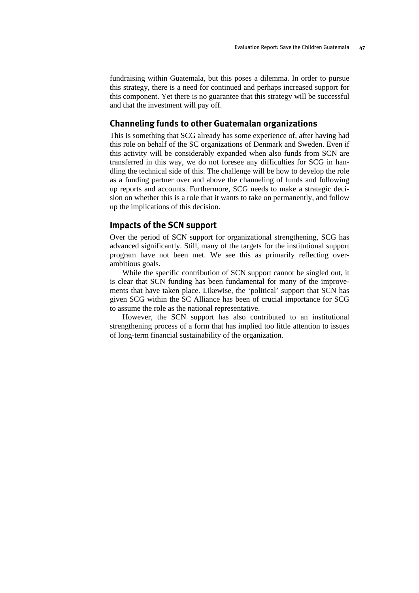fundraising within Guatemala, but this poses a dilemma. In order to pursue this strategy, there is a need for continued and perhaps increased support for this component. Yet there is no guarantee that this strategy will be successful and that the investment will pay off.

# **Channeling funds to other Guatemalan organizations**

This is something that SCG already has some experience of, after having had this role on behalf of the SC organizations of Denmark and Sweden. Even if this activity will be considerably expanded when also funds from SCN are transferred in this way, we do not foresee any difficulties for SCG in handling the technical side of this. The challenge will be how to develop the role as a funding partner over and above the channeling of funds and following up reports and accounts. Furthermore, SCG needs to make a strategic decision on whether this is a role that it wants to take on permanently, and follow up the implications of this decision.

## **Impacts of the SCN support**

Over the period of SCN support for organizational strengthening, SCG has advanced significantly. Still, many of the targets for the institutional support program have not been met. We see this as primarily reflecting overambitious goals.

While the specific contribution of SCN support cannot be singled out, it is clear that SCN funding has been fundamental for many of the improvements that have taken place. Likewise, the 'political' support that SCN has given SCG within the SC Alliance has been of crucial importance for SCG to assume the role as the national representative.

However, the SCN support has also contributed to an institutional strengthening process of a form that has implied too little attention to issues of long-term financial sustainability of the organization.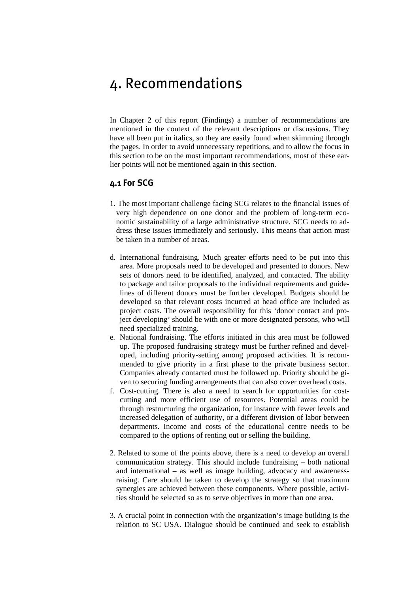# 4. Recommendations

In Chapter 2 of this report (Findings) a number of recommendations are mentioned in the context of the relevant descriptions or discussions. They have all been put in italics, so they are easily found when skimming through the pages. In order to avoid unnecessary repetitions, and to allow the focus in this section to be on the most important recommendations, most of these earlier points will not be mentioned again in this section.

# **4.1 For SCG**

- 1. The most important challenge facing SCG relates to the financial issues of very high dependence on one donor and the problem of long-term economic sustainability of a large administrative structure. SCG needs to address these issues immediately and seriously. This means that action must be taken in a number of areas.
- d. International fundraising. Much greater efforts need to be put into this area. More proposals need to be developed and presented to donors. New sets of donors need to be identified, analyzed, and contacted. The ability to package and tailor proposals to the individual requirements and guidelines of different donors must be further developed. Budgets should be developed so that relevant costs incurred at head office are included as project costs. The overall responsibility for this 'donor contact and project developing' should be with one or more designated persons, who will need specialized training.
- e. National fundraising. The efforts initiated in this area must be followed up. The proposed fundraising strategy must be further refined and developed, including priority-setting among proposed activities. It is recommended to give priority in a first phase to the private business sector. Companies already contacted must be followed up. Priority should be given to securing funding arrangements that can also cover overhead costs.
- f. Cost-cutting. There is also a need to search for opportunities for costcutting and more efficient use of resources. Potential areas could be through restructuring the organization, for instance with fewer levels and increased delegation of authority, or a different division of labor between departments. Income and costs of the educational centre needs to be compared to the options of renting out or selling the building.
- 2. Related to some of the points above, there is a need to develop an overall communication strategy. This should include fundraising – both national and international – as well as image building, advocacy and awarenessraising. Care should be taken to develop the strategy so that maximum synergies are achieved between these components. Where possible, activities should be selected so as to serve objectives in more than one area.
- 3. A crucial point in connection with the organization's image building is the relation to SC USA. Dialogue should be continued and seek to establish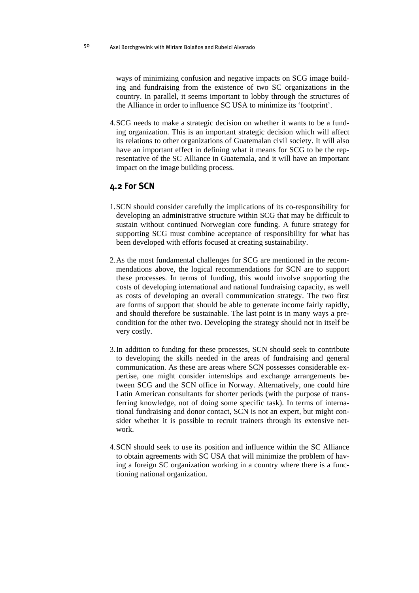ways of minimizing confusion and negative impacts on SCG image building and fundraising from the existence of two SC organizations in the country. In parallel, it seems important to lobby through the structures of the Alliance in order to influence SC USA to minimize its 'footprint'.

4. SCG needs to make a strategic decision on whether it wants to be a funding organization. This is an important strategic decision which will affect its relations to other organizations of Guatemalan civil society. It will also have an important effect in defining what it means for SCG to be the representative of the SC Alliance in Guatemala, and it will have an important impact on the image building process.

# **4.2 For SCN**

- 1. SCN should consider carefully the implications of its co-responsibility for developing an administrative structure within SCG that may be difficult to sustain without continued Norwegian core funding. A future strategy for supporting SCG must combine acceptance of responsibility for what has been developed with efforts focused at creating sustainability.
- 2. As the most fundamental challenges for SCG are mentioned in the recommendations above, the logical recommendations for SCN are to support these processes. In terms of funding, this would involve supporting the costs of developing international and national fundraising capacity, as well as costs of developing an overall communication strategy. The two first are forms of support that should be able to generate income fairly rapidly, and should therefore be sustainable. The last point is in many ways a precondition for the other two. Developing the strategy should not in itself be very costly.
- 3. In addition to funding for these processes, SCN should seek to contribute to developing the skills needed in the areas of fundraising and general communication. As these are areas where SCN possesses considerable expertise, one might consider internships and exchange arrangements between SCG and the SCN office in Norway. Alternatively, one could hire Latin American consultants for shorter periods (with the purpose of transferring knowledge, not of doing some specific task). In terms of international fundraising and donor contact, SCN is not an expert, but might consider whether it is possible to recruit trainers through its extensive network.
- 4. SCN should seek to use its position and influence within the SC Alliance to obtain agreements with SC USA that will minimize the problem of having a foreign SC organization working in a country where there is a functioning national organization.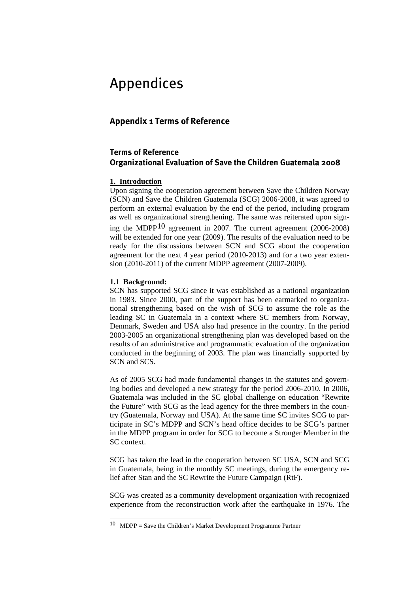# <span id="page-54-0"></span>Appendices

# **Appendix 1 Terms of Reference**

# **Terms of Reference Organizational Evaluation of Save the Children Guatemala 2008**

# **1. Introduction**

Upon signing the cooperation agreement between Save the Children Norway (SCN) and Save the Children Guatemala (SCG) 2006-2008, it was agreed to perform an external evaluation by the end of the period, including program as well as organizational strengthening. The same was reiterated upon signing the MDPP[10](#page-54-0) agreement in 2007. The current agreement (2006-2008) will be extended for one year (2009). The results of the evaluation need to be ready for the discussions between SCN and SCG about the cooperation agreement for the next 4 year period (2010-2013) and for a two year extension (2010-2011) of the current MDPP agreement (2007-2009).

# **1.1 Background:**

SCN has supported SCG since it was established as a national organization in 1983. Since 2000, part of the support has been earmarked to organizational strengthening based on the wish of SCG to assume the role as the leading SC in Guatemala in a context where SC members from Norway, Denmark, Sweden and USA also had presence in the country. In the period 2003-2005 an organizational strengthening plan was developed based on the results of an administrative and programmatic evaluation of the organization conducted in the beginning of 2003. The plan was financially supported by SCN and SCS.

As of 2005 SCG had made fundamental changes in the statutes and governing bodies and developed a new strategy for the period 2006-2010. In 2006, Guatemala was included in the SC global challenge on education "Rewrite the Future" with SCG as the lead agency for the three members in the country (Guatemala, Norway and USA). At the same time SC invites SCG to participate in SC's MDPP and SCN's head office decides to be SCG's partner in the MDPP program in order for SCG to become a Stronger Member in the SC context.

SCG has taken the lead in the cooperation between SC USA, SCN and SCG in Guatemala, being in the monthly SC meetings, during the emergency relief after Stan and the SC Rewrite the Future Campaign (RtF).

SCG was created as a community development organization with recognized experience from the reconstruction work after the earthquake in 1976. The

 $\overline{\phantom{a}}$  $10$  MDPP = Save the Children's Market Development Programme Partner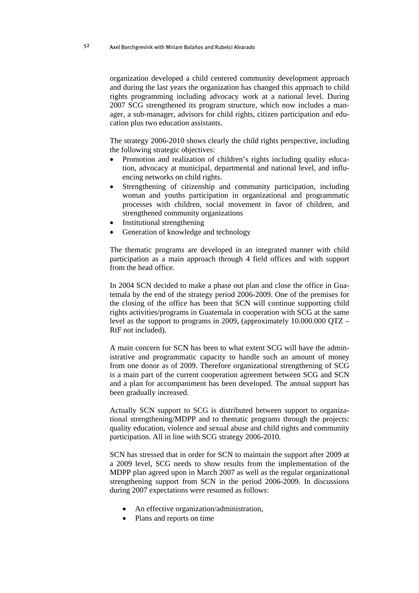organization developed a child centered community development approach and during the last years the organization has changed this approach to child rights programming including advocacy work at a national level. During 2007 SCG strengthened its program structure, which now includes a manager, a sub-manager, advisors for child rights, citizen participation and education plus two education assistants.

The strategy 2006-2010 shows clearly the child rights perspective, including the following strategic objectives:

- Promotion and realization of children's rights including quality education, advocacy at municipal, departmental and national level, and influencing networks on child rights.
- Strengthening of citizenship and community participation, including woman and youths participation in organizational and programmatic processes with children, social movement in favor of children, and strengthened community organizations
- Institutional strengthening
- Generation of knowledge and technology

The thematic programs are developed in an integrated manner with child participation as a main approach through 4 field offices and with support from the head office.

In 2004 SCN decided to make a phase out plan and close the office in Guatemala by the end of the strategy period 2006-2009. One of the premises for the closing of the office has been that SCN will continue supporting child rights activities/programs in Guatemala in cooperation with SCG at the same level as the support to programs in 2009, (approximately 10.000.000 QTZ – RtF not included).

A main concern for SCN has been to what extent SCG will have the administrative and programmatic capacity to handle such an amount of money from one donor as of 2009. Therefore organizational strengthening of SCG is a main part of the current cooperation agreement between SCG and SCN and a plan for accompaniment has been developed. The annual support has been gradually increased.

Actually SCN support to SCG is distributed between support to organizational strengthening/MDPP and to thematic programs through the projects: quality education, violence and sexual abuse and child rights and community participation. All in line with SCG strategy 2006-2010.

SCN has stressed that in order for SCN to maintain the support after 2009 at a 2009 level, SCG needs to show results from the implementation of the MDPP plan agreed upon in March 2007 as well as the regular organizational strengthening support from SCN in the period 2006-2009. In discussions during 2007 expectations were resumed as follows:

- An effective organization/administration,
- Plans and reports on time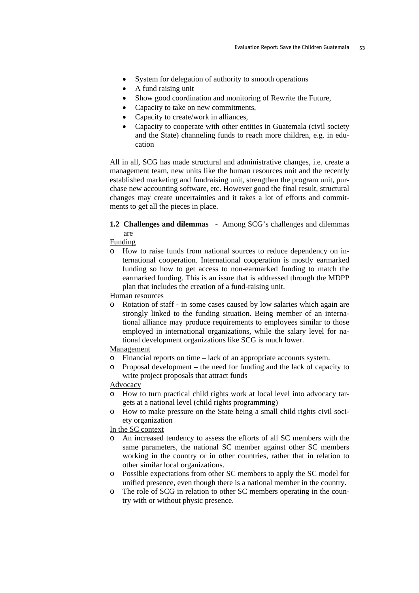- System for delegation of authority to smooth operations
- A fund raising unit
- Show good coordination and monitoring of Rewrite the Future,
- Capacity to take on new commitments,
- Capacity to create/work in alliances,
- Capacity to cooperate with other entities in Guatemala (civil society and the State) channeling funds to reach more children, e.g. in education

All in all, SCG has made structural and administrative changes, i.e. create a management team, new units like the human resources unit and the recently established marketing and fundraising unit, strengthen the program unit, purchase new accounting software, etc. However good the final result, structural changes may create uncertainties and it takes a lot of efforts and commitments to get all the pieces in place.

## **1.2 Challenges and dilemmas -** Among SCG's challenges and dilemmas are

Funding

o How to raise funds from national sources to reduce dependency on international cooperation. International cooperation is mostly earmarked funding so how to get access to non-earmarked funding to match the earmarked funding. This is an issue that is addressed through the MDPP plan that includes the creation of a fund-raising unit.

Human resources

o Rotation of staff - in some cases caused by low salaries which again are strongly linked to the funding situation. Being member of an international alliance may produce requirements to employees similar to those employed in international organizations, while the salary level for national development organizations like SCG is much lower.

#### Management

- o Financial reports on time lack of an appropriate accounts system.
- o Proposal development the need for funding and the lack of capacity to write project proposals that attract funds

#### Advocacy

- o How to turn practical child rights work at local level into advocacy targets at a national level (child rights programming)
- o How to make pressure on the State being a small child rights civil society organization

### In the SC context

- o An increased tendency to assess the efforts of all SC members with the same parameters, the national SC member against other SC members working in the country or in other countries, rather that in relation to other similar local organizations.
- o Possible expectations from other SC members to apply the SC model for unified presence, even though there is a national member in the country.
- o The role of SCG in relation to other SC members operating in the country with or without physic presence.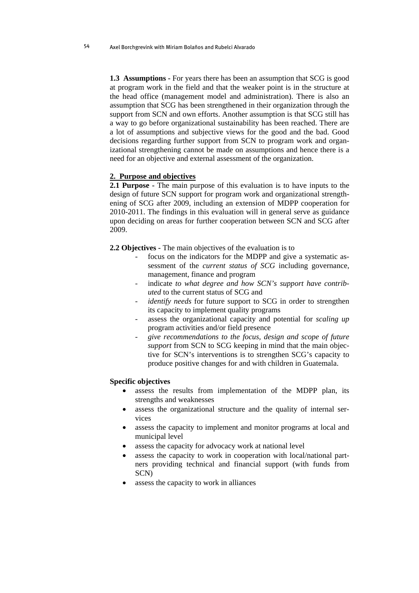**1.3 Assumptions - For years there has been an assumption that SCG is good** at program work in the field and that the weaker point is in the structure at the head office (management model and administration). There is also an assumption that SCG has been strengthened in their organization through the support from SCN and own efforts. Another assumption is that SCG still has a way to go before organizational sustainability has been reached. There are a lot of assumptions and subjective views for the good and the bad. Good decisions regarding further support from SCN to program work and organizational strengthening cannot be made on assumptions and hence there is a need for an objective and external assessment of the organization.

#### **2. Purpose and objectives**

**2.1 Purpose** - The main purpose of this evaluation is to have inputs to the design of future SCN support for program work and organizational strengthening of SCG after 2009, including an extension of MDPP cooperation for 2010-2011. The findings in this evaluation will in general serve as guidance upon deciding on areas for further cooperation between SCN and SCG after 2009.

**2.2 Objectives -** The main objectives of the evaluation is to

- focus on the indicators for the MDPP and give a systematic assessment of the *current status of SCG* including governance, management, finance and program
- indicate *to what degree and how SCN's support have contributed* to the current status of SCG and
- *identify needs* for future support to SCG in order to strengthen its capacity to implement quality programs
- assess the organizational capacity and potential for *scaling up* program activities and/or field presence
- *give recommendations to the focus, design and scope of future support* from SCN to SCG keeping in mind that the main objective for SCN's interventions is to strengthen SCG's capacity to produce positive changes for and with children in Guatemala.

#### **Specific objectives**

- assess the results from implementation of the MDPP plan, its strengths and weaknesses
- assess the organizational structure and the quality of internal services
- assess the capacity to implement and monitor programs at local and municipal level
- assess the capacity for advocacy work at national level
- assess the capacity to work in cooperation with local/national partners providing technical and financial support (with funds from SCN)
- assess the capacity to work in alliances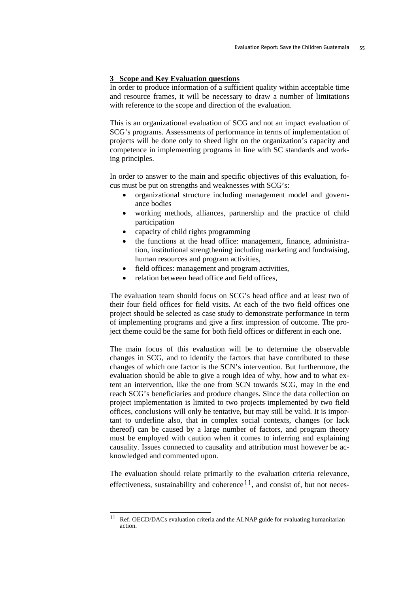#### <span id="page-58-0"></span>**3 Scope and Key Evaluation questions**

In order to produce information of a sufficient quality within acceptable time and resource frames, it will be necessary to draw a number of limitations with reference to the scope and direction of the evaluation.

This is an organizational evaluation of SCG and not an impact evaluation of SCG's programs. Assessments of performance in terms of implementation of projects will be done only to sheed light on the organization's capacity and competence in implementing programs in line with SC standards and working principles.

In order to answer to the main and specific objectives of this evaluation, focus must be put on strengths and weaknesses with SCG's:

- organizational structure including management model and governance bodies
- working methods, alliances, partnership and the practice of child participation
- capacity of child rights programming
- the functions at the head office: management, finance, administration, institutional strengthening including marketing and fundraising, human resources and program activities,
- field offices: management and program activities,
- relation between head office and field offices.

The evaluation team should focus on SCG's head office and at least two of their four field offices for field visits. At each of the two field offices one project should be selected as case study to demonstrate performance in term of implementing programs and give a first impression of outcome. The project theme could be the same for both field offices or different in each one.

The main focus of this evaluation will be to determine the observable changes in SCG, and to identify the factors that have contributed to these changes of which one factor is the SCN's intervention. But furthermore, the evaluation should be able to give a rough idea of why, how and to what extent an intervention, like the one from SCN towards SCG, may in the end reach SCG's beneficiaries and produce changes. Since the data collection on project implementation is limited to two projects implemented by two field offices, conclusions will only be tentative, but may still be valid. It is important to underline also, that in complex social contexts, changes (or lack thereof) can be caused by a large number of factors, and program theory must be employed with caution when it comes to inferring and explaining causality. Issues connected to causality and attribution must however be acknowledged and commented upon.

The evaluation should relate primarily to the evaluation criteria relevance, effectiveness, sustainability and coherence<sup>[11](#page-58-0)</sup>, and consist of, but not neces-

<sup>11</sup> Ref. OECD/DACs evaluation criteria and the ALNAP guide for evaluating humanitarian action.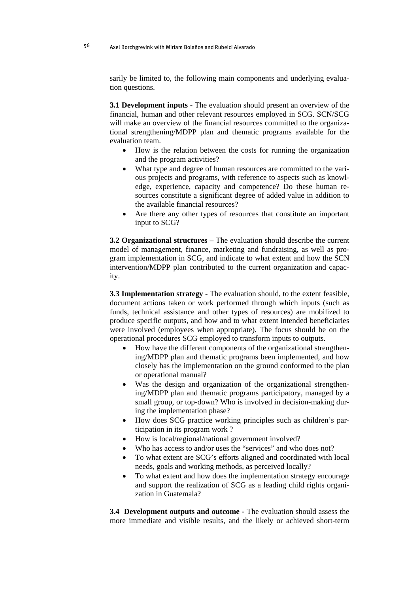sarily be limited to, the following main components and underlying evaluation questions.

**3.1 Development inputs -** The evaluation should present an overview of the financial, human and other relevant resources employed in SCG. SCN/SCG will make an overview of the financial resources committed to the organizational strengthening/MDPP plan and thematic programs available for the evaluation team.

- How is the relation between the costs for running the organization and the program activities?
- What type and degree of human resources are committed to the various projects and programs, with reference to aspects such as knowledge, experience, capacity and competence? Do these human resources constitute a significant degree of added value in addition to the available financial resources?
- Are there any other types of resources that constitute an important input to SCG?

**3.2 Organizational structures –** The evaluation should describe the current model of management, finance, marketing and fundraising, as well as program implementation in SCG, and indicate to what extent and how the SCN intervention/MDPP plan contributed to the current organization and capacity.

**3.3 Implementation strategy - The evaluation should, to the extent feasible,** document actions taken or work performed through which inputs (such as funds, technical assistance and other types of resources) are mobilized to produce specific outputs, and how and to what extent intended beneficiaries were involved (employees when appropriate). The focus should be on the operational procedures SCG employed to transform inputs to outputs.

- How have the different components of the organizational strengthening/MDPP plan and thematic programs been implemented, and how closely has the implementation on the ground conformed to the plan or operational manual?
- Was the design and organization of the organizational strengthening/MDPP plan and thematic programs participatory, managed by a small group, or top-down? Who is involved in decision-making during the implementation phase?
- How does SCG practice working principles such as children's participation in its program work ?
- How is local/regional/national government involved?
- Who has access to and/or uses the "services" and who does not?
- To what extent are SCG's efforts aligned and coordinated with local needs, goals and working methods, as perceived locally?
- To what extent and how does the implementation strategy encourage and support the realization of SCG as a leading child rights organization in Guatemala?

**3.4 Development outputs and outcome -** The evaluation should assess the more immediate and visible results, and the likely or achieved short-term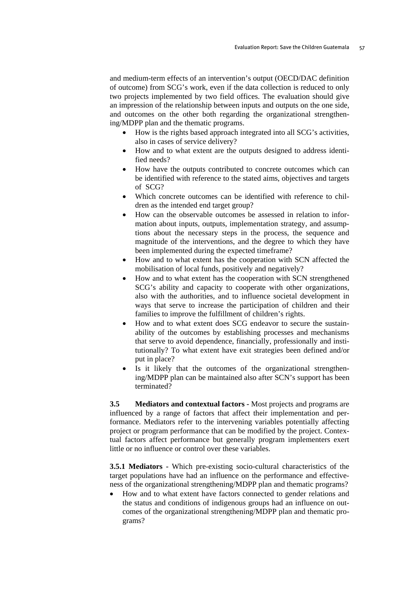and medium-term effects of an intervention's output (OECD/DAC definition of outcome) from SCG's work, even if the data collection is reduced to only two projects implemented by two field offices. The evaluation should give an impression of the relationship between inputs and outputs on the one side, and outcomes on the other both regarding the organizational strengthening/MDPP plan and the thematic programs.

- How is the rights based approach integrated into all SCG's activities, also in cases of service delivery?
- How and to what extent are the outputs designed to address identified needs?
- How have the outputs contributed to concrete outcomes which can be identified with reference to the stated aims, objectives and targets of SCG?
- Which concrete outcomes can be identified with reference to children as the intended end target group?
- How can the observable outcomes be assessed in relation to information about inputs, outputs, implementation strategy, and assumptions about the necessary steps in the process, the sequence and magnitude of the interventions, and the degree to which they have been implemented during the expected timeframe?
- How and to what extent has the cooperation with SCN affected the mobilisation of local funds, positively and negatively?
- How and to what extent has the cooperation with SCN strengthened SCG's ability and capacity to cooperate with other organizations, also with the authorities, and to influence societal development in ways that serve to increase the participation of children and their families to improve the fulfillment of children's rights.
- How and to what extent does SCG endeavor to secure the sustainability of the outcomes by establishing processes and mechanisms that serve to avoid dependence, financially, professionally and institutionally? To what extent have exit strategies been defined and/or put in place?
- Is it likely that the outcomes of the organizational strengthening/MDPP plan can be maintained also after SCN's support has been terminated?

**3.5 Mediators and contextual factors -** Most projects and programs are influenced by a range of factors that affect their implementation and performance. Mediators refer to the intervening variables potentially affecting project or program performance that can be modified by the project. Contextual factors affect performance but generally program implementers exert little or no influence or control over these variables.

**3.5.1 Mediators -** Which pre-existing socio-cultural characteristics of the target populations have had an influence on the performance and effectiveness of the organizational strengthening/MDPP plan and thematic programs?

• How and to what extent have factors connected to gender relations and the status and conditions of indigenous groups had an influence on outcomes of the organizational strengthening/MDPP plan and thematic programs?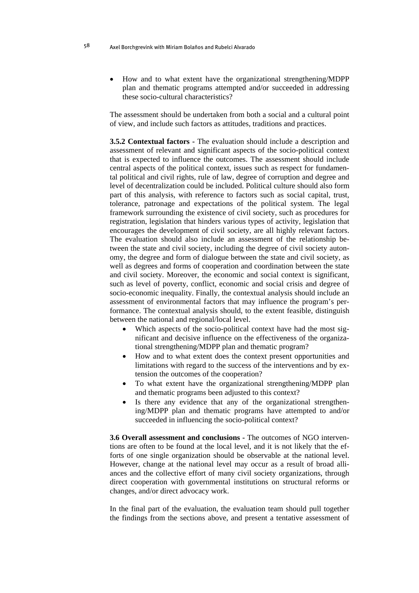• How and to what extent have the organizational strengthening/MDPP plan and thematic programs attempted and/or succeeded in addressing these socio-cultural characteristics?

The assessment should be undertaken from both a social and a cultural point of view, and include such factors as attitudes, traditions and practices.

**3.5.2 Contextual factors -** The evaluation should include a description and assessment of relevant and significant aspects of the socio-political context that is expected to influence the outcomes. The assessment should include central aspects of the political context, issues such as respect for fundamental political and civil rights, rule of law, degree of corruption and degree and level of decentralization could be included. Political culture should also form part of this analysis, with reference to factors such as social capital, trust, tolerance, patronage and expectations of the political system. The legal framework surrounding the existence of civil society, such as procedures for registration, legislation that hinders various types of activity, legislation that encourages the development of civil society, are all highly relevant factors. The evaluation should also include an assessment of the relationship between the state and civil society, including the degree of civil society autonomy, the degree and form of dialogue between the state and civil society, as well as degrees and forms of cooperation and coordination between the state and civil society. Moreover, the economic and social context is significant, such as level of poverty, conflict, economic and social crisis and degree of socio-economic inequality. Finally, the contextual analysis should include an assessment of environmental factors that may influence the program's performance. The contextual analysis should, to the extent feasible, distinguish between the national and regional/local level.

- Which aspects of the socio-political context have had the most significant and decisive influence on the effectiveness of the organizational strengthening/MDPP plan and thematic program?
- How and to what extent does the context present opportunities and limitations with regard to the success of the interventions and by extension the outcomes of the cooperation?
- To what extent have the organizational strengthening/MDPP plan and thematic programs been adjusted to this context?
- Is there any evidence that any of the organizational strengthening/MDPP plan and thematic programs have attempted to and/or succeeded in influencing the socio-political context?

**3.6 Overall assessment and conclusions -** The outcomes of NGO interventions are often to be found at the local level, and it is not likely that the efforts of one single organization should be observable at the national level. However, change at the national level may occur as a result of broad alliances and the collective effort of many civil society organizations, through direct cooperation with governmental institutions on structural reforms or changes, and/or direct advocacy work.

In the final part of the evaluation, the evaluation team should pull together the findings from the sections above, and present a tentative assessment of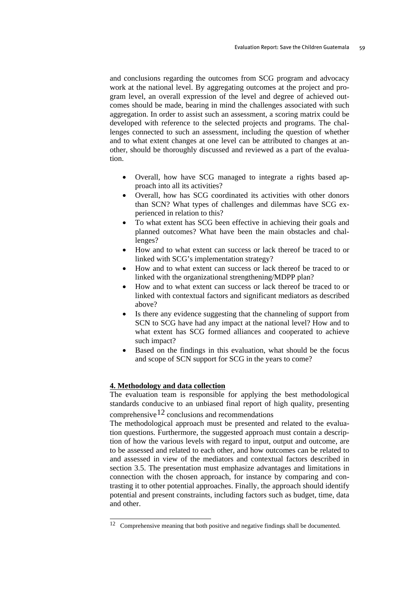<span id="page-62-0"></span>and conclusions regarding the outcomes from SCG program and advocacy work at the national level. By aggregating outcomes at the project and program level, an overall expression of the level and degree of achieved outcomes should be made, bearing in mind the challenges associated with such aggregation. In order to assist such an assessment, a scoring matrix could be developed with reference to the selected projects and programs. The challenges connected to such an assessment, including the question of whether and to what extent changes at one level can be attributed to changes at another, should be thoroughly discussed and reviewed as a part of the evaluation.

- Overall, how have SCG managed to integrate a rights based approach into all its activities?
- Overall, how has SCG coordinated its activities with other donors than SCN? What types of challenges and dilemmas have SCG experienced in relation to this?
- To what extent has SCG been effective in achieving their goals and planned outcomes? What have been the main obstacles and challenges?
- How and to what extent can success or lack thereof be traced to or linked with SCG's implementation strategy?
- How and to what extent can success or lack thereof be traced to or linked with the organizational strengthening/MDPP plan?
- How and to what extent can success or lack thereof be traced to or linked with contextual factors and significant mediators as described above?
- Is there any evidence suggesting that the channeling of support from SCN to SCG have had any impact at the national level? How and to what extent has SCG formed alliances and cooperated to achieve such impact?
- Based on the findings in this evaluation, what should be the focus and scope of SCN support for SCG in the years to come?

# **4. Methodology and data collection**

The evaluation team is responsible for applying the best methodological standards conducive to an unbiased final report of high quality, presenting comprehensive<sup>[12](#page-62-0)</sup> conclusions and recommendations

The methodological approach must be presented and related to the evaluation questions. Furthermore, the suggested approach must contain a description of how the various levels with regard to input, output and outcome, are to be assessed and related to each other, and how outcomes can be related to and assessed in view of the mediators and contextual factors described in section 3.5. The presentation must emphasize advantages and limitations in connection with the chosen approach, for instance by comparing and contrasting it to other potential approaches. Finally, the approach should identify potential and present constraints, including factors such as budget, time, data and other.

 $\overline{\phantom{a}}$  $12$  Comprehensive meaning that both positive and negative findings shall be documented.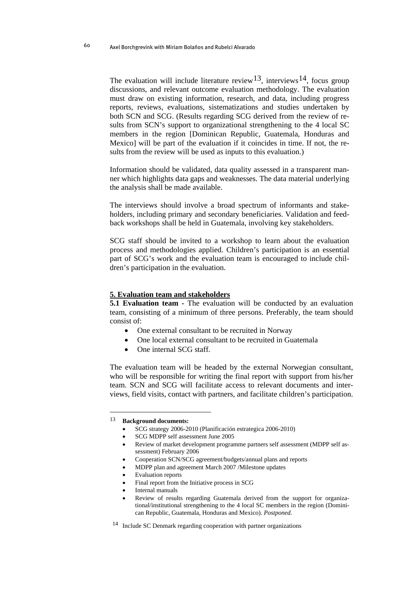<span id="page-63-0"></span>The evaluation will include literature review<sup>13</sup>, interviews<sup>[14](#page-63-0)</sup>, focus group discussions, and relevant outcome evaluation methodology. The evaluation must draw on existing information, research, and data, including progress reports, reviews, evaluations, sistematizations and studies undertaken by both SCN and SCG. (Results regarding SCG derived from the review of results from SCN's support to organizational strengthening to the 4 local SC members in the region [Dominican Republic, Guatemala, Honduras and Mexico] will be part of the evaluation if it coincides in time. If not, the results from the review will be used as inputs to this evaluation.)

Information should be validated, data quality assessed in a transparent manner which highlights data gaps and weaknesses. The data material underlying the analysis shall be made available.

The interviews should involve a broad spectrum of informants and stakeholders, including primary and secondary beneficiaries. Validation and feedback workshops shall be held in Guatemala, involving key stakeholders.

SCG staff should be invited to a workshop to learn about the evaluation process and methodologies applied. Children's participation is an essential part of SCG's work and the evaluation team is encouraged to include children's participation in the evaluation.

#### **5. Evaluation team and stakeholders**

**5.1 Evaluation team -** The evaluation will be conducted by an evaluation team, consisting of a minimum of three persons. Preferably, the team should consist of:

- One external consultant to be recruited in Norway
- One local external consultant to be recruited in Guatemala
- One internal SCG staff.

The evaluation team will be headed by the external Norwegian consultant, who will be responsible for writing the final report with support from his/her team. SCN and SCG will facilitate access to relevant documents and interviews, field visits, contact with partners, and facilitate children's participation.

 $\overline{a}$ 

• SCG strategy 2006-2010 (Planificación estrategica 2006-2010)

- MDPP plan and agreement March 2007 /Milestone updates
- Evaluation reports
- Final report from the Initiative process in SCG
- Internal manuals
- Review of results regarding Guatemala derived from the support for organizational/institutional strengthening to the 4 local SC members in the region (Dominican Republic, Guatemala, Honduras and Mexico). *Postponed.*

<sup>13</sup> **Background documents:** 

<sup>•</sup> SCG MDPP self assessment June 2005

<sup>•</sup> Review of market development programme partners self assessment (MDPP self assessment) February 2006

<sup>•</sup> Cooperation SCN/SCG agreement/budgets/annual plans and reports

<sup>14</sup> Include SC Denmark regarding cooperation with partner organizations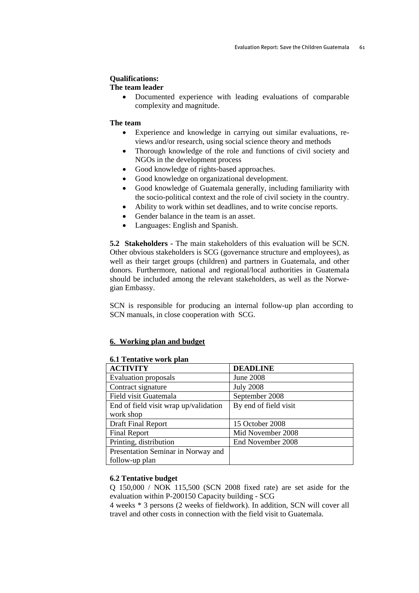# **Qualifications:**

#### **The team leader**

• Documented experience with leading evaluations of comparable complexity and magnitude.

#### **The team**

- Experience and knowledge in carrying out similar evaluations, reviews and/or research, using social science theory and methods
- Thorough knowledge of the role and functions of civil society and NGOs in the development process
- Good knowledge of rights-based approaches.
- Good knowledge on organizational development.
- Good knowledge of Guatemala generally, including familiarity with the socio-political context and the role of civil society in the country.
- Ability to work within set deadlines, and to write concise reports.
- Gender balance in the team is an asset.
- Languages: English and Spanish.

**5.2 Stakeholders -** The main stakeholders of this evaluation will be SCN. Other obvious stakeholders is SCG (governance structure and employees), as well as their target groups (children) and partners in Guatemala, and other donors. Furthermore, national and regional/local authorities in Guatemala should be included among the relevant stakeholders, as well as the Norwegian Embassy.

SCN is responsible for producing an internal follow-up plan according to SCN manuals, in close cooperation with SCG.

#### **6. Working plan and budget**

| <u>UM TUMMU VU VI U PAM</u>           |                       |  |
|---------------------------------------|-----------------------|--|
| <b>ACTIVITY</b>                       | <b>DEADLINE</b>       |  |
| <b>Evaluation proposals</b>           | <b>June 2008</b>      |  |
| Contract signature                    | <b>July 2008</b>      |  |
| Field visit Guatemala                 | September 2008        |  |
| End of field visit wrap up/validation | By end of field visit |  |
| work shop                             |                       |  |
| Draft Final Report                    | 15 October 2008       |  |
| <b>Final Report</b>                   | Mid November 2008     |  |
| Printing, distribution                | End November 2008     |  |
| Presentation Seminar in Norway and    |                       |  |
| follow-up plan                        |                       |  |

# **6.1 Tentative work plan**

#### **6.2 Tentative budget**

Q 150,000 / NOK 115,500 (SCN 2008 fixed rate) are set aside for the evaluation within P-200150 Capacity building - SCG

4 weeks \* 3 persons (2 weeks of fieldwork). In addition, SCN will cover all travel and other costs in connection with the field visit to Guatemala.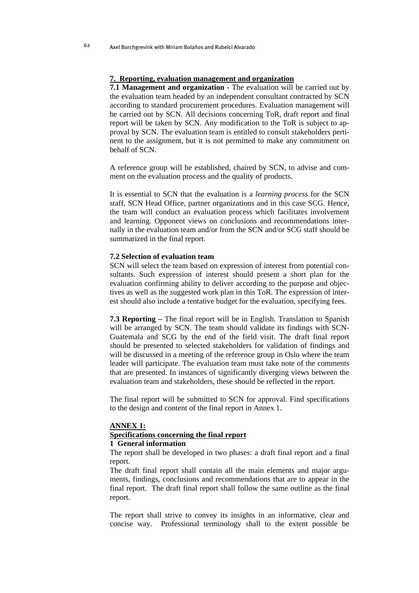#### **7. Reporting, evaluation management and organization**

**7.1 Management and organization - The evaluation will be carried out by** the evaluation team headed by an independent consultant contracted by SCN according to standard procurement procedures. Evaluation management will be carried out by SCN. All decisions concerning ToR, draft report and final report will be taken by SCN. Any modification to the ToR is subject to approval by SCN. The evaluation team is entitled to consult stakeholders pertinent to the assignment, but it is not permitted to make any commitment on behalf of SCN.

A reference group will be established, chaired by SCN, to advise and comment on the evaluation process and the quality of products.

It is essential to SCN that the evaluation is a *learning process* for the SCN staff, SCN Head Office, partner organizations and in this case SCG. Hence, the team will conduct an evaluation process which facilitates involvement and learning. Opponent views on conclusions and recommendations internally in the evaluation team and/or from the SCN and/or SCG staff should be summarized in the final report.

#### **7.2 Selection of evaluation team**

SCN will select the team based on expression of interest from potential consultants. Such expression of interest should present a short plan for the evaluation confirming ability to deliver according to the purpose and objectives as well as the suggested work plan in this ToR. The expression of interest should also include a tentative budget for the evaluation, specifying fees.

**7.3 Reporting –** The final report will be in English. Translation to Spanish will be arranged by SCN. The team should validate its findings with SCN-Guatemala and SCG by the end of the field visit. The draft final report should be presented to selected stakeholders for validation of findings and will be discussed in a meeting of the reference group in Oslo where the team leader will participate. The evaluation team must take note of the comments that are presented. In instances of significantly diverging views between the evaluation team and stakeholders, these should be reflected in the report.

The final report will be submitted to SCN for approval. Find specifications to the design and content of the final report in Annex 1.

#### **ANNEX 1:**

## **Specifications concerning the final report**

# **1 General information**

The report shall be developed in two phases: a draft final report and a final report.

The draft final report shall contain all the main elements and major arguments, findings, conclusions and recommendations that are to appear in the final report. The draft final report shall follow the same outline as the final report.

The report shall strive to convey its insights in an informative, clear and concise way. Professional terminology shall to the extent possible be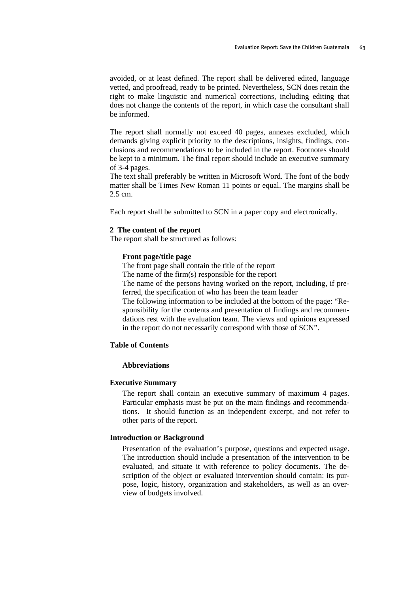avoided, or at least defined. The report shall be delivered edited, language vetted, and proofread, ready to be printed. Nevertheless, SCN does retain the right to make linguistic and numerical corrections, including editing that does not change the contents of the report, in which case the consultant shall be informed.

The report shall normally not exceed 40 pages, annexes excluded, which demands giving explicit priority to the descriptions, insights, findings, conclusions and recommendations to be included in the report. Footnotes should be kept to a minimum. The final report should include an executive summary of 3-4 pages.

The text shall preferably be written in Microsoft Word. The font of the body matter shall be Times New Roman 11 points or equal. The margins shall be 2.5 cm.

Each report shall be submitted to SCN in a paper copy and electronically.

## **2 The content of the report**

The report shall be structured as follows:

#### **Front page/title page**

The front page shall contain the title of the report

The name of the firm(s) responsible for the report

The name of the persons having worked on the report, including, if preferred, the specification of who has been the team leader

The following information to be included at the bottom of the page: "Responsibility for the contents and presentation of findings and recommendations rest with the evaluation team. The views and opinions expressed in the report do not necessarily correspond with those of SCN".

#### **Table of Contents**

#### **Abbreviations**

#### **Executive Summary**

The report shall contain an executive summary of maximum 4 pages. Particular emphasis must be put on the main findings and recommendations. It should function as an independent excerpt, and not refer to other parts of the report.

#### **Introduction or Background**

Presentation of the evaluation's purpose, questions and expected usage. The introduction should include a presentation of the intervention to be evaluated, and situate it with reference to policy documents. The description of the object or evaluated intervention should contain: its purpose, logic, history, organization and stakeholders, as well as an overview of budgets involved.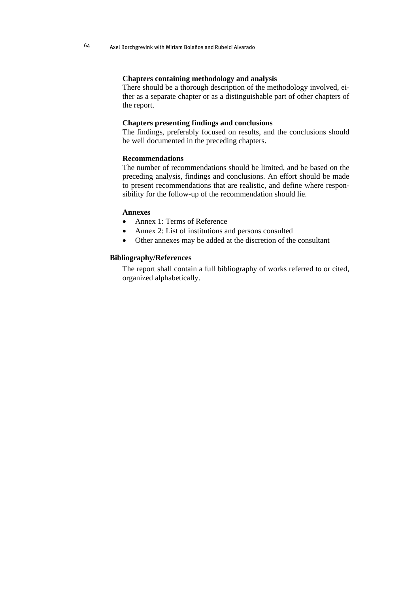#### **Chapters containing methodology and analysis**

There should be a thorough description of the methodology involved, either as a separate chapter or as a distinguishable part of other chapters of the report.

## **Chapters presenting findings and conclusions**

The findings, preferably focused on results, and the conclusions should be well documented in the preceding chapters.

## **Recommendations**

The number of recommendations should be limited, and be based on the preceding analysis, findings and conclusions. An effort should be made to present recommendations that are realistic, and define where responsibility for the follow-up of the recommendation should lie.

#### **Annexes**

- Annex 1: Terms of Reference
- Annex 2: List of institutions and persons consulted
- Other annexes may be added at the discretion of the consultant

## **Bibliography/References**

The report shall contain a full bibliography of works referred to or cited, organized alphabetically.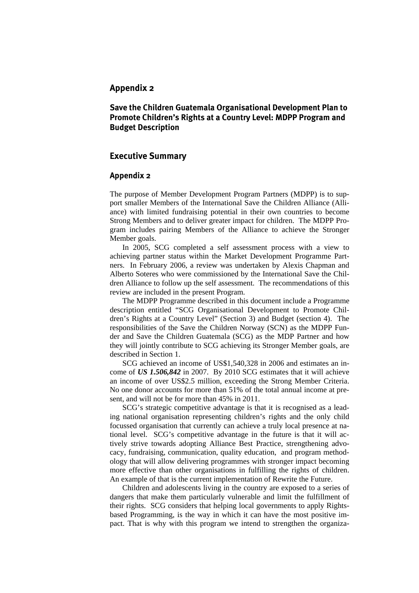# **Appendix 2**

# **Save the Children Guatemala Organisational Development Plan to Promote Children's Rights at a Country Level: MDPP Program and Budget Description**

# **Executive Summary**

## **Appendix 2**

The purpose of Member Development Program Partners (MDPP) is to support smaller Members of the International Save the Children Alliance (Alliance) with limited fundraising potential in their own countries to become Strong Members and to deliver greater impact for children. The MDPP Program includes pairing Members of the Alliance to achieve the Stronger Member goals.

In 2005, SCG completed a self assessment process with a view to achieving partner status within the Market Development Programme Partners. In February 2006, a review was undertaken by Alexis Chapman and Alberto Soteres who were commissioned by the International Save the Children Alliance to follow up the self assessment. The recommendations of this review are included in the present Program.

The MDPP Programme described in this document include a Programme description entitled "SCG Organisational Development to Promote Children's Rights at a Country Level" (Section 3) and Budget (section 4). The responsibilities of the Save the Children Norway (SCN) as the MDPP Funder and Save the Children Guatemala (SCG) as the MDP Partner and how they will jointly contribute to SCG achieving its Stronger Member goals, are described in Section 1.

SCG achieved an income of US\$1,540,328 in 2006 and estimates an income of *US 1.506,842* in 2007. By 2010 SCG estimates that it will achieve an income of over US\$2.5 million, exceeding the Strong Member Criteria. No one donor accounts for more than 51% of the total annual income at present, and will not be for more than 45% in 2011.

SCG's strategic competitive advantage is that it is recognised as a leading national organisation representing children's rights and the only child focussed organisation that currently can achieve a truly local presence at national level. SCG's competitive advantage in the future is that it will actively strive towards adopting Alliance Best Practice, strengthening advocacy, fundraising, communication, quality education, and program methodology that will allow delivering programmes with stronger impact becoming more effective than other organisations in fulfilling the rights of children. An example of that is the current implementation of Rewrite the Future.

Children and adolescents living in the country are exposed to a series of dangers that make them particularly vulnerable and limit the fulfillment of their rights. SCG considers that helping local governments to apply Rightsbased Programming, is the way in which it can have the most positive impact. That is why with this program we intend to strengthen the organiza-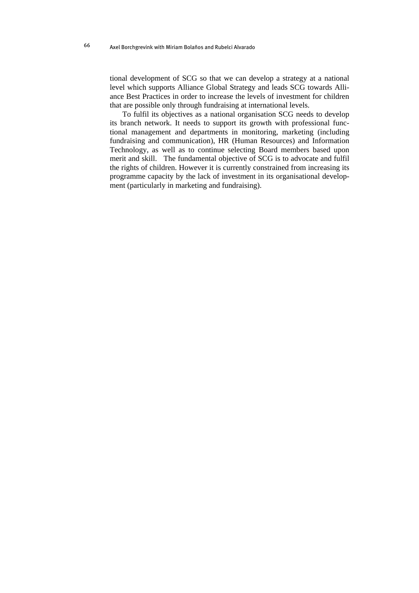tional development of SCG so that we can develop a strategy at a national level which supports Alliance Global Strategy and leads SCG towards Alliance Best Practices in order to increase the levels of investment for children that are possible only through fundraising at international levels.

To fulfil its objectives as a national organisation SCG needs to develop its branch network. It needs to support its growth with professional functional management and departments in monitoring, marketing (including fundraising and communication), HR (Human Resources) and Information Technology, as well as to continue selecting Board members based upon merit and skill. The fundamental objective of SCG is to advocate and fulfil the rights of children. However it is currently constrained from increasing its programme capacity by the lack of investment in its organisational development (particularly in marketing and fundraising).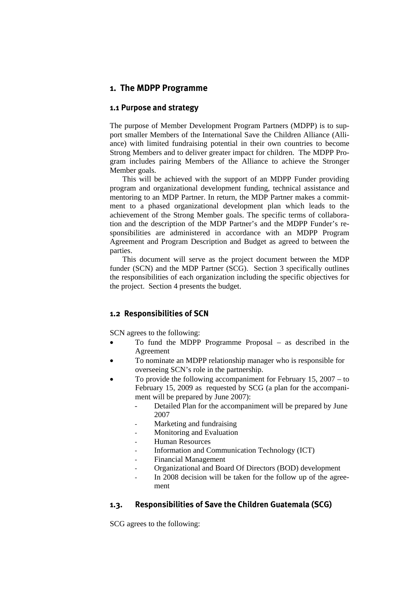# **1. The MDPP Programme**

## **1.1 Purpose and strategy**

The purpose of Member Development Program Partners (MDPP) is to support smaller Members of the International Save the Children Alliance (Alliance) with limited fundraising potential in their own countries to become Strong Members and to deliver greater impact for children. The MDPP Program includes pairing Members of the Alliance to achieve the Stronger Member goals.

This will be achieved with the support of an MDPP Funder providing program and organizational development funding, technical assistance and mentoring to an MDP Partner. In return, the MDP Partner makes a commitment to a phased organizational development plan which leads to the achievement of the Strong Member goals. The specific terms of collaboration and the description of the MDP Partner's and the MDPP Funder's responsibilities are administered in accordance with an MDPP Program Agreement and Program Description and Budget as agreed to between the parties.

This document will serve as the project document between the MDP funder (SCN) and the MDP Partner (SCG). Section 3 specifically outlines the responsibilities of each organization including the specific objectives for the project. Section 4 presents the budget.

# **1.2 Responsibilities of SCN**

SCN agrees to the following:

- To fund the MDPP Programme Proposal as described in the Agreement
- To nominate an MDPP relationship manager who is responsible for overseeing SCN's role in the partnership.
- To provide the following accompaniment for February 15, 2007 to February 15, 2009 as requested by SCG (a plan for the accompaniment will be prepared by June 2007):
	- Detailed Plan for the accompaniment will be prepared by June 2007
	- Marketing and fundraising
	- Monitoring and Evaluation
	- Human Resources
	- Information and Communication Technology (ICT)
	- Financial Management
	- Organizational and Board Of Directors (BOD) development
	- In 2008 decision will be taken for the follow up of the agreement

## **1.3. Responsibilities of Save the Children Guatemala (SCG)**

SCG agrees to the following: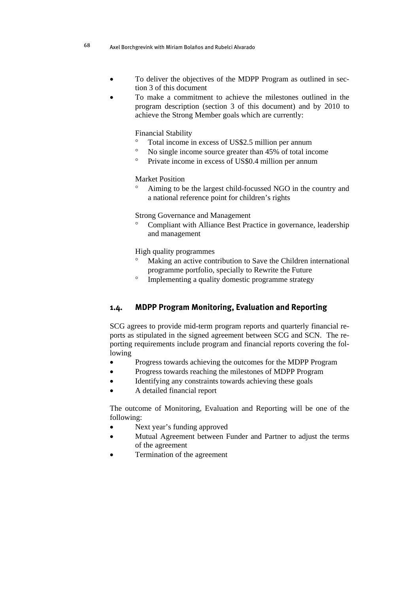- To deliver the objectives of the MDPP Program as outlined in section 3 of this document
- To make a commitment to achieve the milestones outlined in the program description (section 3 of this document) and by 2010 to achieve the Strong Member goals which are currently:

Financial Stability

- ° Total income in excess of US\$2.5 million per annum
- ° No single income source greater than 45% of total income
- ° Private income in excess of US\$0.4 million per annum

## Market Position

° Aiming to be the largest child-focussed NGO in the country and a national reference point for children's rights

Strong Governance and Management

Compliant with Alliance Best Practice in governance, leadership and management

High quality programmes

- Making an active contribution to Save the Children international programme portfolio, specially to Rewrite the Future
- ° Implementing a quality domestic programme strategy

# **1.4. MDPP Program Monitoring, Evaluation and Reporting**

SCG agrees to provide mid-term program reports and quarterly financial reports as stipulated in the signed agreement between SCG and SCN. The reporting requirements include program and financial reports covering the following

- Progress towards achieving the outcomes for the MDPP Program
- Progress towards reaching the milestones of MDPP Program
- Identifying any constraints towards achieving these goals
- A detailed financial report

The outcome of Monitoring, Evaluation and Reporting will be one of the following:

- Next year's funding approved
- Mutual Agreement between Funder and Partner to adjust the terms of the agreement
- Termination of the agreement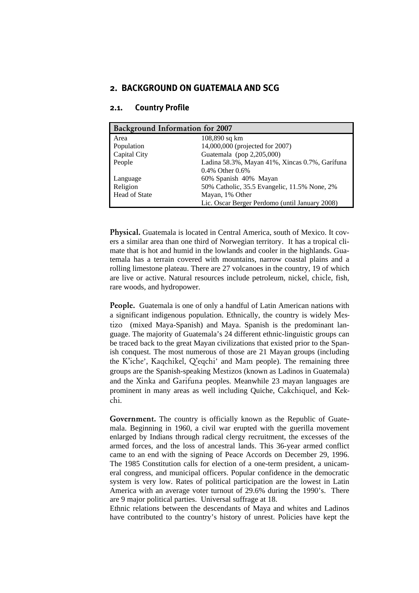## **2. BACKGROUND ON GUATEMALA AND SCG**

| <b>Background Information for 2007</b> |                                                |  |  |  |
|----------------------------------------|------------------------------------------------|--|--|--|
| Area                                   | $108,890$ sq km                                |  |  |  |
| Population                             | 14,000,000 (projected for 2007)                |  |  |  |
| Capital City                           | Guatemala (pop 2,205,000)                      |  |  |  |
| People                                 | Ladina 58.3%, Mayan 41%, Xincas 0.7%, Garífuna |  |  |  |
|                                        | 0.4% Other $0.6\%$                             |  |  |  |
| Language                               | 60% Spanish 40% Mayan                          |  |  |  |
| Religion                               | 50% Catholic, 35.5 Evangelic, 11.5% None, 2%   |  |  |  |
| Head of State                          | Mayan, 1% Other                                |  |  |  |
|                                        | Lic. Oscar Berger Perdomo (until January 2008) |  |  |  |

## **2.1. Country Profile**

Physical. Guatemala is located in Central America, south of Mexico. It covers a similar area than one third of Norwegian territory. It has a tropical climate that is hot and humid in the lowlands and cooler in the highlands. Guatemala has a terrain covered with mountains, narrow coastal plains and a rolling limestone plateau. There are 27 volcanoes in the country, 19 of which are live or active. Natural resources include petroleum, nickel, chicle, fish, rare woods, and hydropower.

People. Guatemala is one of only a handful of Latin American nations with a significant indigenous population. Ethnically, the country is widely Mestizo (mixed Maya-Spanish) and Maya. Spanish is the predominant language. The majority of Guatemala's 24 different ethnic-linguistic groups can be traced back to the great Mayan civilizations that existed prior to the Spanish conquest. The most numerous of those are 21 Mayan groups (including the K'iche', Kaqchikel, Q'eqchi' and Mam people). The remaining three groups are the Spanish-speaking Mestizos (known as Ladinos in Guatemala) and the Xinka and Garifuna peoples. Meanwhile 23 mayan languages are prominent in many areas as well including Quiche, Cakchiquel, and Kekchi.

Government. The country is officially known as the Republic of Guatemala. Beginning in 1960, a civil war erupted with the guerilla movement enlarged by Indians through radical clergy recruitment, the excesses of the armed forces, and the loss of ancestral lands. This 36-year armed conflict came to an end with the signing of Peace Accords on December 29, 1996. The 1985 Constitution calls for election of a one-term president, a unicameral congress, and municipal officers. Popular confidence in the democratic system is very low. Rates of political participation are the lowest in Latin America with an average voter turnout of 29.6% during the 1990's. There are 9 major political parties. Universal suffrage at 18.

Ethnic relations between the descendants of Maya and whites and Ladinos have contributed to the country's history of unrest. Policies have kept the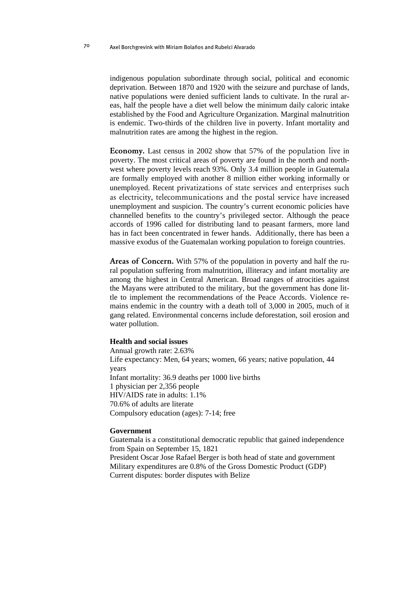indigenous population subordinate through social, political and economic deprivation. Between 1870 and 1920 with the seizure and purchase of lands, native populations were denied sufficient lands to cultivate. In the rural areas, half the people have a diet well below the minimum daily caloric intake established by the Food and Agriculture Organization. Marginal malnutrition is endemic. Two-thirds of the children live in poverty. Infant mortality and malnutrition rates are among the highest in the region.

Economy. Last census in 2002 show that 57% of the population live in poverty. The most critical areas of poverty are found in the north and northwest where poverty levels reach 93%. Only 3.4 million people in Guatemala are formally employed with another 8 million either working informally or unemployed. Recent privatizations of state services and enterprises such as electricity, telecommunications and the postal service have increased unemployment and suspicion. The country's current economic policies have channelled benefits to the country's privileged sector. Although the peace accords of 1996 called for distributing land to peasant farmers, more land has in fact been concentrated in fewer hands. Additionally, there has been a massive exodus of the Guatemalan working population to foreign countries.

Areas of Concern. With 57% of the population in poverty and half the rural population suffering from malnutrition, illiteracy and infant mortality are among the highest in Central American. Broad ranges of atrocities against the Mayans were attributed to the military, but the government has done little to implement the recommendations of the Peace Accords. Violence remains endemic in the country with a death toll of 3,000 in 2005, much of it gang related. Environmental concerns include deforestation, soil erosion and water pollution.

#### **Health and social issues**

Annual growth rate: 2.63% Life expectancy: Men, 64 years; women, 66 years; native population, 44 years Infant mortality: 36.9 deaths per 1000 live births 1 physician per 2,356 people HIV/AIDS rate in adults: 1.1% 70.6% of adults are literate Compulsory education (ages): 7-14; free

#### **Government**

Guatemala is a constitutional democratic republic that gained independence from Spain on September 15, 1821 President Oscar Jose Rafael Berger is both head of state and government Military expenditures are 0.8% of the Gross Domestic Product (GDP) Current disputes: border disputes with Belize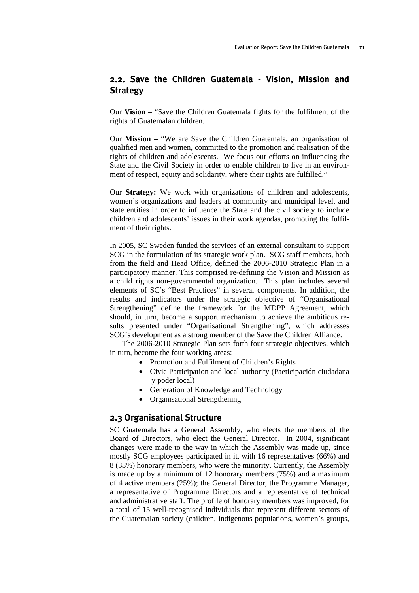## **2.2. Save the Children Guatemala - Vision, Mission and Strategy**

Our **Vision** – "Save the Children Guatemala fights for the fulfilment of the rights of Guatemalan children.

Our **Mission –** "We are Save the Children Guatemala, an organisation of qualified men and women, committed to the promotion and realisation of the rights of children and adolescents. We focus our efforts on influencing the State and the Civil Society in order to enable children to live in an environment of respect, equity and solidarity, where their rights are fulfilled."

Our **Strategy:** We work with organizations of children and adolescents, women's organizations and leaders at community and municipal level, and state entities in order to influence the State and the civil society to include children and adolescents' issues in their work agendas, promoting the fulfilment of their rights.

In 2005, SC Sweden funded the services of an external consultant to support SCG in the formulation of its strategic work plan. SCG staff members, both from the field and Head Office, defined the 2006-2010 Strategic Plan in a participatory manner. This comprised re-defining the Vision and Mission as a child rights non-governmental organization. This plan includes several elements of SC's "Best Practices" in several components. In addition, the results and indicators under the strategic objective of "Organisational Strengthening" define the framework for the MDPP Agreement, which should, in turn, become a support mechanism to achieve the ambitious results presented under "Organisational Strengthening", which addresses SCG's development as a strong member of the Save the Children Alliance.

The 2006-2010 Strategic Plan sets forth four strategic objectives, which in turn, become the four working areas:

- Promotion and Fulfilment of Children's Rights
- Civic Participation and local authority (Paeticipación ciudadana y poder local)
- Generation of Knowledge and Technology
- Organisational Strengthening

## **2.3 Organisational Structure**

SC Guatemala has a General Assembly, who elects the members of the Board of Directors, who elect the General Director. In 2004, significant changes were made to the way in which the Assembly was made up, since mostly SCG employees participated in it, with 16 representatives (66%) and 8 (33%) honorary members, who were the minority. Currently, the Assembly is made up by a minimum of 12 honorary members (75%) and a maximum of 4 active members (25%); the General Director, the Programme Manager, a representative of Programme Directors and a representative of technical and administrative staff. The profile of honorary members was improved, for a total of 15 well-recognised individuals that represent different sectors of the Guatemalan society (children, indigenous populations, women's groups,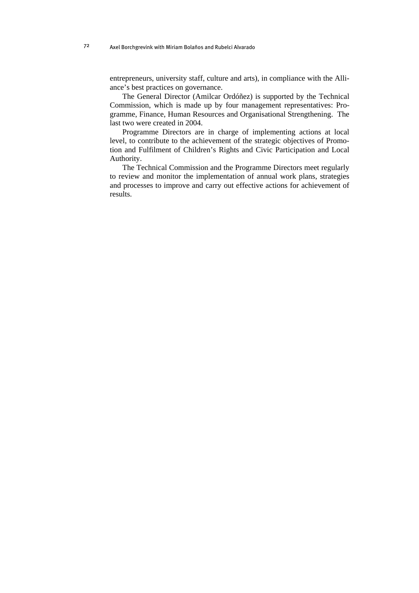entrepreneurs, university staff, culture and arts), in compliance with the Alliance's best practices on governance.

The General Director (Amilcar Ordóñez) is supported by the Technical Commission, which is made up by four management representatives: Programme, Finance, Human Resources and Organisational Strengthening. The last two were created in 2004.

Programme Directors are in charge of implementing actions at local level, to contribute to the achievement of the strategic objectives of Promotion and Fulfilment of Children's Rights and Civic Participation and Local Authority.

The Technical Commission and the Programme Directors meet regularly to review and monitor the implementation of annual work plans, strategies and processes to improve and carry out effective actions for achievement of results.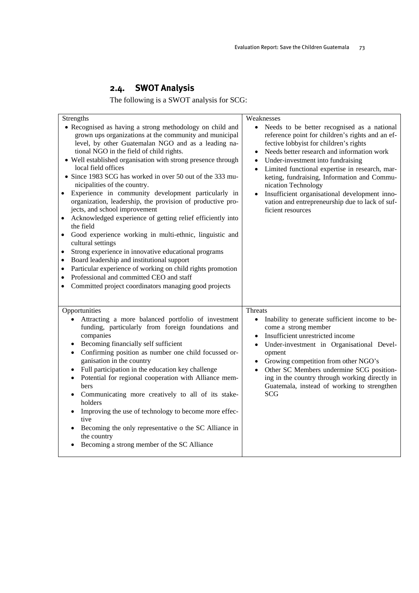# **2.4. SWOT Analysis**

The following is a SWOT analysis for SCG:

| <b>Strengths</b><br>• Recognised as having a strong methodology on child and<br>grown ups organizations at the community and municipal<br>level, by other Guatemalan NGO and as a leading na-<br>tional NGO in the field of child rights.<br>• Well established organisation with strong presence through<br>local field offices<br>• Since 1983 SCG has worked in over 50 out of the 333 mu-<br>nicipalities of the country.<br>Experience in community development particularly in<br>$\bullet$<br>organization, leadership, the provision of productive pro-<br>jects, and school improvement<br>Acknowledged experience of getting relief efficiently into<br>the field<br>Good experience working in multi-ethnic, linguistic and<br>$\bullet$<br>cultural settings | Weaknesses<br>$\bullet$<br>Needs to be better recognised as a national<br>reference point for children's rights and an ef-<br>fective lobbyist for children's rights<br>Needs better research and information work<br>$\bullet$<br>Under-investment into fundraising<br>$\bullet$<br>Limited functional expertise in research, mar-<br>$\bullet$<br>keting, fundraising, Information and Commu-<br>nication Technology<br>Insufficient organisational development inno-<br>vation and entrepreneurship due to lack of suf-<br>ficient resources |
|--------------------------------------------------------------------------------------------------------------------------------------------------------------------------------------------------------------------------------------------------------------------------------------------------------------------------------------------------------------------------------------------------------------------------------------------------------------------------------------------------------------------------------------------------------------------------------------------------------------------------------------------------------------------------------------------------------------------------------------------------------------------------|-------------------------------------------------------------------------------------------------------------------------------------------------------------------------------------------------------------------------------------------------------------------------------------------------------------------------------------------------------------------------------------------------------------------------------------------------------------------------------------------------------------------------------------------------|
| Strong experience in innovative educational programs<br>$\bullet$<br>Board leadership and institutional support<br>٠<br>Particular experience of working on child rights promotion<br>$\bullet$<br>Professional and committed CEO and staff<br>$\bullet$<br>Committed project coordinators managing good projects<br>$\bullet$                                                                                                                                                                                                                                                                                                                                                                                                                                           |                                                                                                                                                                                                                                                                                                                                                                                                                                                                                                                                                 |
| Opportunities<br>Attracting a more balanced portfolio of investment<br>funding, particularly from foreign foundations and<br>companies<br>Becoming financially self sufficient<br>Confirming position as number one child focussed or-<br>$\bullet$<br>ganisation in the country<br>Full participation in the education key challenge<br>Potential for regional cooperation with Alliance mem-<br>bers<br>Communicating more creatively to all of its stake-<br>holders<br>Improving the use of technology to become more effec-<br>tive<br>Becoming the only representative o the SC Alliance in<br>$\bullet$<br>the country<br>Becoming a strong member of the SC Alliance                                                                                             | Threats<br>Inability to generate sufficient income to be-<br>$\bullet$<br>come a strong member<br>Insufficient unrestricted income<br>Under-investment in Organisational Devel-<br>opment<br>Growing competition from other NGO's<br>$\bullet$<br>Other SC Members undermine SCG position-<br>$\bullet$<br>ing in the country through working directly in<br>Guatemala, instead of working to strengthen<br>SCG                                                                                                                                 |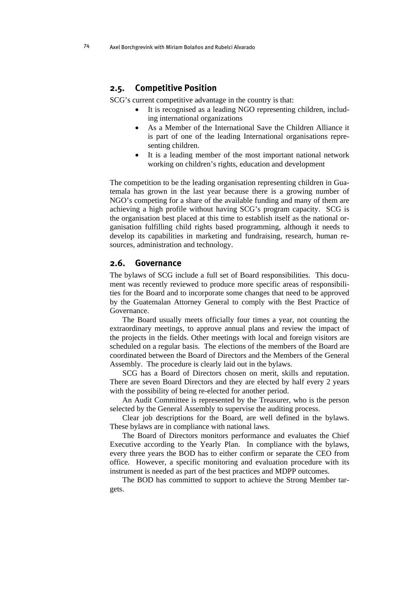## **2.5. Competitive Position**

SCG's current competitive advantage in the country is that:

- It is recognised as a leading NGO representing children, including international organizations
- As a Member of the International Save the Children Alliance it is part of one of the leading International organisations representing children.
- It is a leading member of the most important national network working on children's rights, education and development

The competition to be the leading organisation representing children in Guatemala has grown in the last year because there is a growing number of NGO's competing for a share of the available funding and many of them are achieving a high profile without having SCG's program capacity. SCG is the organisation best placed at this time to establish itself as the national organisation fulfilling child rights based programming, although it needs to develop its capabilities in marketing and fundraising, research, human resources, administration and technology.

## **2.6. Governance**

The bylaws of SCG include a full set of Board responsibilities. This document was recently reviewed to produce more specific areas of responsibilities for the Board and to incorporate some changes that need to be approved by the Guatemalan Attorney General to comply with the Best Practice of Governance.

The Board usually meets officially four times a year, not counting the extraordinary meetings, to approve annual plans and review the impact of the projects in the fields. Other meetings with local and foreign visitors are scheduled on a regular basis. The elections of the members of the Board are coordinated between the Board of Directors and the Members of the General Assembly. The procedure is clearly laid out in the bylaws.

SCG has a Board of Directors chosen on merit, skills and reputation. There are seven Board Directors and they are elected by half every 2 years with the possibility of being re-elected for another period.

An Audit Committee is represented by the Treasurer, who is the person selected by the General Assembly to supervise the auditing process.

Clear job descriptions for the Board, are well defined in the bylaws. These bylaws are in compliance with national laws.

The Board of Directors monitors performance and evaluates the Chief Executive according to the Yearly Plan. In compliance with the bylaws, every three years the BOD has to either confirm or separate the CEO from office. However, a specific monitoring and evaluation procedure with its instrument is needed as part of the best practices and MDPP outcomes.

The BOD has committed to support to achieve the Strong Member targets.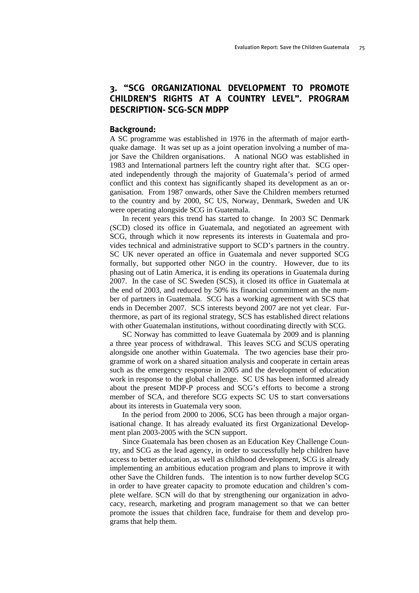## **3. "SCG ORGANIZATIONAL DEVELOPMENT TO PROMOTE CHILDREN'S RIGHTS AT A COUNTRY LEVEL". PROGRAM DESCRIPTION- SCG-SCN MDPP**

### **Background:**

A SC programme was established in 1976 in the aftermath of major earthquake damage. It was set up as a joint operation involving a number of major Save the Children organisations. A national NGO was established in 1983 and International partners left the country right after that. SCG operated independently through the majority of Guatemala's period of armed conflict and this context has significantly shaped its development as an organisation. From 1987 onwards, other Save the Children members returned to the country and by 2000, SC US, Norway, Denmark, Sweden and UK were operating alongside SCG in Guatemala.

In recent years this trend has started to change. In 2003 SC Denmark (SCD) closed its office in Guatemala, and negotiated an agreement with SCG, through which it now represents its interests in Guatemala and provides technical and administrative support to SCD's partners in the country. SC UK never operated an office in Guatemala and never supported SCG formally, but supported other NGO in the country. However, due to its phasing out of Latin America, it is ending its operations in Guatemala during 2007. In the case of SC Sweden (SCS), it closed its office in Guatemala at the end of 2003, and reduced by 50% its financial commitment an the number of partners in Guatemala. SCG has a working agreement with SCS that ends in December 2007. SCS interests beyond 2007 are not yet clear. Furthermore, as part of its regional strategy, SCS has established direct relations with other Guatemalan institutions, without coordinating directly with SCG.

SC Norway has committed to leave Guatemala by 2009 and is planning a three year process of withdrawal. This leaves SCG and SCUS operating alongside one another within Guatemala. The two agencies base their programme of work on a shared situation analysis and cooperate in certain areas such as the emergency response in 2005 and the development of education work in response to the global challenge. SC US has been informed already about the present MDP-P process and SCG's efforts to become a strong member of SCA, and therefore SCG expects SC US to start conversations about its interests in Guatemala very soon.

In the period from 2000 to 2006, SCG has been through a major organisational change. It has already evaluated its first Organizational Development plan 2003-2005 with the SCN support.

Since Guatemala has been chosen as an Education Key Challenge Country, and SCG as the lead agency, in order to successfully help children have access to better education, as well as childhood development, SCG is already implementing an ambitious education program and plans to improve it with other Save the Children funds. The intention is to now further develop SCG in order to have greater capacity to promote education and children's complete welfare. SCN will do that by strengthening our organization in advocacy, research, marketing and program management so that we can better promote the issues that children face, fundraise for them and develop programs that help them.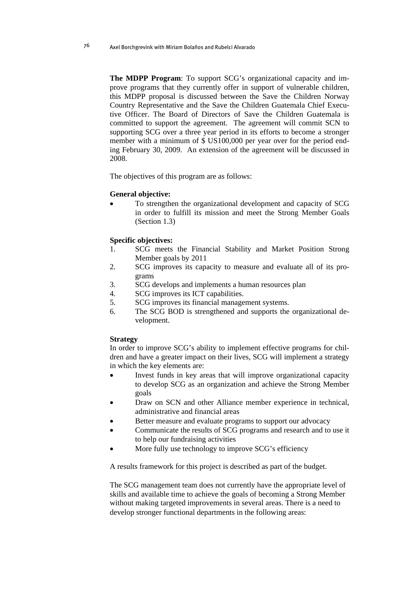**The MDPP Program**: To support SCG's organizational capacity and improve programs that they currently offer in support of vulnerable children, this MDPP proposal is discussed between the Save the Children Norway Country Representative and the Save the Children Guatemala Chief Executive Officer. The Board of Directors of Save the Children Guatemala is committed to support the agreement. The agreement will commit SCN to supporting SCG over a three year period in its efforts to become a stronger member with a minimum of \$ US100,000 per year over for the period ending February 30, 2009. An extension of the agreement will be discussed in 2008.

The objectives of this program are as follows:

#### **General objective:**

• To strengthen the organizational development and capacity of SCG in order to fulfill its mission and meet the Strong Member Goals (Section 1.3)

#### **Specific objectives:**

- 1. SCG meets the Financial Stability and Market Position Strong Member goals by 2011
- 2. SCG improves its capacity to measure and evaluate all of its programs
- 3. SCG develops and implements a human resources plan
- 4. SCG improves its ICT capabilities.
- 5. SCG improves its financial management systems.
- 6. The SCG BOD is strengthened and supports the organizational development.

#### **Strategy**

In order to improve SCG's ability to implement effective programs for children and have a greater impact on their lives, SCG will implement a strategy in which the key elements are:

- Invest funds in key areas that will improve organizational capacity to develop SCG as an organization and achieve the Strong Member goals
- Draw on SCN and other Alliance member experience in technical, administrative and financial areas
- Better measure and evaluate programs to support our advocacy
- Communicate the results of SCG programs and research and to use it to help our fundraising activities
- More fully use technology to improve SCG's efficiency

A results framework for this project is described as part of the budget.

The SCG management team does not currently have the appropriate level of skills and available time to achieve the goals of becoming a Strong Member without making targeted improvements in several areas. There is a need to develop stronger functional departments in the following areas: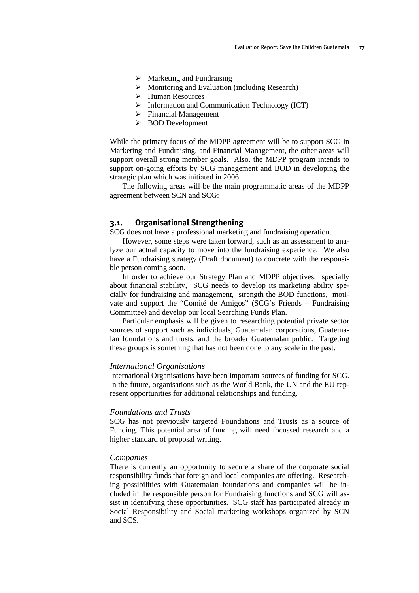- $\triangleright$  Marketing and Fundraising
- ¾ Monitoring and Evaluation (including Research)
- ¾ Human Resources
- $\triangleright$  Information and Communication Technology (ICT)
- $\triangleright$  Financial Management
- ¾ BOD Development

While the primary focus of the MDPP agreement will be to support SCG in Marketing and Fundraising, and Financial Management, the other areas will support overall strong member goals. Also, the MDPP program intends to support on-going efforts by SCG management and BOD in developing the strategic plan which was initiated in 2006.

The following areas will be the main programmatic areas of the MDPP agreement between SCN and SCG:

#### **3.1. Organisational Strengthening**

SCG does not have a professional marketing and fundraising operation.

However, some steps were taken forward, such as an assessment to analyze our actual capacity to move into the fundraising experience. We also have a Fundraising strategy (Draft document) to concrete with the responsible person coming soon.

In order to achieve our Strategy Plan and MDPP objectives, specially about financial stability, SCG needs to develop its marketing ability specially for fundraising and management, strength the BOD functions, motivate and support the "Comité de Amigos" (SCG's Friends – Fundraising Committee) and develop our local Searching Funds Plan.

Particular emphasis will be given to researching potential private sector sources of support such as individuals, Guatemalan corporations, Guatemalan foundations and trusts, and the broader Guatemalan public. Targeting these groups is something that has not been done to any scale in the past.

#### *International Organisations*

International Organisations have been important sources of funding for SCG. In the future, organisations such as the World Bank, the UN and the EU represent opportunities for additional relationships and funding.

#### *Foundations and Trusts*

SCG has not previously targeted Foundations and Trusts as a source of Funding. This potential area of funding will need focussed research and a higher standard of proposal writing.

#### *Companies*

There is currently an opportunity to secure a share of the corporate social responsibility funds that foreign and local companies are offering. Researching possibilities with Guatemalan foundations and companies will be included in the responsible person for Fundraising functions and SCG will assist in identifying these opportunities. SCG staff has participated already in Social Responsibility and Social marketing workshops organized by SCN and SCS.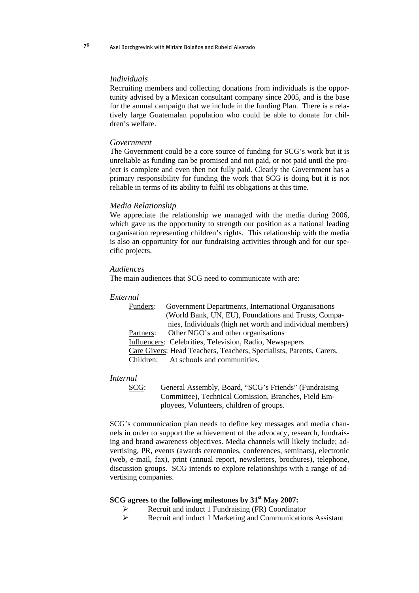#### *Individuals*

Recruiting members and collecting donations from individuals is the opportunity advised by a Mexican consultant company since 2005, and is the base for the annual campaign that we include in the funding Plan. There is a relatively large Guatemalan population who could be able to donate for children's welfare.

#### *Government*

The Government could be a core source of funding for SCG's work but it is unreliable as funding can be promised and not paid, or not paid until the project is complete and even then not fully paid. Clearly the Government has a primary responsibility for funding the work that SCG is doing but it is not reliable in terms of its ability to fulfil its obligations at this time.

#### *Media Relationship*

We appreciate the relationship we managed with the media during 2006, which gave us the opportunity to strength our position as a national leading organisation representing children's rights. This relationship with the media is also an opportunity for our fundraising activities through and for our specific projects.

#### *Audiences*

The main audiences that SCG need to communicate with are:

### *External*

| Funders:  | Government Departments, International Organisations                 |
|-----------|---------------------------------------------------------------------|
|           | (World Bank, UN, EU), Foundations and Trusts, Compa-                |
|           | nies, Individuals (high net worth and individual members)           |
| Partners: | Other NGO's and other organisations                                 |
|           | Influencers: Celebrities, Television, Radio, Newspapers             |
|           | Care Givers: Head Teachers, Teachers, Specialists, Parents, Carers. |
|           | Children: At schools and communities.                               |

#### *Internal*

SCG: General Assembly, Board, "SCG's Friends" (Fundraising Committee), Technical Comission, Branches, Field Employees, Volunteers, children of groups.

SCG's communication plan needs to define key messages and media channels in order to support the achievement of the advocacy, research, fundraising and brand awareness objectives. Media channels will likely include; advertising, PR, events (awards ceremonies, conferences, seminars), electronic (web, e-mail, fax), print (annual report, newsletters, brochures), telephone, discussion groups. SCG intends to explore relationships with a range of advertising companies.

## **SCG agrees to the following milestones by 31<sup>st</sup> May 2007:**

- ¾ Recruit and induct 1 Fundraising (FR) Coordinator
- ¾ Recruit and induct 1 Marketing and Communications Assistant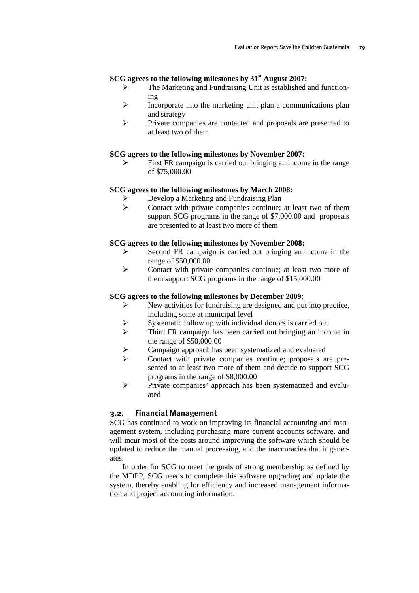## **SCG agrees to the following milestones by 31<sup>st</sup> August 2007:**

- ¾ The Marketing and Fundraising Unit is established and functioning
- $\triangleright$  Incorporate into the marketing unit plan a communications plan and strategy
- ¾ Private companies are contacted and proposals are presented to at least two of them

#### **SCG agrees to the following milestones by November 2007:**

 $\triangleright$  First FR campaign is carried out bringing an income in the range of \$75,000.00

#### **SCG agrees to the following milestones by March 2008:**

- Develop a Marketing and Fundraising Plan
- ¾ Contact with private companies continue; at least two of them support SCG programs in the range of \$7,000.00 and proposals are presented to at least two more of them

#### **SCG agrees to the following milestones by November 2008:**

- ¾ Second FR campaign is carried out bringing an income in the range of \$50,000.00
- ¾ Contact with private companies continue; at least two more of them support SCG programs in the range of \$15,000.00

#### **SCG agrees to the following milestones by December 2009:**

- $\triangleright$  New activities for fundraising are designed and put into practice, including some at municipal level
- $\triangleright$  Systematic follow up with individual donors is carried out
- ¾ Third FR campaign has been carried out bringing an income in the range of \$50,000.00
- Campaign approach has been systematized and evaluated
- ¾ Contact with private companies continue; proposals are presented to at least two more of them and decide to support SCG programs in the range of \$8,000.00
- ¾ Private companies' approach has been systematized and evaluated

## **3.2. Financial Management**

SCG has continued to work on improving its financial accounting and management system, including purchasing more current accounts software, and will incur most of the costs around improving the software which should be updated to reduce the manual processing, and the inaccuracies that it generates.

In order for SCG to meet the goals of strong membership as defined by the MDPP, SCG needs to complete this software upgrading and update the system, thereby enabling for efficiency and increased management information and project accounting information.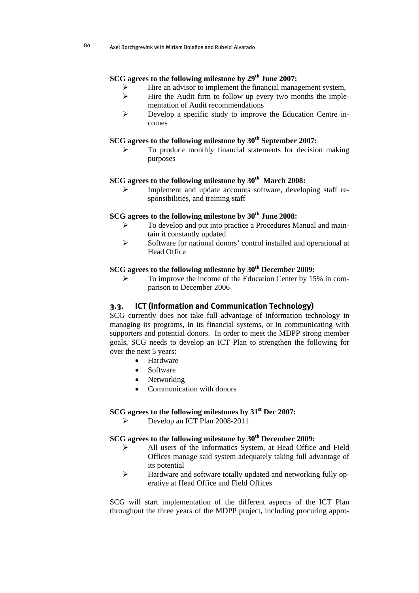## **SCG agrees to the following milestone by 29<sup>th</sup> June 2007:**

- Hire an advisor to implement the financial management system,
- $\triangleright$  Hire the Audit firm to follow up every two months the implementation of Audit recommendations
- ¾ Develop a specific study to improve the Education Centre incomes

## SCG agrees to the following milestone by  $30<sup>th</sup>$  September 2007:

¾ To produce monthly financial statements for decision making purposes

## SCG agrees to the following milestone by 30<sup>th</sup> March 2008:

Implement and update accounts software, developing staff responsibilities, and training staff

## SCG agrees to the following milestone by  $30<sup>th</sup>$  June 2008:

- ¾ To develop and put into practice a Procedures Manual and maintain it constantly updated
- ¾ Software for national donors' control installed and operational at Head Office

## **SCG agrees to the following milestone by 30<sup>th</sup> December 2009:**

To improve the income of the Education Center by 15% in comparison to December 2006

## **3.3. ICT (Information and Communication Technology)**

SCG currently does not take full advantage of information technology in managing its programs, in its financial systems, or in communicating with supporters and potential donors. In order to meet the MDPP strong member goals, SCG needs to develop an ICT Plan to strengthen the following for over the next 5 years:

- Hardware
- Software
- **Networking**
- Communication with donors

### **SCG agrees to the following milestones by 31st Dec 2007:**

Develop an ICT Plan 2008-2011

## **SCG agrees to the following milestone by 30<sup>th</sup> December 2009:**

- ¾ All users of the Informatics System, at Head Office and Field Offices manage said system adequately taking full advantage of its potential
- ¾ Hardware and software totally updated and networking fully operative at Head Office and Field Offices

SCG will start implementation of the different aspects of the ICT Plan throughout the three years of the MDPP project, including procuring appro-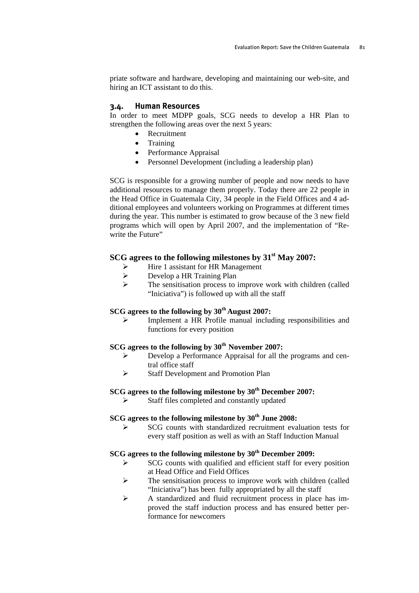priate software and hardware, developing and maintaining our web-site, and hiring an ICT assistant to do this.

### **3.4. Human Resources**

In order to meet MDPP goals, SCG needs to develop a HR Plan to strengthen the following areas over the next 5 years:

- Recruitment
- Training
- Performance Appraisal
- Personnel Development (including a leadership plan)

SCG is responsible for a growing number of people and now needs to have additional resources to manage them properly. Today there are 22 people in the Head Office in Guatemala City, 34 people in the Field Offices and 4 additional employees and volunteers working on Programmes at different times during the year. This number is estimated to grow because of the 3 new field programs which will open by April 2007, and the implementation of "Rewrite the Future"

## **SCG agrees to the following milestones by 31st May 2007:**

- $\triangleright$  Hire 1 assistant for HR Management
- ¾ Develop a HR Training Plan
- $\triangleright$  The sensitisation process to improve work with children (called "Iniciativa") is followed up with all the staff

## **SCG agrees to the following by 30th August 2007:**

Implement a HR Profile manual including responsibilities and functions for every position

## **SCG agrees to the following by 30th November 2007:**

- Develop a Performance Appraisal for all the programs and central office staff
- ¾ Staff Development and Promotion Plan

## SCG agrees to the following milestone by  $30<sup>th</sup>$  December 2007:

Staff files completed and constantly updated

## SCG agrees to the following milestone by  $30<sup>th</sup>$  June 2008:

¾ SCG counts with standardized recruitment evaluation tests for every staff position as well as with an Staff Induction Manual

## SCG agrees to the following milestone by 30<sup>th</sup> December 2009:

- SCG counts with qualified and efficient staff for every position at Head Office and Field Offices
- $\triangleright$  The sensitisation process to improve work with children (called "Iniciativa") has been fully appropriated by all the staff
- ¾ A standardized and fluid recruitment process in place has improved the staff induction process and has ensured better performance for newcomers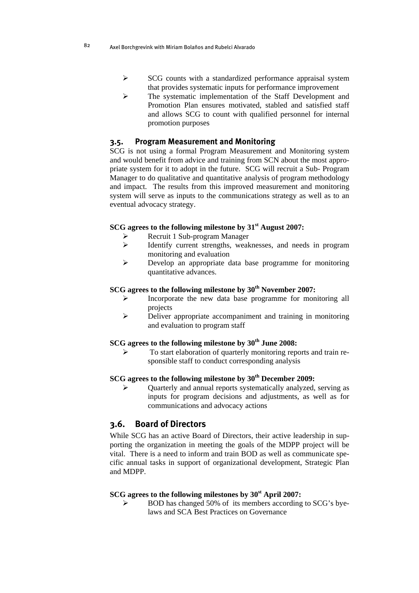- ¾ SCG counts with a standardized performance appraisal system that provides systematic inputs for performance improvement
- ¾ The systematic implementation of the Staff Development and Promotion Plan ensures motivated, stabled and satisfied staff and allows SCG to count with qualified personnel for internal promotion purposes

## **3.5. Program Measurement and Monitoring**

SCG is not using a formal Program Measurement and Monitoring system and would benefit from advice and training from SCN about the most appropriate system for it to adopt in the future. SCG will recruit a Sub- Program Manager to do qualitative and quantitative analysis of program methodology and impact. The results from this improved measurement and monitoring system will serve as inputs to the communications strategy as well as to an eventual advocacy strategy.

## **SCG agrees to the following milestone by 31st August 2007:**

- ¾ Recruit 1 Sub-program Manager
- ¾ Identify current strengths, weaknesses, and needs in program monitoring and evaluation
- ¾ Develop an appropriate data base programme for monitoring quantitative advances.

## SCG agrees to the following milestone by 30<sup>th</sup> November 2007:

- Incorporate the new data base programme for monitoring all projects
- ¾ Deliver appropriate accompaniment and training in monitoring and evaluation to program staff

## SCG agrees to the following milestone by  $30<sup>th</sup>$  June 2008:

¾ To start elaboration of quarterly monitoring reports and train responsible staff to conduct corresponding analysis

## **SCG agrees to the following milestone by 30<sup>th</sup> December 2009:**

¾ Quarterly and annual reports systematically analyzed, serving as inputs for program decisions and adjustments, as well as for communications and advocacy actions

## **3.6. Board of Directors**

While SCG has an active Board of Directors, their active leadership in supporting the organization in meeting the goals of the MDPP project will be vital. There is a need to inform and train BOD as well as communicate specific annual tasks in support of organizational development, Strategic Plan and MDPP.

#### SCG agrees to the following milestones by 30<sup>st</sup> April 2007:

¾ BOD has changed 50% of its members according to SCG's byelaws and SCA Best Practices on Governance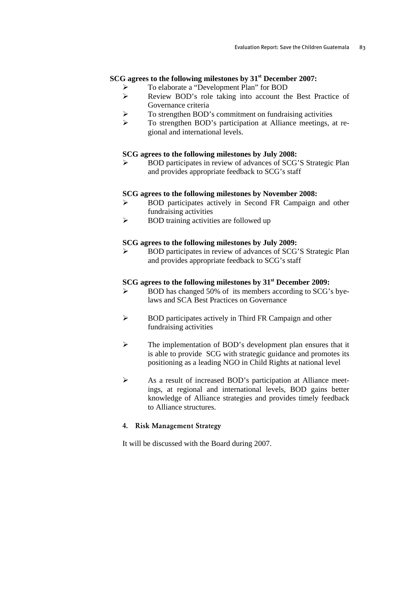## **SCG agrees to the following milestones by 31st December 2007:**

- ¾ To elaborate a "Development Plan" for BOD
- ¾ Review BOD's role taking into account the Best Practice of Governance criteria
- ¾ To strengthen BOD's commitment on fundraising activities
- ¾ To strengthen BOD's participation at Alliance meetings, at regional and international levels.

#### **SCG agrees to the following milestones by July 2008:**

¾ BOD participates in review of advances of SCG'S Strategic Plan and provides appropriate feedback to SCG's staff

#### **SCG agrees to the following milestones by November 2008:**

- ¾ BOD participates actively in Second FR Campaign and other fundraising activities
- $\triangleright$  BOD training activities are followed up

#### **SCG agrees to the following milestones by July 2009:**

¾ BOD participates in review of advances of SCG'S Strategic Plan and provides appropriate feedback to SCG's staff

## **SCG agrees to the following milestones by 31st December 2009:**

- BOD has changed 50% of its members according to SCG's byelaws and SCA Best Practices on Governance
- ¾ BOD participates actively in Third FR Campaign and other fundraising activities
- ¾ The implementation of BOD's development plan ensures that it is able to provide SCG with strategic guidance and promotes its positioning as a leading NGO in Child Rights at national level
- ¾ As a result of increased BOD's participation at Alliance meetings, at regional and international levels, BOD gains better knowledge of Alliance strategies and provides timely feedback to Alliance structures.

### 4. Risk Management Strategy

It will be discussed with the Board during 2007.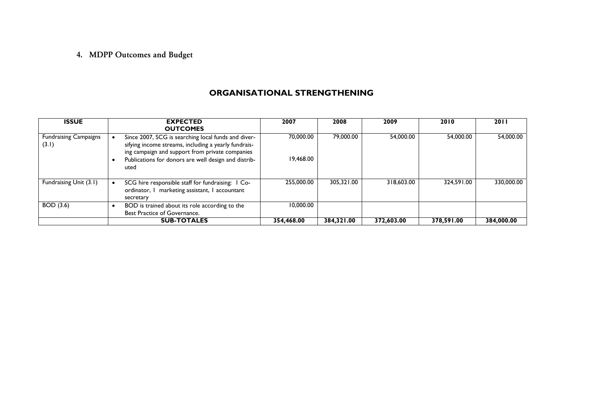## 4. MDPP Outcomes and Budget

## **ORGANISATIONAL STRENGTHENING**

| <b>ISSUE</b>                          | <b>EXPECTED</b>                                                                                                                                                                                                                | 2007                   | 2008       | 2009       | 2010       | <b>2011</b> |
|---------------------------------------|--------------------------------------------------------------------------------------------------------------------------------------------------------------------------------------------------------------------------------|------------------------|------------|------------|------------|-------------|
|                                       | <b>OUTCOMES</b>                                                                                                                                                                                                                |                        |            |            |            |             |
| <b>Fundraising Campaigns</b><br>(3.1) | Since 2007, SCG is searching local funds and diver-<br>sifying income streams, including a yearly fundrais-<br>ing campaign and support from private companies<br>Publications for donors are well design and distrib-<br>uted | 70,000.00<br>19,468.00 | 79,000.00  | 54.000.00  | 54,000.00  | 54,000.00   |
| Fundraising Unit (3.1)                | SCG hire responsible staff for fundraising: 1 Co-<br>ordinator, I marketing assistant, I accountant<br>secretary                                                                                                               | 255,000.00             | 305.321.00 | 318,603.00 | 324.591.00 | 330,000.00  |
| <b>BOD</b> (3.6)                      | BOD is trained about its role according to the<br>Best Practice of Governance.                                                                                                                                                 | 10,000.00              |            |            |            |             |
|                                       | <b>SUB-TOTALES</b>                                                                                                                                                                                                             | 354.468.00             | 384,321.00 | 372,603.00 | 378,591.00 | 384.000.00  |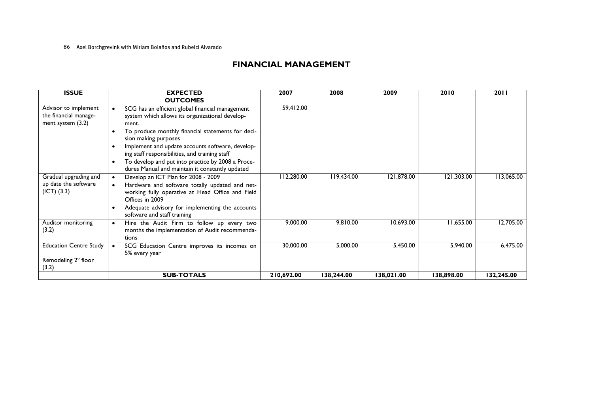#### 86 Axel Borchgrevink with Miriam Bolaños and Rubelci Alvarado

## **FINANCIAL MANAGEMENT**

| <b>ISSUE</b>                                                         | <b>EXPECTED</b><br><b>OUTCOMES</b>                                                                                                                                                        | 2007       | 2008       | 2009       | 2010       | 2011       |
|----------------------------------------------------------------------|-------------------------------------------------------------------------------------------------------------------------------------------------------------------------------------------|------------|------------|------------|------------|------------|
| Advisor to implement<br>the financial manage-<br>ment system $(3.2)$ | SCG has an efficient global financial management<br>system which allows its organizational develop-<br>ment.<br>To produce monthly financial statements for deci-<br>sion making purposes | 59,412.00  |            |            |            |            |
|                                                                      | Implement and update accounts software, develop-<br>ing staff responsibilities, and training staff                                                                                        |            |            |            |            |            |
|                                                                      | To develop and put into practice by 2008 a Proce-<br>dures Manual and maintain it constantly updated                                                                                      |            |            |            |            |            |
| Gradual upgrading and<br>up date the software<br>(ICT) (3.3)         | Develop an ICT Plan for 2008 - 2009<br>Hardware and software totally updated and net-<br>working fully operative at Head Office and Field<br>Offices in 2009                              | 112,280.00 | 119,434.00 | 121,878.00 | 121,303.00 | 113,065.00 |
|                                                                      | Adequate advisory for implementing the accounts<br>٠<br>software and staff training                                                                                                       |            |            |            |            |            |
| Auditor monitoring<br>(3.2)                                          | Hire the Audit Firm to follow up every two<br>$\bullet$<br>months the implementation of Audit recommenda-<br>tions                                                                        | 9,000.00   | 9,810.00   | 10,693.00  | 11,655.00  | 12,705.00  |
| <b>Education Centre Study</b>                                        | SCG Education Centre improves its incomes on<br>5% every year                                                                                                                             | 30,000.00  | 5,000.00   | 5,450.00   | 5,940.00   | 6,475.00   |
| Remodeling 2° floor                                                  |                                                                                                                                                                                           |            |            |            |            |            |
| (3.2)                                                                | <b>SUB-TOTALS</b>                                                                                                                                                                         | 210,692.00 | 138,244.00 | 138,021.00 | 138,898.00 | 132,245.00 |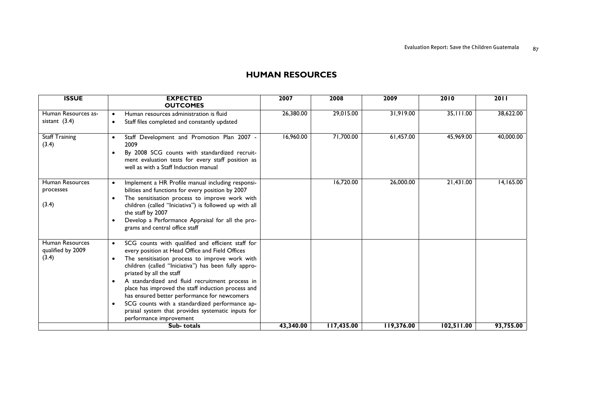#### **ISSUE EXPECTED OUTCOMES 2007 2008 2009 2010 2011** Human Resources as-Fram Resources as-<br>
• Staff files completed and constantly updated 26,380.00 29,015.00 31,919.00 35,111.00 38,622.00 35,111.00 38,622.00 Staff Training (3.4) • Staff Development and Promotion Plan 2007 - 2009• By 2008 SCG counts with standardized recruitment evaluation tests for every staff position as well as with a Staff Induction manual 16,960.00 71,700.00 61,457.00 45,969.00 40,000.00 Human Resources processes (3.4) • Implement a HR Profile manual including responsibilities and functions for every position by 2007 • The sensitisation process to improve work with children (called "Iniciativa") is followed up with all the staff by 2007  $\bullet$  Develop a Performance Appraisal for all the programs and central office staff 16,720.00 26,000.00 21,431.00 14,165.00 Human Resources qualified by 2009 (3.4) •SCG counts with qualified and efficient staff for every position at Head Office and Field Offices  $\bullet$  The sensitisation process to improve work with children (called "Iniciativa") has been fully appropriated by all the staff • A standardized and fluid recruitment process in place has improved the staff induction process and has ensured better performance for newcomers • SCG counts with a standardized performance appraisal system that provides systematic inputs for performance improvement **Sub- totals 43,340.00 117,435.00 119,376.00 102,511.00 93,755.00**

### **HUMAN RESOURCES**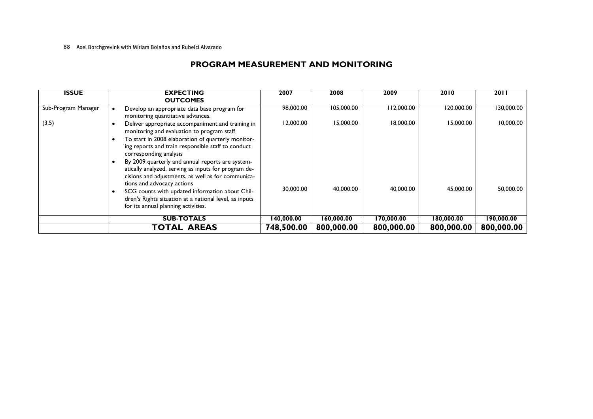#### 88 Axel Borchgrevink with Miriam Bolaños and Rubelci Alvarado

## **PROGRAM MEASUREMENT AND MONITORING**

| <b>ISSUE</b>        | <b>EXPECTING</b><br><b>OUTCOMES</b>                                                                                                                                                                                                                                                                                                                                                                     | 2007       | 2008       | 2009       | 2010       | 2011       |
|---------------------|---------------------------------------------------------------------------------------------------------------------------------------------------------------------------------------------------------------------------------------------------------------------------------------------------------------------------------------------------------------------------------------------------------|------------|------------|------------|------------|------------|
| Sub-Program Manager | Develop an appropriate data base program for<br>monitoring quantitative advances.                                                                                                                                                                                                                                                                                                                       | 98,000.00  | 105,000.00 | 112,000.00 | 120,000.00 | 130,000.00 |
| (3.5)               | Deliver appropriate accompaniment and training in<br>monitoring and evaluation to program staff<br>To start in 2008 elaboration of quarterly monitor-<br>ing reports and train responsible staff to conduct<br>corresponding analysis<br>By 2009 quarterly and annual reports are system-<br>atically analyzed, serving as inputs for program de-<br>cisions and adjustments, as well as for communica- | 12,000.00  | 15,000.00  | 18,000.00  | 15,000.00  | 10,000.00  |
|                     | tions and advocacy actions<br>SCG counts with updated information about Chil-<br>dren's Rights situation at a national level, as inputs<br>for its annual planning activities.                                                                                                                                                                                                                          | 30,000.00  | 40,000.00  | 40,000.00  | 45,000.00  | 50,000.00  |
|                     | <b>SUB-TOTALS</b>                                                                                                                                                                                                                                                                                                                                                                                       | 140,000.00 | 160,000.00 | 170,000.00 | 180,000.00 | 190,000.00 |
|                     | <b>TOTAL AREAS</b>                                                                                                                                                                                                                                                                                                                                                                                      | 748,500.00 | 800,000.00 | 800,000.00 | 800,000.00 | 800,000.00 |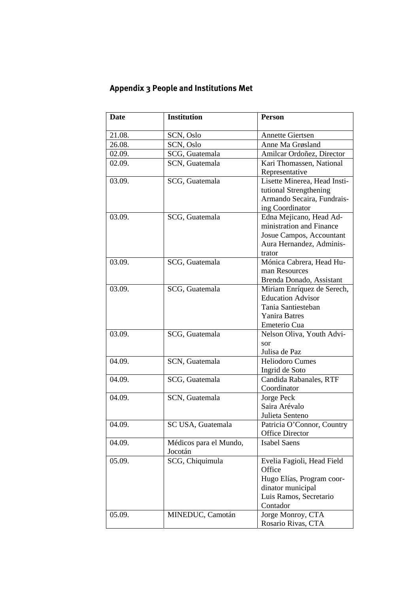# **Appendix 3 People and Institutions Met**

| <b>Date</b> | <b>Institution</b>     | <b>Person</b>                         |
|-------------|------------------------|---------------------------------------|
| 21.08.      | SCN, Oslo              | <b>Annette Giertsen</b>               |
| 26.08.      | SCN, Oslo              | Anne Ma Grøsland                      |
| 02.09.      | SCG, Guatemala         | Amilcar Ordoñez, Director             |
| 02.09.      | SCN, Guatemala         | Kari Thomassen, National              |
|             |                        | Representative                        |
| 03.09.      | SCG, Guatemala         | Lisette Minerea, Head Insti-          |
|             |                        | tutional Strengthening                |
|             |                        | Armando Secaira, Fundrais-            |
|             |                        | ing Coordinator                       |
| 03.09.      | SCG, Guatemala         | Edna Mejicano, Head Ad-               |
|             |                        | ministration and Finance              |
|             |                        | Josue Campos, Accountant              |
|             |                        | Aura Hernandez, Adminis-              |
|             |                        | trator                                |
| 03.09.      | SCG, Guatemala         | Mónica Cabrera, Head Hu-              |
|             |                        | man Resources                         |
|             |                        | Brenda Donado, Assistant              |
| 03.09.      | SCG, Guatemala         | Miriam Enríquez de Serech,            |
|             |                        | <b>Education Advisor</b>              |
|             |                        | Tania Santiesteban                    |
|             |                        | <b>Yanira Batres</b>                  |
|             |                        | Emeterio Cua                          |
| 03.09.      | SCG, Guatemala         | Nelson Oliva, Youth Advi-             |
|             |                        | sor                                   |
|             |                        | Julisa de Paz                         |
| 04.09.      | SCN, Guatemala         | <b>Heliodoro Cumes</b>                |
|             |                        | Ingrid de Soto                        |
| 04.09.      | SCG, Guatemala         | Candida Rabanales, RTF<br>Coordinator |
| 04.09.      |                        | Jorge Peck                            |
|             | SCN, Guatemala         | Saira Arévalo                         |
|             |                        | Julieta Senteno                       |
| 04.09.      | SC USA, Guatemala      | Patricia O'Connor, Country            |
|             |                        | <b>Office Director</b>                |
| 04.09.      | Médicos para el Mundo, | <b>Isabel Saens</b>                   |
|             | Jocotán                |                                       |
| 05.09.      | SCG, Chiquimula        | Evelia Fagioli, Head Field            |
|             |                        | Office                                |
|             |                        | Hugo Elías, Program coor-             |
|             |                        | dinator municipal                     |
|             |                        | Luis Ramos, Secretario                |
|             |                        | Contador                              |
| 05.09.      | MINEDUC, Camotán       | Jorge Monroy, CTA                     |
|             |                        | Rosario Rivas, CTA                    |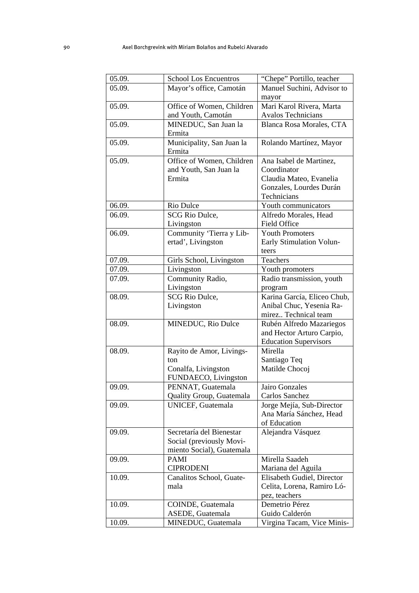| 05.09. | <b>School Los Encuentros</b>                         | "Chepe" Portillo, teacher               |  |  |
|--------|------------------------------------------------------|-----------------------------------------|--|--|
| 05.09. | Mayor's office, Camotán                              | Manuel Suchini, Advisor to              |  |  |
|        |                                                      | mayor                                   |  |  |
| 05.09. | Office of Women, Children                            | Mari Karol Rivera, Marta                |  |  |
|        | and Youth, Camotán                                   | <b>Avalos Technicians</b>               |  |  |
| 05.09. | MINEDUC, San Juan la                                 | Blanca Rosa Morales, CTA                |  |  |
|        | Ermita                                               |                                         |  |  |
| 05.09. | Municipality, San Juan la                            | Rolando Martínez, Mayor                 |  |  |
|        | Ermita                                               |                                         |  |  |
| 05.09. | Office of Women, Children                            | Ana Isabel de Martinez,                 |  |  |
|        | and Youth, San Juan la                               | Coordinator                             |  |  |
|        | Ermita                                               | Claudia Mateo, Evanelia                 |  |  |
|        |                                                      | Gonzales, Lourdes Durán                 |  |  |
|        |                                                      | Technicians                             |  |  |
| 06.09. | Rio Dulce                                            | Youth communicators                     |  |  |
| 06.09. | <b>SCG Rio Dulce,</b>                                | Alfredo Morales, Head                   |  |  |
|        | Livingston                                           | <b>Field Office</b>                     |  |  |
| 06.09. | Community 'Tierra y Lib-                             | <b>Youth Promoters</b>                  |  |  |
|        | ertad', Livingston                                   | Early Stimulation Volun-                |  |  |
|        |                                                      | teers                                   |  |  |
| 07.09. | Girls School, Livingston                             | Teachers                                |  |  |
| 07.09. | Livingston                                           | Youth promoters                         |  |  |
| 07.09. | Community Radio,                                     | Radio transmission, youth               |  |  |
|        | Livingston                                           | program                                 |  |  |
| 08.09. | <b>SCG Rio Dulce,</b>                                | Karina García, Eliceo Chub,             |  |  |
|        | Livingston                                           | Anibal Chuc, Yesenia Ra-                |  |  |
|        |                                                      | mirez Technical team                    |  |  |
| 08.09. | MINEDUC, Rio Dulce                                   | Rubén Alfredo Mazariegos                |  |  |
|        |                                                      | and Hector Arturo Carpio,               |  |  |
|        |                                                      | <b>Education Supervisors</b>            |  |  |
| 08.09. | Rayito de Amor, Livings-                             | Mirella                                 |  |  |
|        | ton                                                  | Santiago Teq                            |  |  |
|        | Conalfa, Livingston                                  | Matilde Chocoj                          |  |  |
|        | FUNDAECO, Livingston                                 |                                         |  |  |
| 09.09. | PENNAT, Guatemala                                    | Jairo Gonzales                          |  |  |
|        | Quality Group, Guatemala<br><b>UNICEF, Guatemala</b> | Carlos Sanchez                          |  |  |
| 09.09. |                                                      | Jorge Mejía, Sub-Director               |  |  |
|        |                                                      | Ana María Sánchez, Head<br>of Education |  |  |
| 09.09. | Secretaría del Bienestar                             | Alejandra Vásquez                       |  |  |
|        | Social (previously Movi-                             |                                         |  |  |
|        | miento Social), Guatemala                            |                                         |  |  |
| 09.09. | PAMI                                                 | Mirella Saadeh                          |  |  |
|        | <b>CIPRODENI</b>                                     | Mariana del Aguila                      |  |  |
| 10.09. | Canalitos School, Guate-                             | Elisabeth Gudiel, Director              |  |  |
|        | mala                                                 | Celita, Lorena, Ramiro Ló-              |  |  |
|        |                                                      | pez, teachers                           |  |  |
| 10.09. | COINDE, Guatemala                                    | Demetrio Pérez                          |  |  |
|        | ASEDE, Guatemala                                     | Guido Calderón                          |  |  |
| 10.09. | MINEDUC, Guatemala                                   | Virgina Tacam, Vice Minis-              |  |  |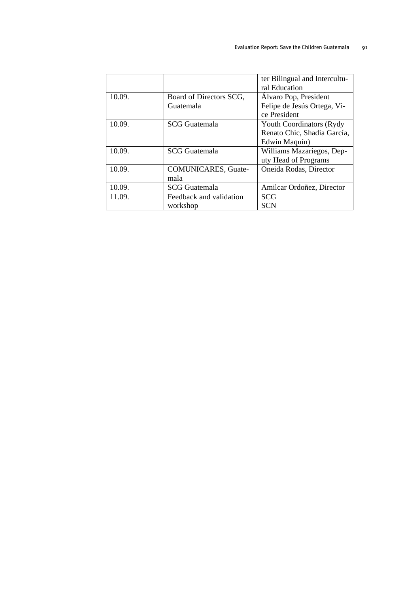|        |                            | ter Bilingual and Intercultu-    |
|--------|----------------------------|----------------------------------|
|        |                            | ral Education                    |
| 10.09. | Board of Directors SCG,    | Álvaro Pop, President            |
|        | Guatemala                  | Felipe de Jesús Ortega, Vi-      |
|        |                            | ce President                     |
| 10.09. | <b>SCG</b> Guatemala       | <b>Youth Coordinators (Rydy)</b> |
|        |                            | Renato Chic, Shadia García,      |
|        |                            | Edwin Maquín)                    |
| 10.09. | <b>SCG</b> Guatemala       | Williams Mazariegos, Dep-        |
|        |                            | uty Head of Programs             |
| 10.09. | <b>COMUNICARES, Guate-</b> | Oneida Rodas, Director           |
|        | mala                       |                                  |
| 10.09. | <b>SCG</b> Guatemala       | Amilcar Ordoñez, Director        |
| 11.09. | Feedback and validation    | <b>SCG</b>                       |
|        | workshop                   | <b>SCN</b>                       |